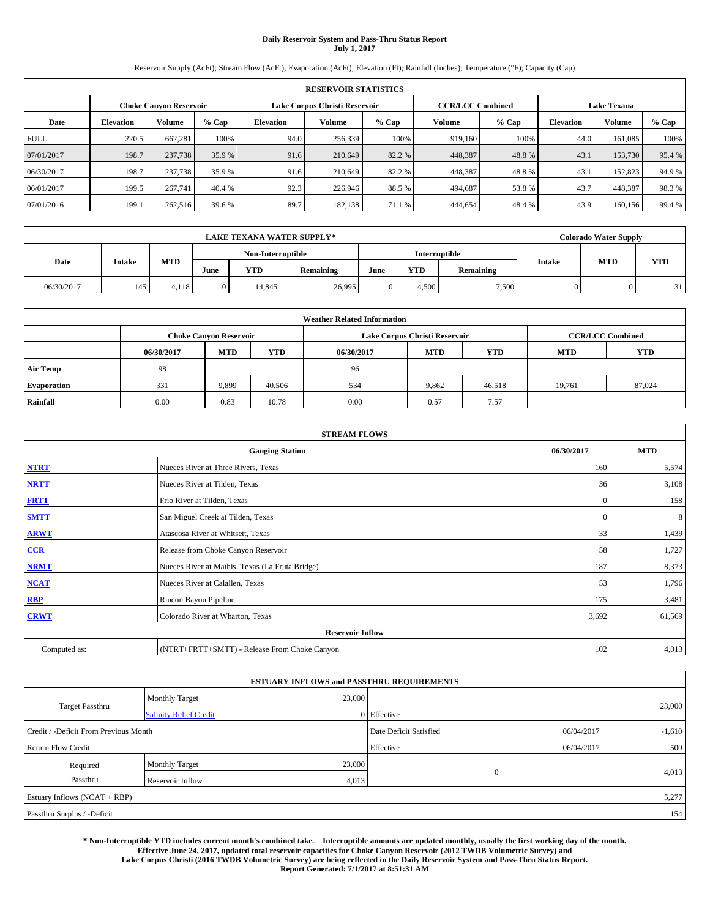# **Daily Reservoir System and Pass-Thru Status Report July 1, 2017**

Reservoir Supply (AcFt); Stream Flow (AcFt); Evaporation (AcFt); Elevation (Ft); Rainfall (Inches); Temperature (°F); Capacity (Cap)

|             | <b>RESERVOIR STATISTICS</b> |                               |        |           |                               |         |                         |         |                    |         |        |
|-------------|-----------------------------|-------------------------------|--------|-----------|-------------------------------|---------|-------------------------|---------|--------------------|---------|--------|
|             |                             | <b>Choke Canvon Reservoir</b> |        |           | Lake Corpus Christi Reservoir |         | <b>CCR/LCC Combined</b> |         | <b>Lake Texana</b> |         |        |
| Date        | <b>Elevation</b>            | Volume                        | % Cap  | Elevation | Volume                        | $%$ Cap | Volume                  | $%$ Cap | <b>Elevation</b>   | Volume  | % Cap  |
| <b>FULL</b> | 220.5                       | 662,281                       | 100%   | 94.0      | 256,339                       | 100%    | 919,160                 | 100%    | 44.0               | 161.085 | 100%   |
| 07/01/2017  | 198.7                       | 237,738                       | 35.9 % | 91.6      | 210,649                       | 82.2 %  | 448,387                 | 48.8%   | 43.1               | 153,730 | 95.4 % |
| 06/30/2017  | 198.7                       | 237,738                       | 35.9 % | 91.6      | 210,649                       | 82.2 %  | 448,387                 | 48.8%   | 43.1               | 152,823 | 94.9%  |
| 06/01/2017  | 199.5                       | 267,741                       | 40.4 % | 92.3      | 226,946                       | 88.5%   | 494,687                 | 53.8%   | 43.7               | 448,387 | 98.3%  |
| 07/01/2016  | 199.1                       | 262,516                       | 39.6%  | 89.7      | 182.138                       | 71.1 %  | 444,654                 | 48.4 %  | 43.9               | 160.156 | 99.4 % |

|            | <b>LAKE TEXANA WATER SUPPLY*</b> |            |      |                   |           |      |       |                      |               |            | <b>Colorado Water Supply</b> |  |  |
|------------|----------------------------------|------------|------|-------------------|-----------|------|-------|----------------------|---------------|------------|------------------------------|--|--|
|            |                                  |            |      | Non-Interruptible |           |      |       | <b>Interruptible</b> |               |            |                              |  |  |
| Date       | <b>Intake</b>                    | <b>MTD</b> | June | YTD               | Remaining | June | YTD   | Remaining            | <b>Intake</b> | <b>MTD</b> | <b>YTD</b>                   |  |  |
| 06/30/2017 | 145                              | 4,118      |      | 14.845            | 26,995    |      | 4.500 | 7,500                |               |            | 31                           |  |  |

| <b>Weather Related Information</b> |            |                               |            |                                                      |                               |                         |        |        |  |  |
|------------------------------------|------------|-------------------------------|------------|------------------------------------------------------|-------------------------------|-------------------------|--------|--------|--|--|
|                                    |            | <b>Choke Canyon Reservoir</b> |            |                                                      | Lake Corpus Christi Reservoir | <b>CCR/LCC Combined</b> |        |        |  |  |
|                                    | 06/30/2017 | <b>MTD</b>                    | <b>YTD</b> | <b>MTD</b><br><b>YTD</b><br><b>MTD</b><br>06/30/2017 |                               |                         |        |        |  |  |
| <b>Air Temp</b>                    | 98         |                               |            | 96                                                   |                               |                         |        |        |  |  |
| <b>Evaporation</b>                 | 331        | 9,899                         | 40,506     | 534                                                  | 9,862                         | 46,518                  | 19,761 | 87,024 |  |  |
| Rainfall                           | 0.00       | 0.83                          | 10.78      | 0.00                                                 | 0.57                          | 7.57                    |        |        |  |  |

| <b>STREAM FLOWS</b> |                                                 |              |            |  |  |  |  |  |  |
|---------------------|-------------------------------------------------|--------------|------------|--|--|--|--|--|--|
|                     | <b>Gauging Station</b>                          | 06/30/2017   | <b>MTD</b> |  |  |  |  |  |  |
| <b>NTRT</b>         | Nueces River at Three Rivers, Texas             | 160          | 5,574      |  |  |  |  |  |  |
| <b>NRTT</b>         | Nueces River at Tilden, Texas                   | 36           | 3,108      |  |  |  |  |  |  |
| <b>FRTT</b>         | Frio River at Tilden, Texas                     | $\mathbf{0}$ | 158        |  |  |  |  |  |  |
| <b>SMTT</b>         | San Miguel Creek at Tilden, Texas               | $\mathbf{0}$ | 8          |  |  |  |  |  |  |
| <b>ARWT</b>         | Atascosa River at Whitsett, Texas               | 33           | 1,439      |  |  |  |  |  |  |
| $CCR$               | Release from Choke Canyon Reservoir             | 58           | 1,727      |  |  |  |  |  |  |
| <b>NRMT</b>         | Nueces River at Mathis, Texas (La Fruta Bridge) | 187          | 8,373      |  |  |  |  |  |  |
| <b>NCAT</b>         | Nueces River at Calallen, Texas                 | 53           | 1,796      |  |  |  |  |  |  |
| RBP                 | Rincon Bayou Pipeline                           | 175          | 3,481      |  |  |  |  |  |  |
| <b>CRWT</b>         | Colorado River at Wharton, Texas                | 3,692        | 61,569     |  |  |  |  |  |  |
|                     | <b>Reservoir Inflow</b>                         |              |            |  |  |  |  |  |  |
| Computed as:        | (NTRT+FRTT+SMTT) - Release From Choke Canyon    | 102          | 4,013      |  |  |  |  |  |  |

| <b>ESTUARY INFLOWS and PASSTHRU REQUIREMENTS</b> |                               |           |                        |            |          |  |  |  |  |  |
|--------------------------------------------------|-------------------------------|-----------|------------------------|------------|----------|--|--|--|--|--|
|                                                  | <b>Monthly Target</b>         | 23,000    |                        |            |          |  |  |  |  |  |
| Target Passthru                                  | <b>Salinity Relief Credit</b> |           | 0 Effective            |            | 23,000   |  |  |  |  |  |
| Credit / -Deficit From Previous Month            |                               |           | Date Deficit Satisfied | 06/04/2017 | $-1,610$ |  |  |  |  |  |
| <b>Return Flow Credit</b>                        |                               | Effective | 06/04/2017             | 500        |          |  |  |  |  |  |
| Required                                         | <b>Monthly Target</b>         | 23,000    |                        |            |          |  |  |  |  |  |
| Passthru                                         | <b>Reservoir Inflow</b>       | 4,013     | $\overline{0}$         |            | 4,013    |  |  |  |  |  |
|                                                  | Estuary Inflows (NCAT + RBP)  |           |                        |            |          |  |  |  |  |  |
| Passthru Surplus / -Deficit                      |                               |           |                        |            |          |  |  |  |  |  |

**\* Non-Interruptible YTD includes current month's combined take. Interruptible amounts are updated monthly, usually the first working day of the month. Effective June 24, 2017, updated total reservoir capacities for Choke Canyon Reservoir (2012 TWDB Volumetric Survey) and Lake Corpus Christi (2016 TWDB Volumetric Survey) are being reflected in the Daily Reservoir System and Pass-Thru Status Report. Report Generated: 7/1/2017 at 8:51:31 AM**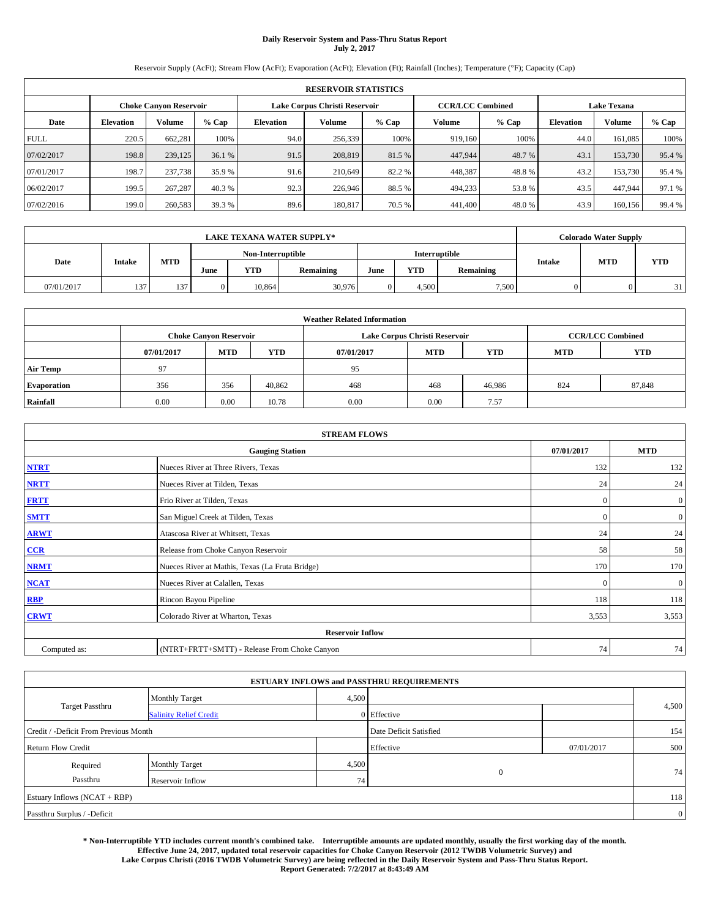# **Daily Reservoir System and Pass-Thru Status Report July 2, 2017**

Reservoir Supply (AcFt); Stream Flow (AcFt); Evaporation (AcFt); Elevation (Ft); Rainfall (Inches); Temperature (°F); Capacity (Cap)

|             | <b>RESERVOIR STATISTICS</b> |                               |        |           |                               |        |                         |         |                  |                    |        |  |
|-------------|-----------------------------|-------------------------------|--------|-----------|-------------------------------|--------|-------------------------|---------|------------------|--------------------|--------|--|
|             |                             | <b>Choke Canyon Reservoir</b> |        |           | Lake Corpus Christi Reservoir |        | <b>CCR/LCC Combined</b> |         |                  | <b>Lake Texana</b> |        |  |
| Date        | <b>Elevation</b>            | <b>Volume</b>                 | % Cap  | Elevation | Volume                        | % Cap  | Volume                  | $%$ Cap | <b>Elevation</b> | <b>Volume</b>      | % Cap  |  |
| <b>FULL</b> | 220.5                       | 662.281                       | 100%   | 94.0      | 256,339                       | 100%   | 919,160                 | 100%    | 44.0             | 161,085            | 100%   |  |
| 07/02/2017  | 198.8                       | 239,125                       | 36.1 % | 91.5      | 208,819                       | 81.5 % | 447,944                 | 48.7%   | 43.1             | 153,730            | 95.4%  |  |
| 07/01/2017  | 198.7                       | 237,738                       | 35.9 % | 91.6      | 210.649                       | 82.2 % | 448.387                 | 48.8%   | 43.2             | 153,730            | 95.4 % |  |
| 06/02/2017  | 199.5                       | 267.287                       | 40.3 % | 92.3      | 226,946                       | 88.5%  | 494,233                 | 53.8%   | 43.5             | 447,944            | 97.1 % |  |
| 07/02/2016  | 199.0                       | 260,583                       | 39.3 % | 89.6      | 180,817                       | 70.5 % | 441,400                 | 48.0%   | 43.9             | 160,156            | 99.4 % |  |

|            | <b>LAKE TEXANA WATER SUPPLY*</b> |     |                                    |            |           |      |            |           |        |            | <b>Colorado Water Supply</b> |  |  |
|------------|----------------------------------|-----|------------------------------------|------------|-----------|------|------------|-----------|--------|------------|------------------------------|--|--|
|            |                                  |     | Interruptible<br>Non-Interruptible |            |           |      |            |           |        |            |                              |  |  |
| Date       | Intake                           | MTD | June                               | <b>YTD</b> | Remaining | June | <b>YTD</b> | Remaining | Intake | <b>MTD</b> | <b>YTD</b>                   |  |  |
| 07/01/2017 | 137                              | 137 | 0                                  | 10.864     | 30,976    |      | 4.500      | 7,500     |        |            | 31                           |  |  |

| <b>Weather Related Information</b> |            |                               |            |            |                               |            |            |                         |  |  |
|------------------------------------|------------|-------------------------------|------------|------------|-------------------------------|------------|------------|-------------------------|--|--|
|                                    |            | <b>Choke Canyon Reservoir</b> |            |            | Lake Corpus Christi Reservoir |            |            | <b>CCR/LCC Combined</b> |  |  |
|                                    | 07/01/2017 | <b>MTD</b>                    | <b>YTD</b> | 07/01/2017 | <b>MTD</b>                    | <b>YTD</b> | <b>MTD</b> | <b>YTD</b>              |  |  |
| <b>Air Temp</b>                    | 97         |                               |            | 95         |                               |            |            |                         |  |  |
| <b>Evaporation</b>                 | 356        | 356                           | 40,862     | 468        | 468                           | 46,986     | 824        | 87,848                  |  |  |
| Rainfall                           | 0.00       | 0.00                          | 10.78      | 0.00       | 0.00                          | 7.57       |            |                         |  |  |

| <b>STREAM FLOWS</b> |                                                 |            |                |  |  |  |  |  |  |
|---------------------|-------------------------------------------------|------------|----------------|--|--|--|--|--|--|
|                     | <b>Gauging Station</b>                          | 07/01/2017 | <b>MTD</b>     |  |  |  |  |  |  |
| <b>NTRT</b>         | Nueces River at Three Rivers, Texas             | 132        | 132            |  |  |  |  |  |  |
| <b>NRTT</b>         | Nueces River at Tilden, Texas                   | 24         | 24             |  |  |  |  |  |  |
| <b>FRTT</b>         | Frio River at Tilden, Texas                     | $\Omega$   | $\overline{0}$ |  |  |  |  |  |  |
| <b>SMTT</b>         | San Miguel Creek at Tilden, Texas               | $\Omega$   | $\overline{0}$ |  |  |  |  |  |  |
| <b>ARWT</b>         | Atascosa River at Whitsett, Texas               | 24         | 24             |  |  |  |  |  |  |
| CCR                 | Release from Choke Canyon Reservoir             | 58         | 58             |  |  |  |  |  |  |
| <b>NRMT</b>         | Nueces River at Mathis, Texas (La Fruta Bridge) | 170        | 170            |  |  |  |  |  |  |
| <b>NCAT</b>         | Nueces River at Calallen, Texas                 | $\Omega$   | $\overline{0}$ |  |  |  |  |  |  |
| <b>RBP</b>          | Rincon Bayou Pipeline                           | 118        | 118            |  |  |  |  |  |  |
| <b>CRWT</b>         | Colorado River at Wharton, Texas                | 3,553      | 3,553          |  |  |  |  |  |  |
|                     | <b>Reservoir Inflow</b>                         |            |                |  |  |  |  |  |  |
| Computed as:        | (NTRT+FRTT+SMTT) - Release From Choke Canyon    | 74         | 74             |  |  |  |  |  |  |

| <b>ESTUARY INFLOWS and PASSTHRU REQUIREMENTS</b> |                               |       |                        |            |                |  |  |  |  |  |
|--------------------------------------------------|-------------------------------|-------|------------------------|------------|----------------|--|--|--|--|--|
|                                                  | <b>Monthly Target</b>         | 4,500 |                        |            |                |  |  |  |  |  |
| <b>Target Passthru</b>                           | <b>Salinity Relief Credit</b> |       | 0 Effective            |            | 4,500          |  |  |  |  |  |
| Credit / -Deficit From Previous Month            |                               |       | Date Deficit Satisfied |            | 154            |  |  |  |  |  |
| <b>Return Flow Credit</b>                        |                               |       | Effective              | 07/01/2017 | 500            |  |  |  |  |  |
| Required                                         | <b>Monthly Target</b>         | 4,500 |                        |            |                |  |  |  |  |  |
| Passthru                                         | Reservoir Inflow              | 74    | $\mathbf{0}$           |            | 74             |  |  |  |  |  |
| Estuary Inflows (NCAT + RBP)                     |                               |       |                        |            | 118            |  |  |  |  |  |
| Passthru Surplus / -Deficit                      |                               |       |                        |            | $\overline{0}$ |  |  |  |  |  |

**\* Non-Interruptible YTD includes current month's combined take. Interruptible amounts are updated monthly, usually the first working day of the month. Effective June 24, 2017, updated total reservoir capacities for Choke Canyon Reservoir (2012 TWDB Volumetric Survey) and Lake Corpus Christi (2016 TWDB Volumetric Survey) are being reflected in the Daily Reservoir System and Pass-Thru Status Report. Report Generated: 7/2/2017 at 8:43:49 AM**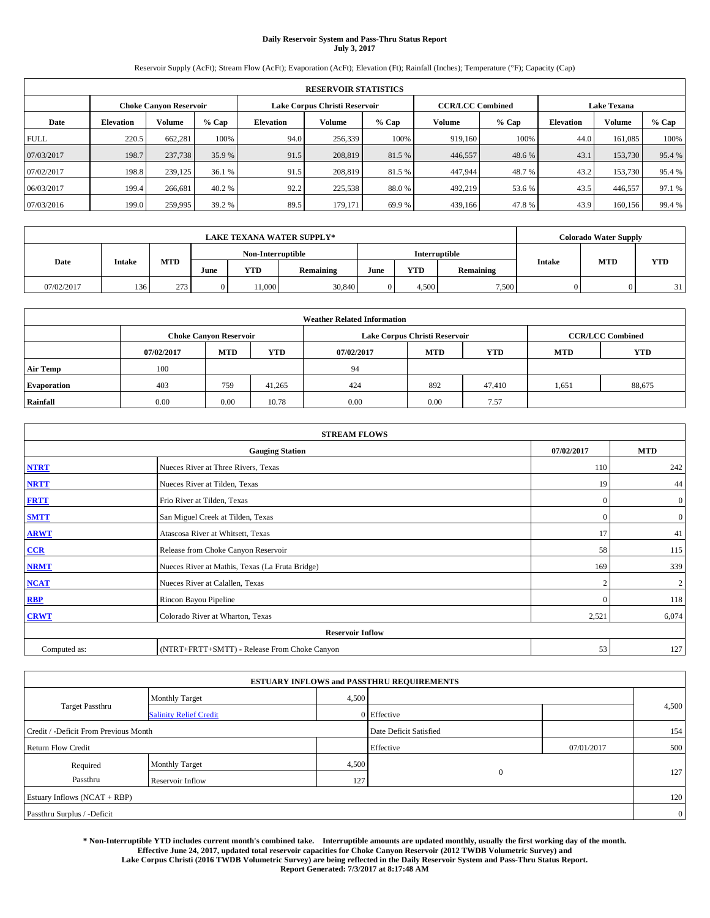# **Daily Reservoir System and Pass-Thru Status Report July 3, 2017**

Reservoir Supply (AcFt); Stream Flow (AcFt); Evaporation (AcFt); Elevation (Ft); Rainfall (Inches); Temperature (°F); Capacity (Cap)

|             | <b>RESERVOIR STATISTICS</b> |                               |        |           |                               |        |                         |         |                    |               |        |
|-------------|-----------------------------|-------------------------------|--------|-----------|-------------------------------|--------|-------------------------|---------|--------------------|---------------|--------|
|             |                             | <b>Choke Canyon Reservoir</b> |        |           | Lake Corpus Christi Reservoir |        | <b>CCR/LCC Combined</b> |         | <b>Lake Texana</b> |               |        |
| Date        | <b>Elevation</b>            | <b>Volume</b>                 | % Cap  | Elevation | Volume                        | % Cap  | Volume                  | $%$ Cap | <b>Elevation</b>   | <b>Volume</b> | % Cap  |
| <b>FULL</b> | 220.5                       | 662.281                       | 100%   | 94.0      | 256,339                       | 100%   | 919,160                 | 100%    | 44.0               | 161,085       | 100%   |
| 07/03/2017  | 198.7                       | 237,738                       | 35.9 % | 91.5      | 208,819                       | 81.5 % | 446,557                 | 48.6 %  | 43.1               | 153,730       | 95.4%  |
| 07/02/2017  | 198.8                       | 239,125                       | 36.1 % | 91.5      | 208,819                       | 81.5 % | 447.944                 | 48.7 %  | 43.2               | 153,730       | 95.4 % |
| 06/03/2017  | 199.4                       | 266,681                       | 40.2 % | 92.2      | 225,538                       | 88.0%  | 492.219                 | 53.6 %  | 43.5               | 446.557       | 97.1 % |
| 07/03/2016  | 199.0                       | 259,995                       | 39.2 % | 89.5      | 179,171                       | 69.9 % | 439,166                 | 47.8%   | 43.9               | 160,156       | 99.4 % |

|            | <b>LAKE TEXANA WATER SUPPLY*</b> |      |                   |            |                  |      |               |           |        |            | <b>Colorado Water Supply</b> |  |  |
|------------|----------------------------------|------|-------------------|------------|------------------|------|---------------|-----------|--------|------------|------------------------------|--|--|
|            |                                  |      | Non-Interruptible |            |                  |      | Interruptible |           |        |            |                              |  |  |
| Date       | Intake                           | MTD  | June              | <b>YTD</b> | <b>Remaining</b> | June | <b>YTD</b>    | Remaining | Intake | <b>MTD</b> | <b>YTD</b>                   |  |  |
| 07/02/2017 | 136                              | 2731 | 0                 | 1.000      | 30,840           | 0    | 4.500         | 7,500     |        |            | 31                           |  |  |

| <b>Weather Related Information</b> |            |                               |            |            |                                                      |                         |       |        |  |  |
|------------------------------------|------------|-------------------------------|------------|------------|------------------------------------------------------|-------------------------|-------|--------|--|--|
|                                    |            | <b>Choke Canyon Reservoir</b> |            |            | Lake Corpus Christi Reservoir                        | <b>CCR/LCC Combined</b> |       |        |  |  |
|                                    | 07/02/2017 | <b>MTD</b>                    | <b>YTD</b> | 07/02/2017 | <b>MTD</b><br><b>YTD</b><br><b>YTD</b><br><b>MTD</b> |                         |       |        |  |  |
| <b>Air Temp</b>                    | 100        |                               |            | 94         |                                                      |                         |       |        |  |  |
| <b>Evaporation</b>                 | 403        | 759                           | 41.265     | 424        | 892                                                  | 47,410                  | 1,651 | 88,675 |  |  |
| Rainfall                           | 0.00       | 0.00                          | 10.78      | 0.00       | 0.00                                                 | 7.57                    |       |        |  |  |

| <b>STREAM FLOWS</b> |                                                 |            |                |  |  |  |  |  |  |
|---------------------|-------------------------------------------------|------------|----------------|--|--|--|--|--|--|
|                     | 07/02/2017                                      | <b>MTD</b> |                |  |  |  |  |  |  |
| <b>NTRT</b>         | Nueces River at Three Rivers, Texas             | 110        | 242            |  |  |  |  |  |  |
| <b>NRTT</b>         | Nueces River at Tilden, Texas                   | 19         | 44             |  |  |  |  |  |  |
| <b>FRTT</b>         | Frio River at Tilden, Texas                     | $\bf{0}$   | $\overline{0}$ |  |  |  |  |  |  |
| <b>SMTT</b>         | San Miguel Creek at Tilden, Texas               | $\Omega$   | $\overline{0}$ |  |  |  |  |  |  |
| <b>ARWT</b>         | Atascosa River at Whitsett, Texas               | 17         | 41             |  |  |  |  |  |  |
| $CCR$               | Release from Choke Canyon Reservoir             | 58         | 115            |  |  |  |  |  |  |
| <b>NRMT</b>         | Nueces River at Mathis, Texas (La Fruta Bridge) | 169        | 339            |  |  |  |  |  |  |
| <b>NCAT</b>         | Nueces River at Calallen, Texas                 | $\sim$     | $\overline{2}$ |  |  |  |  |  |  |
| RBP                 | Rincon Bayou Pipeline                           | $\Omega$   | 118            |  |  |  |  |  |  |
| <b>CRWT</b>         | Colorado River at Wharton, Texas                | 2,521      | 6,074          |  |  |  |  |  |  |
|                     | <b>Reservoir Inflow</b>                         |            |                |  |  |  |  |  |  |
| Computed as:        | (NTRT+FRTT+SMTT) - Release From Choke Canyon    | 53         | 127            |  |  |  |  |  |  |

|                                       |                               |       | <b>ESTUARY INFLOWS and PASSTHRU REQUIREMENTS</b> |            |                |
|---------------------------------------|-------------------------------|-------|--------------------------------------------------|------------|----------------|
|                                       | <b>Monthly Target</b>         | 4,500 |                                                  |            |                |
| <b>Target Passthru</b>                | <b>Salinity Relief Credit</b> |       | 0 Effective                                      |            | 4,500          |
| Credit / -Deficit From Previous Month |                               |       | Date Deficit Satisfied                           |            | 154            |
| <b>Return Flow Credit</b>             |                               |       | Effective                                        | 07/01/2017 | 500            |
| Required                              | Monthly Target                | 4,500 |                                                  |            |                |
| Passthru                              | Reservoir Inflow              | 127   | $\mathbf{0}$                                     |            | 127            |
| Estuary Inflows (NCAT + RBP)          |                               |       |                                                  |            | 120            |
| Passthru Surplus / -Deficit           |                               |       |                                                  |            | $\overline{0}$ |

**\* Non-Interruptible YTD includes current month's combined take. Interruptible amounts are updated monthly, usually the first working day of the month. Effective June 24, 2017, updated total reservoir capacities for Choke Canyon Reservoir (2012 TWDB Volumetric Survey) and Lake Corpus Christi (2016 TWDB Volumetric Survey) are being reflected in the Daily Reservoir System and Pass-Thru Status Report. Report Generated: 7/3/2017 at 8:17:48 AM**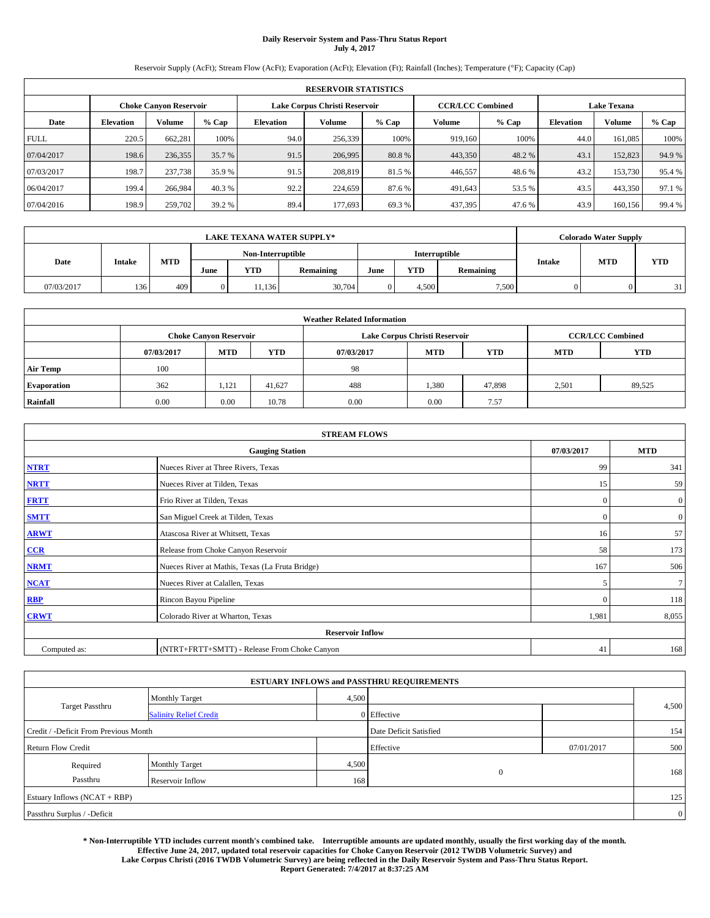# **Daily Reservoir System and Pass-Thru Status Report July 4, 2017**

Reservoir Supply (AcFt); Stream Flow (AcFt); Evaporation (AcFt); Elevation (Ft); Rainfall (Inches); Temperature (°F); Capacity (Cap)

| <b>RESERVOIR STATISTICS</b> |                  |                               |        |           |                               |        |                         |         |                    |               |        |
|-----------------------------|------------------|-------------------------------|--------|-----------|-------------------------------|--------|-------------------------|---------|--------------------|---------------|--------|
|                             |                  | <b>Choke Canyon Reservoir</b> |        |           | Lake Corpus Christi Reservoir |        | <b>CCR/LCC Combined</b> |         | <b>Lake Texana</b> |               |        |
| Date                        | <b>Elevation</b> | <b>Volume</b>                 | % Cap  | Elevation | Volume                        | % Cap  | Volume                  | $%$ Cap | <b>Elevation</b>   | <b>Volume</b> | % Cap  |
| <b>FULL</b>                 | 220.5            | 662.281                       | 100%   | 94.0      | 256,339                       | 100%   | 919,160                 | 100%    | 44.0               | 161,085       | 100%   |
| 07/04/2017                  | 198.6            | 236,355                       | 35.7 % | 91.5      | 206,995                       | 80.8%  | 443,350                 | 48.2%   | 43.1               | 152,823       | 94.9%  |
| 07/03/2017                  | 198.7            | 237,738                       | 35.9 % | 91.5      | 208,819                       | 81.5 % | 446.557                 | 48.6 %  | 43.2               | 153,730       | 95.4 % |
| 06/04/2017                  | 199.4            | 266.984                       | 40.3 % | 92.2      | 224,659                       | 87.6 % | 491.643                 | 53.5 %  | 43.5               | 443,350       | 97.1 % |
| 07/04/2016                  | 198.9            | 259,702                       | 39.2 % | 89.4      | 177,693                       | 69.3 % | 437,395                 | 47.6 %  | 43.9               | 160,156       | 99.4 % |

| <b>LAKE TEXANA WATER SUPPLY*</b> |               |     |      |                   |                  |      |               |           |  | <b>Colorado Water Supply</b> |            |
|----------------------------------|---------------|-----|------|-------------------|------------------|------|---------------|-----------|--|------------------------------|------------|
|                                  |               |     |      | Non-Interruptible |                  |      | Interruptible |           |  |                              | <b>YTD</b> |
| Date                             | <b>Intake</b> | MTD | June | <b>YTD</b>        | <b>Remaining</b> | June | <b>YTD</b>    | Remaining |  | <b>MTD</b><br>Intake         |            |
| 07/03/2017                       | 136           | 409 | 0    | 1,136             | 30,704           |      | 4.500         | 7,500     |  |                              | 31         |

| <b>Weather Related Information</b> |            |                               |            |            |                               |                         |            |            |  |
|------------------------------------|------------|-------------------------------|------------|------------|-------------------------------|-------------------------|------------|------------|--|
|                                    |            | <b>Choke Canyon Reservoir</b> |            |            | Lake Corpus Christi Reservoir | <b>CCR/LCC Combined</b> |            |            |  |
|                                    | 07/03/2017 | <b>MTD</b>                    | <b>YTD</b> | 07/03/2017 | <b>MTD</b>                    | <b>YTD</b>              | <b>MTD</b> | <b>YTD</b> |  |
| <b>Air Temp</b>                    | 100        |                               |            | -98        |                               |                         |            |            |  |
| <b>Evaporation</b>                 | 362        | 1,121                         | 41.627     | 488        | 1,380                         | 47,898                  | 2,501      | 89,525     |  |
| Rainfall                           | 0.00       | 0.00                          | 10.78      | 0.00       | 0.00                          | 7.57                    |            |            |  |

| <b>STREAM FLOWS</b> |                                                 |              |                |  |  |  |  |  |  |
|---------------------|-------------------------------------------------|--------------|----------------|--|--|--|--|--|--|
|                     | 07/03/2017                                      | <b>MTD</b>   |                |  |  |  |  |  |  |
| <b>NTRT</b>         | Nueces River at Three Rivers, Texas             | 99           | 341            |  |  |  |  |  |  |
| <b>NRTT</b>         | Nueces River at Tilden, Texas                   | 15           | 59             |  |  |  |  |  |  |
| <b>FRTT</b>         | Frio River at Tilden, Texas                     | $\mathbf{0}$ | $\mathbf{0}$   |  |  |  |  |  |  |
| <b>SMTT</b>         | San Miguel Creek at Tilden, Texas               | $\mathbf{0}$ | $\overline{0}$ |  |  |  |  |  |  |
| <b>ARWT</b>         | Atascosa River at Whitsett, Texas               | 16           | 57             |  |  |  |  |  |  |
| $CCR$               | Release from Choke Canyon Reservoir             | 58           | 173            |  |  |  |  |  |  |
| <b>NRMT</b>         | Nueces River at Mathis, Texas (La Fruta Bridge) | 167          | 506            |  |  |  |  |  |  |
| <b>NCAT</b>         | Nueces River at Calallen, Texas                 | 5            | $\tau$         |  |  |  |  |  |  |
| RBP                 | Rincon Bayou Pipeline                           | $\mathbf{0}$ | 118            |  |  |  |  |  |  |
| <b>CRWT</b>         | Colorado River at Wharton, Texas                | 1,981        | 8,055          |  |  |  |  |  |  |
|                     | <b>Reservoir Inflow</b>                         |              |                |  |  |  |  |  |  |
| Computed as:        | (NTRT+FRTT+SMTT) - Release From Choke Canyon    | 41           | 168            |  |  |  |  |  |  |

|                                       |                               |       | <b>ESTUARY INFLOWS and PASSTHRU REQUIREMENTS</b> |            |                |
|---------------------------------------|-------------------------------|-------|--------------------------------------------------|------------|----------------|
|                                       | <b>Monthly Target</b>         | 4,500 |                                                  |            |                |
| <b>Target Passthru</b>                | <b>Salinity Relief Credit</b> |       | 0 Effective                                      |            | 4,500          |
| Credit / -Deficit From Previous Month |                               |       | Date Deficit Satisfied                           |            | 154            |
| <b>Return Flow Credit</b>             |                               |       | Effective                                        | 07/01/2017 | 500            |
| Required                              | <b>Monthly Target</b>         | 4,500 |                                                  |            |                |
| Passthru                              | Reservoir Inflow              | 168   | $\mathbf{0}$                                     |            | 168            |
| Estuary Inflows (NCAT + RBP)          |                               |       |                                                  |            | 125            |
| Passthru Surplus / -Deficit           |                               |       |                                                  |            | $\overline{0}$ |

**\* Non-Interruptible YTD includes current month's combined take. Interruptible amounts are updated monthly, usually the first working day of the month. Effective June 24, 2017, updated total reservoir capacities for Choke Canyon Reservoir (2012 TWDB Volumetric Survey) and Lake Corpus Christi (2016 TWDB Volumetric Survey) are being reflected in the Daily Reservoir System and Pass-Thru Status Report. Report Generated: 7/4/2017 at 8:37:25 AM**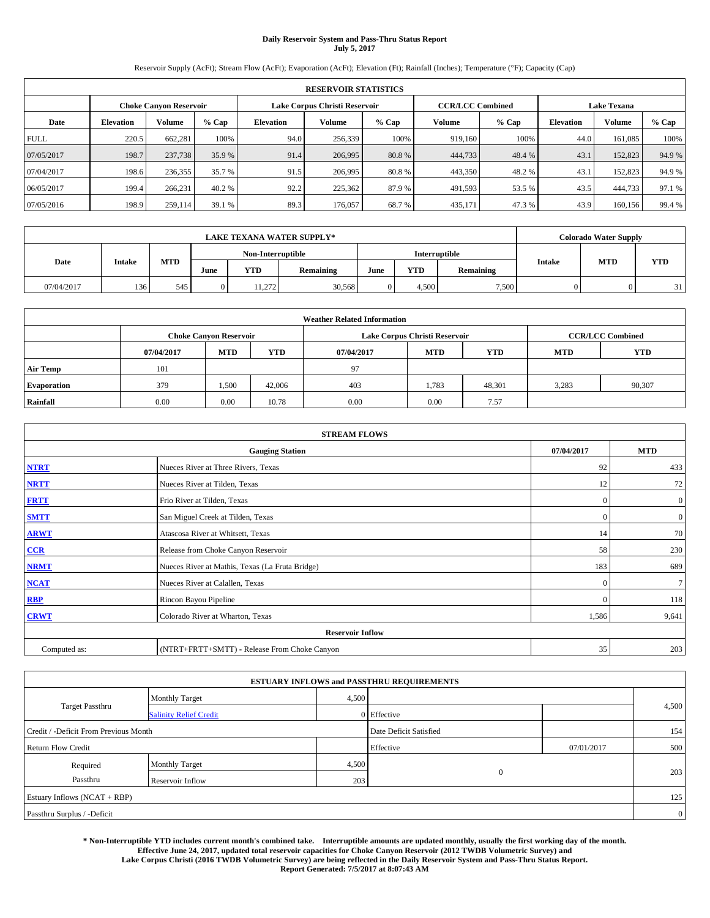# **Daily Reservoir System and Pass-Thru Status Report July 5, 2017**

Reservoir Supply (AcFt); Stream Flow (AcFt); Evaporation (AcFt); Elevation (Ft); Rainfall (Inches); Temperature (°F); Capacity (Cap)

| <b>RESERVOIR STATISTICS</b> |                  |                               |        |                  |                               |        |                         |         |                    |         |        |
|-----------------------------|------------------|-------------------------------|--------|------------------|-------------------------------|--------|-------------------------|---------|--------------------|---------|--------|
|                             |                  | <b>Choke Canvon Reservoir</b> |        |                  | Lake Corpus Christi Reservoir |        | <b>CCR/LCC Combined</b> |         | <b>Lake Texana</b> |         |        |
| Date                        | <b>Elevation</b> | <b>Volume</b>                 | % Cap  | <b>Elevation</b> | Volume                        | % Cap  | Volume                  | $%$ Cap | <b>Elevation</b>   | Volume  | % Cap  |
| <b>FULL</b>                 | 220.5            | 662.281                       | 100%   | 94.0             | 256,339                       | 100%   | 919,160                 | 100%    | 44.0               | 161,085 | 100%   |
| 07/05/2017                  | 198.7            | 237,738                       | 35.9 % | 91.4             | 206,995                       | 80.8%  | 444,733                 | 48.4 %  | 43.1               | 152,823 | 94.9%  |
| 07/04/2017                  | 198.6            | 236,355                       | 35.7 % | 91.5             | 206,995                       | 80.8%  | 443,350                 | 48.2 %  | 43.1               | 152,823 | 94.9 % |
| 06/05/2017                  | 199.4            | 266,231                       | 40.2 % | 92.2             | 225,362                       | 87.9 % | 491,593                 | 53.5 %  | 43.5               | 444,733 | 97.1 % |
| 07/05/2016                  | 198.9            | 259,114                       | 39.1 % | 89.3             | 176,057                       | 68.7%  | 435,171                 | 47.3 %  | 43.9               | 160,156 | 99.4 % |

| <b>LAKE TEXANA WATER SUPPLY*</b> |        |     |      |                   |                  |               |            |                     |  | <b>Colorado Water Supply</b> |            |
|----------------------------------|--------|-----|------|-------------------|------------------|---------------|------------|---------------------|--|------------------------------|------------|
|                                  |        |     |      | Non-Interruptible |                  | Interruptible |            |                     |  |                              |            |
| Date                             | Intake | MTD | June | <b>YTD</b>        | <b>Remaining</b> | June          | <b>YTD</b> | Intake<br>Remaining |  | <b>MTD</b>                   | <b>YTD</b> |
| 07/04/2017                       | 136    | 545 | 0    | 11.272            | 30,568           |               | 4.500      | 7,500               |  |                              | 31         |

| <b>Weather Related Information</b> |            |                               |            |            |                                                      |                         |       |        |  |  |
|------------------------------------|------------|-------------------------------|------------|------------|------------------------------------------------------|-------------------------|-------|--------|--|--|
|                                    |            | <b>Choke Canyon Reservoir</b> |            |            | Lake Corpus Christi Reservoir                        | <b>CCR/LCC Combined</b> |       |        |  |  |
|                                    | 07/04/2017 | <b>MTD</b>                    | <b>YTD</b> | 07/04/2017 | <b>MTD</b><br><b>YTD</b><br><b>YTD</b><br><b>MTD</b> |                         |       |        |  |  |
| <b>Air Temp</b>                    | 101        |                               |            | 97         |                                                      |                         |       |        |  |  |
| <b>Evaporation</b>                 | 379        | 1,500                         | 42,006     | 403        | 1,783                                                | 48,301                  | 3,283 | 90,307 |  |  |
| Rainfall                           | 0.00       | 0.00                          | 10.78      | 0.00       | 0.00                                                 | 7.57                    |       |        |  |  |

| <b>STREAM FLOWS</b> |                                                 |            |                |  |  |  |  |  |  |
|---------------------|-------------------------------------------------|------------|----------------|--|--|--|--|--|--|
|                     | 07/04/2017                                      | <b>MTD</b> |                |  |  |  |  |  |  |
| <b>NTRT</b>         | Nueces River at Three Rivers, Texas             | 92         | 433            |  |  |  |  |  |  |
| <b>NRTT</b>         | Nueces River at Tilden, Texas                   | 12         | 72             |  |  |  |  |  |  |
| <b>FRTT</b>         | Frio River at Tilden, Texas                     | $\Omega$   | $\overline{0}$ |  |  |  |  |  |  |
| <b>SMTT</b>         | San Miguel Creek at Tilden, Texas               | $\Omega$   | $\overline{0}$ |  |  |  |  |  |  |
| <b>ARWT</b>         | Atascosa River at Whitsett, Texas               | 14         | 70             |  |  |  |  |  |  |
| CCR                 | Release from Choke Canyon Reservoir             | 58         | 230            |  |  |  |  |  |  |
| <b>NRMT</b>         | Nueces River at Mathis, Texas (La Fruta Bridge) | 183        | 689            |  |  |  |  |  |  |
| <b>NCAT</b>         | Nueces River at Calallen, Texas                 | $\Omega$   | 7 <sup>1</sup> |  |  |  |  |  |  |
| <b>RBP</b>          | Rincon Bayou Pipeline                           | $\Omega$   | 118            |  |  |  |  |  |  |
| <b>CRWT</b>         | Colorado River at Wharton, Texas                | 1,586      | 9,641          |  |  |  |  |  |  |
|                     | <b>Reservoir Inflow</b>                         |            |                |  |  |  |  |  |  |
| Computed as:        | (NTRT+FRTT+SMTT) - Release From Choke Canyon    | 35         | 203            |  |  |  |  |  |  |

|                                       |                               |       | <b>ESTUARY INFLOWS and PASSTHRU REQUIREMENTS</b> |            |                |
|---------------------------------------|-------------------------------|-------|--------------------------------------------------|------------|----------------|
|                                       | <b>Monthly Target</b>         | 4,500 |                                                  |            |                |
| Target Passthru                       | <b>Salinity Relief Credit</b> |       | $0$ Effective                                    |            | 4,500          |
| Credit / -Deficit From Previous Month |                               |       | Date Deficit Satisfied                           |            | 154            |
| <b>Return Flow Credit</b>             |                               |       | Effective                                        | 07/01/2017 | 500            |
| Required                              | <b>Monthly Target</b>         | 4,500 |                                                  |            |                |
| Passthru                              | Reservoir Inflow              | 203   | $\overline{0}$                                   |            | 203            |
| Estuary Inflows (NCAT + RBP)          |                               |       |                                                  |            | 125            |
| Passthru Surplus / -Deficit           |                               |       |                                                  |            | $\overline{0}$ |

**\* Non-Interruptible YTD includes current month's combined take. Interruptible amounts are updated monthly, usually the first working day of the month. Effective June 24, 2017, updated total reservoir capacities for Choke Canyon Reservoir (2012 TWDB Volumetric Survey) and Lake Corpus Christi (2016 TWDB Volumetric Survey) are being reflected in the Daily Reservoir System and Pass-Thru Status Report. Report Generated: 7/5/2017 at 8:07:43 AM**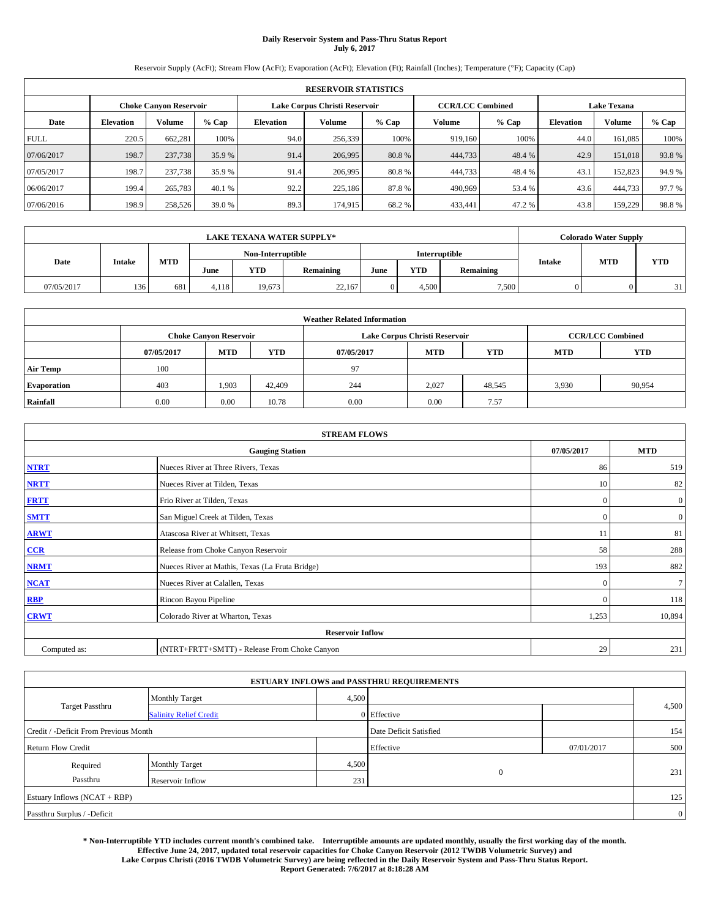# **Daily Reservoir System and Pass-Thru Status Report July 6, 2017**

Reservoir Supply (AcFt); Stream Flow (AcFt); Evaporation (AcFt); Elevation (Ft); Rainfall (Inches); Temperature (°F); Capacity (Cap)

| <b>RESERVOIR STATISTICS</b> |                  |                        |        |           |                               |         |         |                                                                                                                                                                                                                                                      |      |         |        |
|-----------------------------|------------------|------------------------|--------|-----------|-------------------------------|---------|---------|------------------------------------------------------------------------------------------------------------------------------------------------------------------------------------------------------------------------------------------------------|------|---------|--------|
|                             |                  | Choke Canvon Reservoir |        |           | Lake Corpus Christi Reservoir |         |         | <b>Lake Texana</b><br><b>CCR/LCC Combined</b><br>Volume<br>$%$ Cap<br><b>Elevation</b><br>100%<br>44.0<br>919.160<br>161.085<br>444,733<br>48.4 %<br>42.9<br>151,018<br>444,733<br>48.4 %<br>43.1<br>152,823<br>53.4 %<br>444,733<br>490,969<br>43.6 |      |         |        |
| Date                        | <b>Elevation</b> | Volume                 | % Cap  | Elevation | Volume                        | $%$ Cap | Volume  |                                                                                                                                                                                                                                                      |      |         | % Cap  |
| <b>FULL</b>                 | 220.5            | 662.281                | 100%   | 94.0      | 256,339                       | 100%    |         |                                                                                                                                                                                                                                                      |      |         | 100%   |
| 07/06/2017                  | 198.7            | 237,738                | 35.9 % | 91.4      | 206,995                       | 80.8%   |         |                                                                                                                                                                                                                                                      |      |         | 93.8%  |
| 07/05/2017                  | 198.7            | 237,738                | 35.9 % | 91.4      | 206,995                       | 80.8%   |         |                                                                                                                                                                                                                                                      |      |         | 94.9%  |
| 06/06/2017                  | 199.4            | 265,783                | 40.1 % | 92.2      | 225,186                       | 87.8%   |         |                                                                                                                                                                                                                                                      |      |         | 97.7 % |
| 07/06/2016                  | 198.9            | 258,526                | 39.0 % | 89.3      | 174,915                       | 68.2%   | 433,441 | 47.2 %                                                                                                                                                                                                                                               | 43.8 | 159,229 | 98.8%  |

|            | <b>LAKE TEXANA WATER SUPPLY*</b> |     |                                           |            |                  |      |            |           | <b>Colorado Water Supply</b> |            |            |
|------------|----------------------------------|-----|-------------------------------------------|------------|------------------|------|------------|-----------|------------------------------|------------|------------|
|            | <b>Intake</b>                    |     | Non-Interruptible<br><b>Interruptible</b> |            |                  |      |            |           |                              |            |            |
| Date       |                                  | MTD | June                                      | <b>YTD</b> | <b>Remaining</b> | June | <b>YTD</b> | Remaining | Intake                       | <b>MTD</b> | <b>YTD</b> |
| 07/05/2017 | 136                              | 681 | 4.118                                     | 19.673     | 22.167           |      | 4.500      | 7,500     |                              |            | 31         |

| <b>Weather Related Information</b> |            |                                                                                  |        |      |                               |        |       |                         |  |  |
|------------------------------------|------------|----------------------------------------------------------------------------------|--------|------|-------------------------------|--------|-------|-------------------------|--|--|
|                                    |            | <b>Choke Canyon Reservoir</b>                                                    |        |      | Lake Corpus Christi Reservoir |        |       | <b>CCR/LCC Combined</b> |  |  |
|                                    | 07/05/2017 | <b>YTD</b><br><b>MTD</b><br><b>MTD</b><br><b>YTD</b><br>07/05/2017<br><b>MTD</b> |        |      |                               |        |       |                         |  |  |
| <b>Air Temp</b>                    | 100        |                                                                                  |        | 97   |                               |        |       |                         |  |  |
| <b>Evaporation</b>                 | 403        | 1,903                                                                            | 42,409 | 244  | 2,027                         | 48,545 | 3,930 | 90,954                  |  |  |
| Rainfall                           | 0.00       | 0.00                                                                             | 10.78  | 0.00 | 0.00                          | 7.57   |       |                         |  |  |

| <b>STREAM FLOWS</b> |                                                 |              |                  |  |  |  |  |  |  |
|---------------------|-------------------------------------------------|--------------|------------------|--|--|--|--|--|--|
|                     | <b>Gauging Station</b>                          | 07/05/2017   | <b>MTD</b>       |  |  |  |  |  |  |
| <b>NTRT</b>         | Nueces River at Three Rivers, Texas             | 86           | 519              |  |  |  |  |  |  |
| <b>NRTT</b>         | Nueces River at Tilden, Texas                   | 10           | 82               |  |  |  |  |  |  |
| <b>FRTT</b>         | Frio River at Tilden, Texas                     | $\mathbf{0}$ | $\boldsymbol{0}$ |  |  |  |  |  |  |
| <b>SMTT</b>         | San Miguel Creek at Tilden, Texas               | $\mathbf{0}$ | $\overline{0}$   |  |  |  |  |  |  |
| <b>ARWT</b>         | Atascosa River at Whitsett, Texas               | 11           | 81               |  |  |  |  |  |  |
| CCR                 | Release from Choke Canyon Reservoir             | 58           | 288              |  |  |  |  |  |  |
| <b>NRMT</b>         | Nueces River at Mathis, Texas (La Fruta Bridge) | 193          | 882              |  |  |  |  |  |  |
| <b>NCAT</b>         | Nueces River at Calallen, Texas                 | $\mathbf{0}$ | $7\phantom{.0}$  |  |  |  |  |  |  |
| RBP                 | Rincon Bayou Pipeline                           | $\Omega$     | 118              |  |  |  |  |  |  |
| <b>CRWT</b>         | Colorado River at Wharton, Texas                | 1,253        | 10,894           |  |  |  |  |  |  |
|                     | <b>Reservoir Inflow</b>                         |              |                  |  |  |  |  |  |  |
| Computed as:        | (NTRT+FRTT+SMTT) - Release From Choke Canyon    | 29           | 231              |  |  |  |  |  |  |

|                                       |                               |       | <b>ESTUARY INFLOWS and PASSTHRU REQUIREMENTS</b> |            |                |
|---------------------------------------|-------------------------------|-------|--------------------------------------------------|------------|----------------|
|                                       | <b>Monthly Target</b>         | 4,500 |                                                  |            |                |
| Target Passthru                       | <b>Salinity Relief Credit</b> |       | $0$ Effective                                    |            | 4,500          |
| Credit / -Deficit From Previous Month |                               |       | Date Deficit Satisfied                           |            | 154            |
| <b>Return Flow Credit</b>             |                               |       | Effective                                        | 07/01/2017 | 500            |
| Required                              | <b>Monthly Target</b>         | 4,500 |                                                  |            |                |
| Passthru                              | Reservoir Inflow              | 231   | $\overline{0}$                                   |            | 231            |
| Estuary Inflows (NCAT + RBP)          |                               |       |                                                  |            | 125            |
| Passthru Surplus / -Deficit           |                               |       |                                                  |            | $\overline{0}$ |

**\* Non-Interruptible YTD includes current month's combined take. Interruptible amounts are updated monthly, usually the first working day of the month. Effective June 24, 2017, updated total reservoir capacities for Choke Canyon Reservoir (2012 TWDB Volumetric Survey) and Lake Corpus Christi (2016 TWDB Volumetric Survey) are being reflected in the Daily Reservoir System and Pass-Thru Status Report. Report Generated: 7/6/2017 at 8:18:28 AM**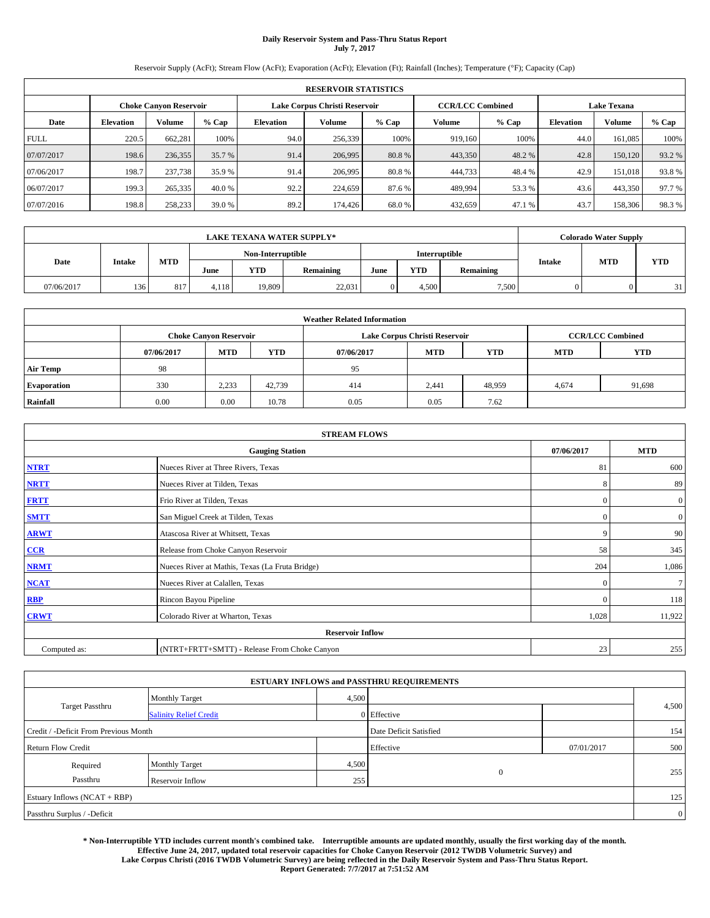# **Daily Reservoir System and Pass-Thru Status Report July 7, 2017**

Reservoir Supply (AcFt); Stream Flow (AcFt); Evaporation (AcFt); Elevation (Ft); Rainfall (Inches); Temperature (°F); Capacity (Cap)

|             | <b>RESERVOIR STATISTICS</b> |                               |        |           |                               |        |         |                                                                                                                              |      |         |        |
|-------------|-----------------------------|-------------------------------|--------|-----------|-------------------------------|--------|---------|------------------------------------------------------------------------------------------------------------------------------|------|---------|--------|
|             |                             | <b>Choke Canvon Reservoir</b> |        |           | Lake Corpus Christi Reservoir |        |         | <b>Lake Texana</b><br><b>CCR/LCC Combined</b><br>Volume<br>$%$ Cap<br><b>Elevation</b><br>100%<br>44.0<br>919,160<br>161,085 |      |         |        |
| Date        | <b>Elevation</b>            | <b>Volume</b>                 | % Cap  | Elevation | Volume                        | % Cap  | Volume  |                                                                                                                              |      |         | % Cap  |
| <b>FULL</b> | 220.5                       | 662.281                       | 100%   | 94.0      | 256,339                       | 100%   |         |                                                                                                                              |      |         | 100%   |
| 07/07/2017  | 198.6                       | 236,355                       | 35.7 % | 91.4      | 206,995                       | 80.8%  | 443,350 | 48.2%                                                                                                                        | 42.8 | 150,120 | 93.2%  |
| 07/06/2017  | 198.7                       | 237,738                       | 35.9 % | 91.4      | 206,995                       | 80.8%  | 444,733 | 48.4 %                                                                                                                       | 42.9 | 151,018 | 93.8%  |
| 06/07/2017  | 199.3                       | 265,335                       | 40.0 % | 92.2      | 224,659                       | 87.6 % | 489.994 | 53.3 %                                                                                                                       | 43.6 | 443,350 | 97.7 % |
| 07/07/2016  | 198.8                       | 258,233                       | 39.0%  | 89.2      | 174,426                       | 68.0%  | 432,659 | 47.1 %                                                                                                                       | 43.7 | 158,306 | 98.3%  |

|            | <b>LAKE TEXANA WATER SUPPLY*</b> |     |                   |            |                  |      |               |           | <b>Colorado Water Supply</b> |            |            |
|------------|----------------------------------|-----|-------------------|------------|------------------|------|---------------|-----------|------------------------------|------------|------------|
|            | <b>Intake</b>                    |     | Non-Interruptible |            |                  |      | Interruptible |           |                              |            |            |
| Date       |                                  | MTD | June              | <b>YTD</b> | <b>Remaining</b> | June | YTD           | Remaining | Intake                       | <b>MTD</b> | <b>YTD</b> |
| 07/06/2017 | 136                              | 817 | 4.118             | 19.809     | 22,031           |      | 4.500         | 7,500     |                              |            | 31         |

| <b>Weather Related Information</b> |            |                                                                                  |        |      |                               |        |       |                         |  |  |
|------------------------------------|------------|----------------------------------------------------------------------------------|--------|------|-------------------------------|--------|-------|-------------------------|--|--|
|                                    |            | <b>Choke Canyon Reservoir</b>                                                    |        |      | Lake Corpus Christi Reservoir |        |       | <b>CCR/LCC Combined</b> |  |  |
|                                    | 07/06/2017 | <b>YTD</b><br><b>MTD</b><br><b>MTD</b><br><b>YTD</b><br>07/06/2017<br><b>MTD</b> |        |      |                               |        |       |                         |  |  |
| <b>Air Temp</b>                    | 98         |                                                                                  |        | 95   |                               |        |       |                         |  |  |
| <b>Evaporation</b>                 | 330        | 2,233                                                                            | 42,739 | 414  | 2,441                         | 48,959 | 4,674 | 91,698                  |  |  |
| Rainfall                           | 0.00       | 0.00                                                                             | 10.78  | 0.05 | 0.05                          | 7.62   |       |                         |  |  |

| <b>STREAM FLOWS</b>     |                                                 |              |                  |  |  |  |  |  |  |
|-------------------------|-------------------------------------------------|--------------|------------------|--|--|--|--|--|--|
|                         | <b>Gauging Station</b>                          | 07/06/2017   | <b>MTD</b>       |  |  |  |  |  |  |
| <b>NTRT</b>             | Nueces River at Three Rivers, Texas             | 81           | 600              |  |  |  |  |  |  |
| <b>NRTT</b>             | Nueces River at Tilden, Texas                   | 8            | 89               |  |  |  |  |  |  |
| <b>FRTT</b>             | Frio River at Tilden, Texas                     | $\Omega$     | $\boldsymbol{0}$ |  |  |  |  |  |  |
| <b>SMTT</b>             | San Miguel Creek at Tilden, Texas               | $\mathbf{0}$ | $\mathbf{0}$     |  |  |  |  |  |  |
| <b>ARWT</b>             | Atascosa River at Whitsett, Texas               | 9            | 90               |  |  |  |  |  |  |
| $CCR$                   | Release from Choke Canyon Reservoir             | 58           | 345              |  |  |  |  |  |  |
| <b>NRMT</b>             | Nueces River at Mathis, Texas (La Fruta Bridge) | 204          | 1,086            |  |  |  |  |  |  |
| <b>NCAT</b>             | Nueces River at Calallen, Texas                 | $\Omega$     | $\tau$           |  |  |  |  |  |  |
| RBP                     | Rincon Bayou Pipeline                           | $\Omega$     | 118              |  |  |  |  |  |  |
| <b>CRWT</b>             | Colorado River at Wharton, Texas                | 1,028        | 11,922           |  |  |  |  |  |  |
| <b>Reservoir Inflow</b> |                                                 |              |                  |  |  |  |  |  |  |
| Computed as:            | (NTRT+FRTT+SMTT) - Release From Choke Canyon    | 23           | 255              |  |  |  |  |  |  |

|                                       |                               |       | <b>ESTUARY INFLOWS and PASSTHRU REQUIREMENTS</b> |            |                |
|---------------------------------------|-------------------------------|-------|--------------------------------------------------|------------|----------------|
|                                       | <b>Monthly Target</b>         | 4,500 |                                                  |            |                |
| <b>Target Passthru</b>                | <b>Salinity Relief Credit</b> |       | $0$ Effective                                    |            | 4,500          |
| Credit / -Deficit From Previous Month |                               |       | Date Deficit Satisfied                           |            | 154            |
| <b>Return Flow Credit</b>             |                               |       | Effective                                        | 07/01/2017 | 500            |
| Required                              | <b>Monthly Target</b>         | 4,500 |                                                  |            |                |
| Passthru                              | Reservoir Inflow              | 255   | $\overline{0}$                                   |            | 255            |
| Estuary Inflows (NCAT + RBP)          |                               |       |                                                  |            | 125            |
| Passthru Surplus / -Deficit           |                               |       |                                                  |            | $\overline{0}$ |

**\* Non-Interruptible YTD includes current month's combined take. Interruptible amounts are updated monthly, usually the first working day of the month. Effective June 24, 2017, updated total reservoir capacities for Choke Canyon Reservoir (2012 TWDB Volumetric Survey) and Lake Corpus Christi (2016 TWDB Volumetric Survey) are being reflected in the Daily Reservoir System and Pass-Thru Status Report. Report Generated: 7/7/2017 at 7:51:52 AM**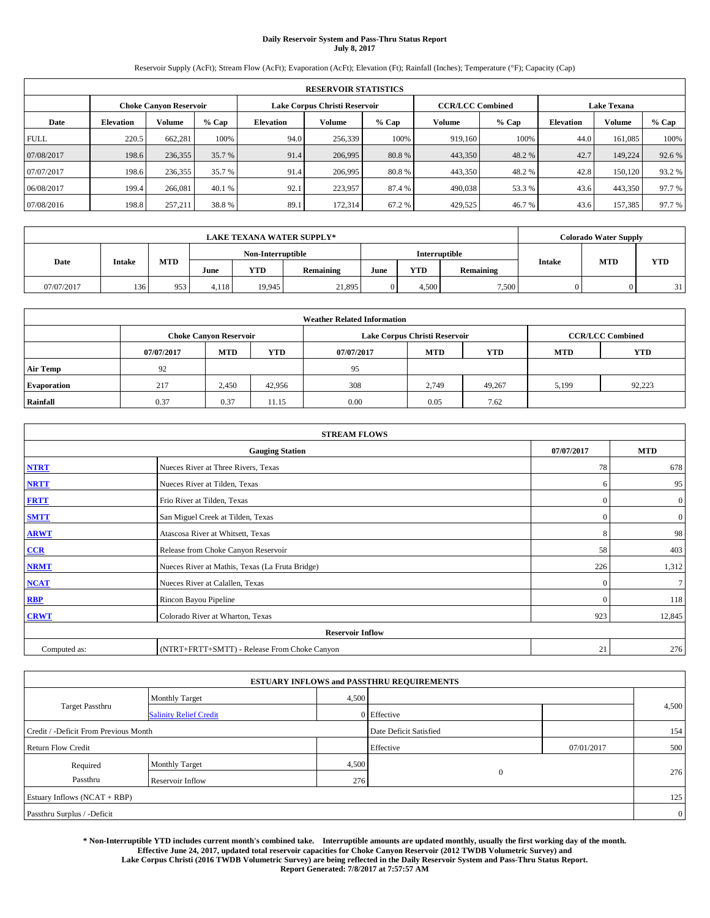# **Daily Reservoir System and Pass-Thru Status Report July 8, 2017**

Reservoir Supply (AcFt); Stream Flow (AcFt); Evaporation (AcFt); Elevation (Ft); Rainfall (Inches); Temperature (°F); Capacity (Cap)

| <b>RESERVOIR STATISTICS</b> |                  |                        |        |           |                               |         |                         |         |                                                                                                                   |         |        |
|-----------------------------|------------------|------------------------|--------|-----------|-------------------------------|---------|-------------------------|---------|-------------------------------------------------------------------------------------------------------------------|---------|--------|
|                             |                  | Choke Canvon Reservoir |        |           | Lake Corpus Christi Reservoir |         | <b>CCR/LCC Combined</b> |         | <b>Lake Texana</b><br>Volume<br><b>Elevation</b><br>100%<br>44.0<br>161.085<br>42.7<br>149.224<br>42.8<br>150,120 |         |        |
| Date                        | <b>Elevation</b> | Volume                 | % Cap  | Elevation | Volume                        | $%$ Cap | Volume                  | $%$ Cap |                                                                                                                   |         | % Cap  |
| <b>FULL</b>                 | 220.5            | 662.281                | 100%   | 94.0      | 256,339                       | 100%    | 919.160                 |         |                                                                                                                   |         | 100%   |
| 07/08/2017                  | 198.6            | 236,355                | 35.7 % | 91.4      | 206,995                       | 80.8%   | 443,350                 | 48.2 %  |                                                                                                                   |         | 92.6%  |
| 07/07/2017                  | 198.6            | 236,355                | 35.7 % | 91.4      | 206,995                       | 80.8%   | 443,350                 | 48.2 %  |                                                                                                                   |         | 93.2%  |
| 06/08/2017                  | 199.4            | 266,081                | 40.1 % | 92.1      | 223.957                       | 87.4 %  | 490.038                 | 53.3 %  | 43.6                                                                                                              | 443,350 | 97.7 % |
| 07/08/2016                  | 198.8            | 257,211                | 38.8%  | 89.1      | 172.314                       | 67.2%   | 429,525                 | 46.7 %  | 43.6                                                                                                              | 157,385 | 97.7 % |

|            | <b>LAKE TEXANA WATER SUPPLY*</b> |     |       |                   |                  |      |                      |           |        | <b>Colorado Water Supply</b> |            |
|------------|----------------------------------|-----|-------|-------------------|------------------|------|----------------------|-----------|--------|------------------------------|------------|
|            |                                  |     |       | Non-Interruptible |                  |      | <b>Interruptible</b> |           |        | <b>MTD</b>                   |            |
| Date       | <b>Intake</b>                    | MTD | June  | <b>YTD</b>        | <b>Remaining</b> | June | <b>YTD</b>           | Remaining | Intake |                              | <b>YTD</b> |
| 07/07/2017 | 136                              | 953 | 4.118 | 19.945            | 21.895           |      | 4.500                | 7,500     |        |                              | 31         |

|                    | <b>Weather Related Information</b> |                               |            |            |                               |                         |            |            |  |  |  |  |
|--------------------|------------------------------------|-------------------------------|------------|------------|-------------------------------|-------------------------|------------|------------|--|--|--|--|
|                    |                                    | <b>Choke Canyon Reservoir</b> |            |            | Lake Corpus Christi Reservoir | <b>CCR/LCC Combined</b> |            |            |  |  |  |  |
|                    | 07/07/2017                         | <b>MTD</b>                    | <b>YTD</b> | 07/07/2017 | <b>MTD</b>                    | <b>YTD</b>              | <b>MTD</b> | <b>YTD</b> |  |  |  |  |
| <b>Air Temp</b>    | 92                                 |                               |            | 95         |                               |                         |            |            |  |  |  |  |
| <b>Evaporation</b> | 217                                | 2,450                         | 42,956     | 308        | 2.749                         | 49.267                  | 5,199      | 92,223     |  |  |  |  |
| Rainfall           | 0.37                               | 0.37                          | 11.15      | 0.00       | 0.05                          | 7.62                    |            |            |  |  |  |  |

| <b>STREAM FLOWS</b> |                                                 |              |                  |  |  |  |  |  |
|---------------------|-------------------------------------------------|--------------|------------------|--|--|--|--|--|
|                     | <b>Gauging Station</b>                          | 07/07/2017   | <b>MTD</b>       |  |  |  |  |  |
| <b>NTRT</b>         | Nueces River at Three Rivers, Texas             | 78           | 678              |  |  |  |  |  |
| <b>NRTT</b>         | Nueces River at Tilden, Texas                   | 6            | 95               |  |  |  |  |  |
| <b>FRTT</b>         | Frio River at Tilden, Texas                     | $\mathbf{0}$ | $\boldsymbol{0}$ |  |  |  |  |  |
| <b>SMTT</b>         | San Miguel Creek at Tilden, Texas               | $\mathbf{0}$ | $\mathbf{0}$     |  |  |  |  |  |
| <b>ARWT</b>         | Atascosa River at Whitsett, Texas               | 8            | 98               |  |  |  |  |  |
| $CCR$               | Release from Choke Canyon Reservoir             | 58           | 403              |  |  |  |  |  |
| <b>NRMT</b>         | Nueces River at Mathis, Texas (La Fruta Bridge) | 226          | 1,312            |  |  |  |  |  |
| <b>NCAT</b>         | Nueces River at Calallen, Texas                 | $\Omega$     | $\tau$           |  |  |  |  |  |
| RBP                 | Rincon Bayou Pipeline                           | $\Omega$     | 118              |  |  |  |  |  |
| <b>CRWT</b>         | Colorado River at Wharton, Texas                | 923          | 12,845           |  |  |  |  |  |
|                     | <b>Reservoir Inflow</b>                         |              |                  |  |  |  |  |  |
| Computed as:        | (NTRT+FRTT+SMTT) - Release From Choke Canyon    | 21           | 276              |  |  |  |  |  |

|                                       |                               |       | <b>ESTUARY INFLOWS and PASSTHRU REQUIREMENTS</b> |            |                |
|---------------------------------------|-------------------------------|-------|--------------------------------------------------|------------|----------------|
|                                       | <b>Monthly Target</b>         | 4,500 |                                                  |            |                |
| Target Passthru                       | <b>Salinity Relief Credit</b> |       | $0$ Effective                                    |            | 4,500          |
| Credit / -Deficit From Previous Month |                               |       | Date Deficit Satisfied                           |            | 154            |
| <b>Return Flow Credit</b>             |                               |       | Effective                                        | 07/01/2017 | 500            |
| Required                              | <b>Monthly Target</b>         | 4,500 |                                                  |            |                |
| Passthru                              | Reservoir Inflow              | 276   | $\overline{0}$                                   |            | 276            |
| Estuary Inflows (NCAT + RBP)          |                               |       |                                                  |            | 125            |
| Passthru Surplus / -Deficit           |                               |       |                                                  |            | $\overline{0}$ |

**\* Non-Interruptible YTD includes current month's combined take. Interruptible amounts are updated monthly, usually the first working day of the month. Effective June 24, 2017, updated total reservoir capacities for Choke Canyon Reservoir (2012 TWDB Volumetric Survey) and Lake Corpus Christi (2016 TWDB Volumetric Survey) are being reflected in the Daily Reservoir System and Pass-Thru Status Report. Report Generated: 7/8/2017 at 7:57:57 AM**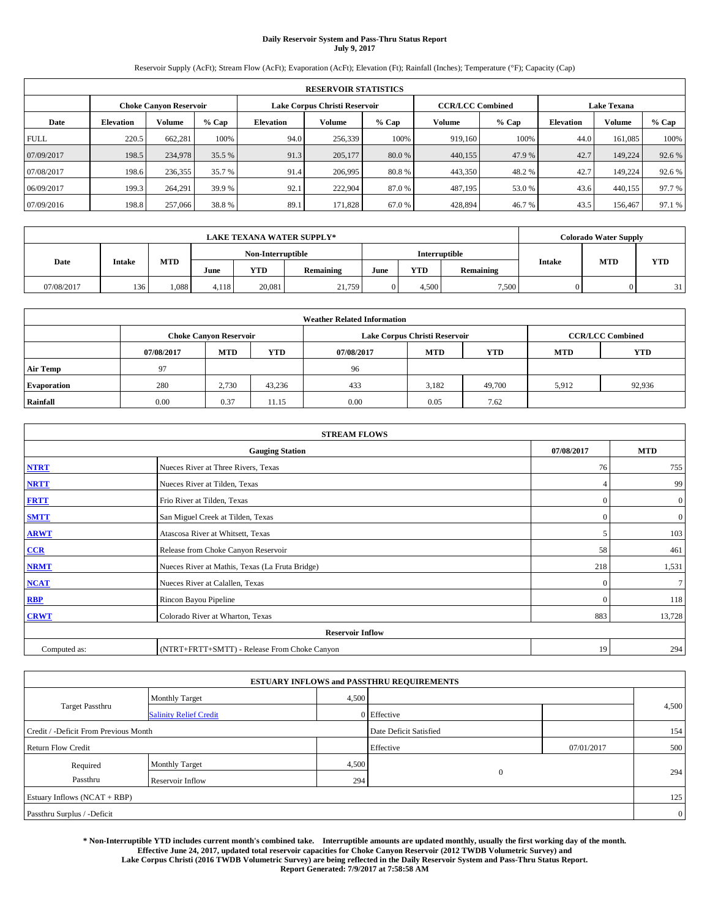# **Daily Reservoir System and Pass-Thru Status Report July 9, 2017**

Reservoir Supply (AcFt); Stream Flow (AcFt); Evaporation (AcFt); Elevation (Ft); Rainfall (Inches); Temperature (°F); Capacity (Cap)

|             | <b>RESERVOIR STATISTICS</b> |                        |        |           |                               |         |                         |         |                    |         |        |  |  |
|-------------|-----------------------------|------------------------|--------|-----------|-------------------------------|---------|-------------------------|---------|--------------------|---------|--------|--|--|
|             |                             | Choke Canvon Reservoir |        |           | Lake Corpus Christi Reservoir |         | <b>CCR/LCC Combined</b> |         | <b>Lake Texana</b> |         |        |  |  |
| Date        | <b>Elevation</b>            | Volume                 | % Cap  | Elevation | Volume                        | $%$ Cap | Volume                  | $%$ Cap | <b>Elevation</b>   | Volume  | % Cap  |  |  |
| <b>FULL</b> | 220.5                       | 662.281                | 100%   | 94.0      | 256,339                       | 100%    | 919.160                 | 100%    | 44.0               | 161.085 | 100%   |  |  |
| 07/09/2017  | 198.5                       | 234,978                | 35.5 % | 91.3      | 205,177                       | 80.0%   | 440,155                 | 47.9 %  | 42.7               | 149.224 | 92.6%  |  |  |
| 07/08/2017  | 198.6                       | 236,355                | 35.7 % | 91.4      | 206,995                       | 80.8%   | 443,350                 | 48.2 %  | 42.7               | 149.224 | 92.6 % |  |  |
| 06/09/2017  | 199.3                       | 264,291                | 39.9 % | 92.1      | 222,904                       | 87.0 %  | 487,195                 | 53.0 %  | 43.6               | 440,155 | 97.7 % |  |  |
| 07/09/2016  | 198.8                       | 257,066                | 38.8%  | 89.1      | 171.828                       | 67.0 %  | 428,894                 | 46.7 %  | 43.5               | 156,467 | 97.1 % |  |  |

|            | <b>LAKE TEXANA WATER SUPPLY*</b> |            |       |                   |           |      |            |               |               | <b>Colorado Water Supply</b> |            |
|------------|----------------------------------|------------|-------|-------------------|-----------|------|------------|---------------|---------------|------------------------------|------------|
|            |                                  |            |       | Non-Interruptible |           |      |            | Interruptible |               | <b>MTD</b>                   |            |
| Date       | <b>Intake</b>                    | <b>MTD</b> | June  | <b>YTD</b>        | Remaining | June | <b>YTD</b> | Remaining     | <b>Intake</b> |                              | <b>YTD</b> |
| 07/08/2017 | 136                              | 1.088      | 4.118 | 20,081            | 21,759    |      | 4.500      | 7,500         |               |                              | 31         |

|                    | <b>Weather Related Information</b> |                               |            |            |                               |                         |            |            |  |  |  |  |
|--------------------|------------------------------------|-------------------------------|------------|------------|-------------------------------|-------------------------|------------|------------|--|--|--|--|
|                    |                                    | <b>Choke Canyon Reservoir</b> |            |            | Lake Corpus Christi Reservoir | <b>CCR/LCC Combined</b> |            |            |  |  |  |  |
|                    | 07/08/2017                         | <b>MTD</b>                    | <b>YTD</b> | 07/08/2017 | <b>MTD</b>                    | <b>YTD</b>              | <b>MTD</b> | <b>YTD</b> |  |  |  |  |
| <b>Air Temp</b>    | 97                                 |                               |            | 96         |                               |                         |            |            |  |  |  |  |
| <b>Evaporation</b> | 280                                | 2.730                         | 43.236     | 433        | 3,182                         | 49,700                  | 5,912      | 92,936     |  |  |  |  |
| Rainfall           | 0.00                               | 0.37                          | 11.15      | 0.00       | 0.05                          | 7.62                    |            |            |  |  |  |  |

| <b>STREAM FLOWS</b> |                                                 |                |                  |  |  |  |  |  |
|---------------------|-------------------------------------------------|----------------|------------------|--|--|--|--|--|
|                     | <b>Gauging Station</b>                          | 07/08/2017     | <b>MTD</b>       |  |  |  |  |  |
| <b>NTRT</b>         | Nueces River at Three Rivers, Texas             | 76             | 755              |  |  |  |  |  |
| <b>NRTT</b>         | Nueces River at Tilden, Texas                   | $\overline{4}$ | 99               |  |  |  |  |  |
| <b>FRTT</b>         | Frio River at Tilden, Texas                     | $\mathbf{0}$   | $\boldsymbol{0}$ |  |  |  |  |  |
| <b>SMTT</b>         | San Miguel Creek at Tilden, Texas               | $\mathbf{0}$   | $\overline{0}$   |  |  |  |  |  |
| <b>ARWT</b>         | Atascosa River at Whitsett, Texas               | 5              | 103              |  |  |  |  |  |
| CCR                 | Release from Choke Canyon Reservoir             | 58             | 461              |  |  |  |  |  |
| <b>NRMT</b>         | Nueces River at Mathis, Texas (La Fruta Bridge) | 218            | 1,531            |  |  |  |  |  |
| <b>NCAT</b>         | Nueces River at Calallen, Texas                 | $\mathbf{0}$   | $\tau$           |  |  |  |  |  |
| RBP                 | Rincon Bayou Pipeline                           | $\Omega$       | 118              |  |  |  |  |  |
| <b>CRWT</b>         | Colorado River at Wharton, Texas                | 883            | 13,728           |  |  |  |  |  |
|                     | <b>Reservoir Inflow</b>                         |                |                  |  |  |  |  |  |
| Computed as:        | (NTRT+FRTT+SMTT) - Release From Choke Canyon    | 19             | 294              |  |  |  |  |  |

|                                       |                               |       | <b>ESTUARY INFLOWS and PASSTHRU REQUIREMENTS</b> |            |                |
|---------------------------------------|-------------------------------|-------|--------------------------------------------------|------------|----------------|
|                                       | <b>Monthly Target</b>         | 4,500 |                                                  |            |                |
| <b>Target Passthru</b>                | <b>Salinity Relief Credit</b> |       | 0 Effective                                      |            | 4,500          |
| Credit / -Deficit From Previous Month |                               |       | Date Deficit Satisfied                           |            | 154            |
| <b>Return Flow Credit</b>             |                               |       | Effective                                        | 07/01/2017 | 500            |
| Required                              | Monthly Target                | 4,500 |                                                  |            |                |
| Passthru                              | Reservoir Inflow              | 294   | $\overline{0}$                                   |            | 294            |
| Estuary Inflows (NCAT + RBP)          |                               |       |                                                  |            | 125            |
| Passthru Surplus / -Deficit           |                               |       |                                                  |            | $\overline{0}$ |

**\* Non-Interruptible YTD includes current month's combined take. Interruptible amounts are updated monthly, usually the first working day of the month. Effective June 24, 2017, updated total reservoir capacities for Choke Canyon Reservoir (2012 TWDB Volumetric Survey) and Lake Corpus Christi (2016 TWDB Volumetric Survey) are being reflected in the Daily Reservoir System and Pass-Thru Status Report. Report Generated: 7/9/2017 at 7:58:58 AM**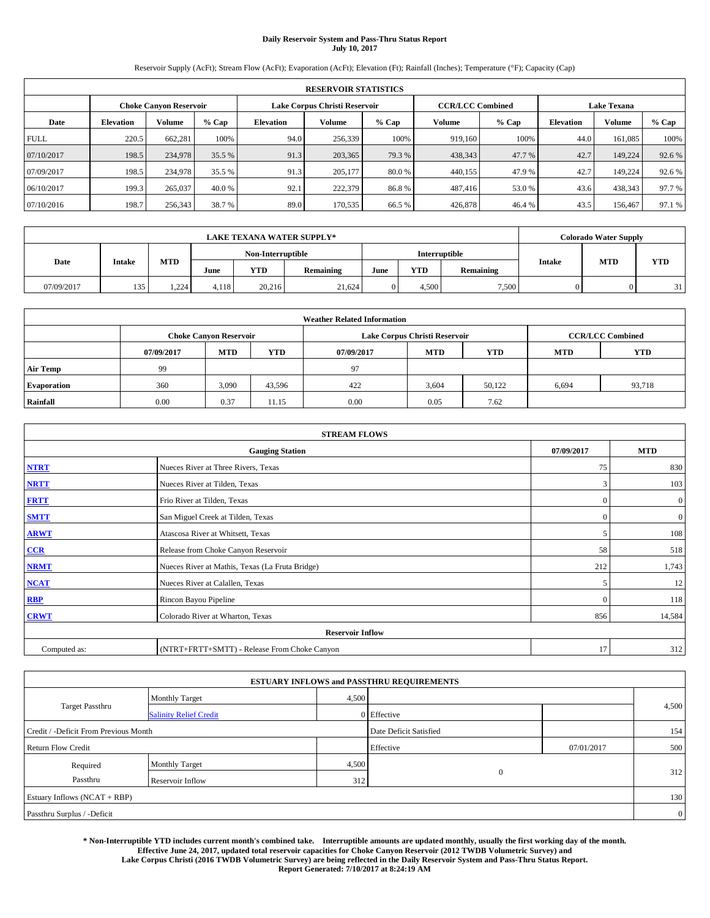# **Daily Reservoir System and Pass-Thru Status Report July 10, 2017**

Reservoir Supply (AcFt); Stream Flow (AcFt); Evaporation (AcFt); Elevation (Ft); Rainfall (Inches); Temperature (°F); Capacity (Cap)

|             | <b>RESERVOIR STATISTICS</b> |                        |        |                               |         |         |                         |         |                    |         |        |  |  |
|-------------|-----------------------------|------------------------|--------|-------------------------------|---------|---------|-------------------------|---------|--------------------|---------|--------|--|--|
|             |                             | Choke Canvon Reservoir |        | Lake Corpus Christi Reservoir |         |         | <b>CCR/LCC Combined</b> |         | <b>Lake Texana</b> |         |        |  |  |
| Date        | <b>Elevation</b>            | <b>Volume</b>          | % Cap  | Elevation                     | Volume  | $%$ Cap | Volume                  | $%$ Cap | <b>Elevation</b>   | Volume  | % Cap  |  |  |
| <b>FULL</b> | 220.5                       | 662.281                | 100%   | 94.0                          | 256,339 | 100%    | 919.160                 | 100%    | 44.0               | 161.085 | 100%   |  |  |
| 07/10/2017  | 198.5                       | 234,978                | 35.5 % | 91.3                          | 203,365 | 79.3 %  | 438,343                 | 47.7 %  | 42.7               | 149.224 | 92.6%  |  |  |
| 07/09/2017  | 198.5                       | 234,978                | 35.5 % | 91.3                          | 205,177 | 80.0 %  | 440,155                 | 47.9 %  | 42.7               | 149.224 | 92.6 % |  |  |
| 06/10/2017  | 199.3                       | 265,037                | 40.0 % | 92.1                          | 222,379 | 86.8%   | 487,416                 | 53.0 %  | 43.6               | 438,343 | 97.7 % |  |  |
| 07/10/2016  | 198.7                       | 256,343                | 38.7 % | 89.0                          | 170,535 | 66.5%   | 426,878                 | 46.4 %  | 43.5               | 156,467 | 97.1 % |  |  |

|            | <b>LAKE TEXANA WATER SUPPLY*</b> |            |       |                   |           |      |            |               |               | <b>Colorado Water Supply</b> |            |
|------------|----------------------------------|------------|-------|-------------------|-----------|------|------------|---------------|---------------|------------------------------|------------|
|            |                                  |            |       | Non-Interruptible |           |      |            | Interruptible |               | <b>MTD</b>                   |            |
| Date       | <b>Intake</b>                    | <b>MTD</b> | June  | <b>YTD</b>        | Remaining | June | <b>YTD</b> | Remaining     | <b>Intake</b> |                              | <b>YTD</b> |
| 07/09/2017 | 135                              | 1.224      | 4.118 | 20.216            | 21,624    |      | 4.500      | 7,500         |               |                              | 31         |

|                    | <b>Weather Related Information</b> |                               |            |            |                               |                         |            |            |  |  |  |  |
|--------------------|------------------------------------|-------------------------------|------------|------------|-------------------------------|-------------------------|------------|------------|--|--|--|--|
|                    |                                    | <b>Choke Canyon Reservoir</b> |            |            | Lake Corpus Christi Reservoir | <b>CCR/LCC Combined</b> |            |            |  |  |  |  |
|                    | 07/09/2017                         | <b>MTD</b>                    | <b>YTD</b> | 07/09/2017 | <b>MTD</b>                    | <b>YTD</b>              | <b>MTD</b> | <b>YTD</b> |  |  |  |  |
| <b>Air Temp</b>    | 99                                 |                               |            | 97         |                               |                         |            |            |  |  |  |  |
| <b>Evaporation</b> | 360                                | 3,090                         | 43,596     | 422        | 3,604                         | 50.122                  | 6,694      | 93,718     |  |  |  |  |
| Rainfall           | 0.00                               | 0.37                          | 11.15      | 0.00       | 0.05                          | 7.62                    |            |            |  |  |  |  |

| <b>STREAM FLOWS</b> |                                                 |              |                  |  |  |  |  |  |  |
|---------------------|-------------------------------------------------|--------------|------------------|--|--|--|--|--|--|
|                     | <b>Gauging Station</b>                          |              |                  |  |  |  |  |  |  |
| <b>NTRT</b>         | Nueces River at Three Rivers, Texas             | 75           | 830              |  |  |  |  |  |  |
| <b>NRTT</b>         | Nueces River at Tilden, Texas                   | 3            | 103              |  |  |  |  |  |  |
| <b>FRTT</b>         | Frio River at Tilden, Texas                     | $\mathbf{0}$ | $\boldsymbol{0}$ |  |  |  |  |  |  |
| <b>SMTT</b>         | San Miguel Creek at Tilden, Texas               | $\mathbf{0}$ | $\overline{0}$   |  |  |  |  |  |  |
| <b>ARWT</b>         | Atascosa River at Whitsett, Texas               |              |                  |  |  |  |  |  |  |
| CCR                 | Release from Choke Canyon Reservoir             |              |                  |  |  |  |  |  |  |
| <b>NRMT</b>         | Nueces River at Mathis, Texas (La Fruta Bridge) | 212          | 1,743            |  |  |  |  |  |  |
| <b>NCAT</b>         | Nueces River at Calallen, Texas                 | 5            | 12               |  |  |  |  |  |  |
| RBP                 | Rincon Bayou Pipeline                           | $\Omega$     | 118              |  |  |  |  |  |  |
| <b>CRWT</b>         | Colorado River at Wharton, Texas                | 856          | 14,584           |  |  |  |  |  |  |
|                     | <b>Reservoir Inflow</b>                         |              |                  |  |  |  |  |  |  |
| Computed as:        | (NTRT+FRTT+SMTT) - Release From Choke Canyon    | 17           | 312              |  |  |  |  |  |  |

|                                       |                               |       | <b>ESTUARY INFLOWS and PASSTHRU REQUIREMENTS</b> |            |                |  |
|---------------------------------------|-------------------------------|-------|--------------------------------------------------|------------|----------------|--|
|                                       | <b>Monthly Target</b>         | 4,500 |                                                  |            |                |  |
| <b>Target Passthru</b>                | <b>Salinity Relief Credit</b> |       | 0 Effective                                      |            | 4,500          |  |
| Credit / -Deficit From Previous Month |                               |       | Date Deficit Satisfied                           |            | 154            |  |
| <b>Return Flow Credit</b>             |                               |       | Effective                                        | 07/01/2017 | 500            |  |
| Required                              | <b>Monthly Target</b>         | 4,500 |                                                  |            |                |  |
| Passthru                              | Reservoir Inflow              | 312   | $\mathbf{0}$                                     |            | 312            |  |
| Estuary Inflows (NCAT + RBP)          |                               |       |                                                  |            | 130            |  |
| Passthru Surplus / -Deficit           |                               |       |                                                  |            | $\overline{0}$ |  |

**\* Non-Interruptible YTD includes current month's combined take. Interruptible amounts are updated monthly, usually the first working day of the month. Effective June 24, 2017, updated total reservoir capacities for Choke Canyon Reservoir (2012 TWDB Volumetric Survey) and Lake Corpus Christi (2016 TWDB Volumetric Survey) are being reflected in the Daily Reservoir System and Pass-Thru Status Report. Report Generated: 7/10/2017 at 8:24:19 AM**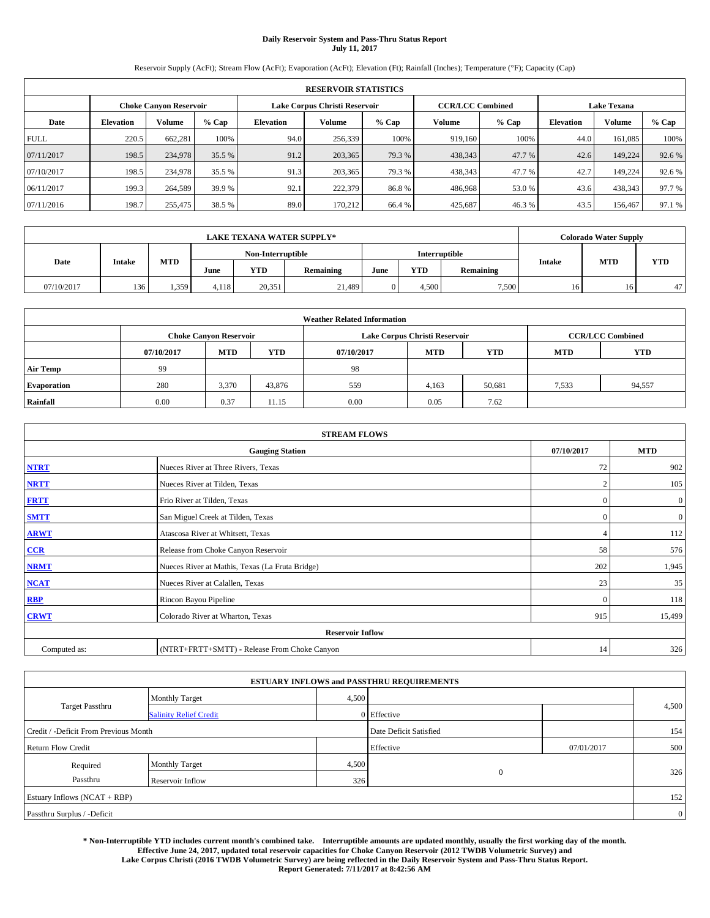# **Daily Reservoir System and Pass-Thru Status Report July 11, 2017**

Reservoir Supply (AcFt); Stream Flow (AcFt); Evaporation (AcFt); Elevation (Ft); Rainfall (Inches); Temperature (°F); Capacity (Cap)

| <b>RESERVOIR STATISTICS</b> |                  |                               |        |                  |                               |        |                         |         |                    |               |        |
|-----------------------------|------------------|-------------------------------|--------|------------------|-------------------------------|--------|-------------------------|---------|--------------------|---------------|--------|
|                             |                  | <b>Choke Canvon Reservoir</b> |        |                  | Lake Corpus Christi Reservoir |        | <b>CCR/LCC Combined</b> |         | <b>Lake Texana</b> |               |        |
| Date                        | <b>Elevation</b> | <b>Volume</b>                 | % Cap  | <b>Elevation</b> | Volume                        | % Cap  | Volume                  | $%$ Cap | <b>Elevation</b>   | <b>Volume</b> | % Cap  |
| <b>FULL</b>                 | 220.5            | 662.281                       | 100%   | 94.0             | 256,339                       | 100%   | 919.160                 | 100%    | 44.0               | 161,085       | 100%   |
| 07/11/2017                  | 198.5            | 234,978                       | 35.5 % | 91.2             | 203,365                       | 79.3 % | 438,343                 | 47.7 %  | 42.6               | 149.224       | 92.6%  |
| 07/10/2017                  | 198.5            | 234,978                       | 35.5 % | 91.3             | 203,365                       | 79.3 % | 438,343                 | 47.7 %  | 42.7               | 149.224       | 92.6 % |
| 06/11/2017                  | 199.3            | 264,589                       | 39.9 % | 92.1             | 222,379                       | 86.8%  | 486,968                 | 53.0%   | 43.6               | 438,343       | 97.7 % |
| 07/11/2016                  | 198.7            | 255,475                       | 38.5 % | 89.0             | 170.212                       | 66.4 % | 425.687                 | 46.3%   | 43.5               | 156,467       | 97.1 % |

| <b>LAKE TEXANA WATER SUPPLY*</b> |               |            |                   |        |                  |               |            |           | <b>Colorado Water Supply</b> |            |            |
|----------------------------------|---------------|------------|-------------------|--------|------------------|---------------|------------|-----------|------------------------------|------------|------------|
|                                  |               |            | Non-Interruptible |        |                  | Interruptible |            |           |                              |            |            |
| Date                             | <b>Intake</b> | <b>MTD</b> | June              | YTD    | <b>Remaining</b> | June          | <b>YTD</b> | Remaining | <b>Intake</b>                | <b>MTD</b> | <b>YTD</b> |
| 07/10/2017                       | 136           | 1,359      | 4.118             | 20.351 | 21,489           |               | 4.500      | 7.500     | 16                           |            | 47         |

| <b>Weather Related Information</b> |            |                               |            |            |                               |                         |            |            |  |  |  |
|------------------------------------|------------|-------------------------------|------------|------------|-------------------------------|-------------------------|------------|------------|--|--|--|
|                                    |            | <b>Choke Canyon Reservoir</b> |            |            | Lake Corpus Christi Reservoir | <b>CCR/LCC Combined</b> |            |            |  |  |  |
|                                    | 07/10/2017 | <b>MTD</b>                    | <b>YTD</b> | 07/10/2017 | <b>MTD</b>                    | <b>YTD</b>              | <b>MTD</b> | <b>YTD</b> |  |  |  |
| <b>Air Temp</b>                    | 99         |                               |            | -98        |                               |                         |            |            |  |  |  |
| <b>Evaporation</b>                 | 280        | 3,370                         | 43,876     | 559        | 4,163                         | 50,681                  | 7,533      | 94,557     |  |  |  |
| Rainfall                           | 0.00       | 0.37                          | 11.15      | 0.00       | 0.05                          | 7.62                    |            |            |  |  |  |

| <b>STREAM FLOWS</b> |                                                 |                |                  |  |  |  |  |  |  |
|---------------------|-------------------------------------------------|----------------|------------------|--|--|--|--|--|--|
|                     | <b>Gauging Station</b>                          |                |                  |  |  |  |  |  |  |
| <b>NTRT</b>         | Nueces River at Three Rivers, Texas             | 72             | 902              |  |  |  |  |  |  |
| <b>NRTT</b>         | Nueces River at Tilden, Texas                   | $\overline{2}$ | 105              |  |  |  |  |  |  |
| <b>FRTT</b>         | Frio River at Tilden, Texas                     | $\mathbf{0}$   | $\boldsymbol{0}$ |  |  |  |  |  |  |
| <b>SMTT</b>         | San Miguel Creek at Tilden, Texas               | $\mathbf{0}$   | $\overline{0}$   |  |  |  |  |  |  |
| <b>ARWT</b>         | Atascosa River at Whitsett, Texas               |                |                  |  |  |  |  |  |  |
| CCR                 | Release from Choke Canyon Reservoir             | 58             | 576              |  |  |  |  |  |  |
| <b>NRMT</b>         | Nueces River at Mathis, Texas (La Fruta Bridge) | 202            | 1,945            |  |  |  |  |  |  |
| <b>NCAT</b>         | Nueces River at Calallen, Texas                 | 23             | 35               |  |  |  |  |  |  |
| RBP                 | Rincon Bayou Pipeline                           | $\Omega$       | 118              |  |  |  |  |  |  |
| <b>CRWT</b>         | Colorado River at Wharton, Texas                | 915            | 15,499           |  |  |  |  |  |  |
|                     | <b>Reservoir Inflow</b>                         |                |                  |  |  |  |  |  |  |
| Computed as:        | (NTRT+FRTT+SMTT) - Release From Choke Canyon    | 14             | 326              |  |  |  |  |  |  |

|                                       |                               |       | <b>ESTUARY INFLOWS and PASSTHRU REQUIREMENTS</b> |            |                |
|---------------------------------------|-------------------------------|-------|--------------------------------------------------|------------|----------------|
|                                       | <b>Monthly Target</b>         | 4,500 |                                                  |            |                |
| Target Passthru                       | <b>Salinity Relief Credit</b> |       | $0$ Effective                                    |            | 4,500          |
| Credit / -Deficit From Previous Month |                               |       | Date Deficit Satisfied                           |            | 154            |
| <b>Return Flow Credit</b>             |                               |       | Effective                                        | 07/01/2017 | 500            |
| Required                              | <b>Monthly Target</b>         | 4,500 |                                                  |            |                |
| Passthru                              | Reservoir Inflow              | 326   | $\overline{0}$                                   |            | 326            |
| Estuary Inflows (NCAT + RBP)          |                               |       |                                                  |            | 152            |
| Passthru Surplus / -Deficit           |                               |       |                                                  |            | $\overline{0}$ |

**\* Non-Interruptible YTD includes current month's combined take. Interruptible amounts are updated monthly, usually the first working day of the month. Effective June 24, 2017, updated total reservoir capacities for Choke Canyon Reservoir (2012 TWDB Volumetric Survey) and Lake Corpus Christi (2016 TWDB Volumetric Survey) are being reflected in the Daily Reservoir System and Pass-Thru Status Report. Report Generated: 7/11/2017 at 8:42:56 AM**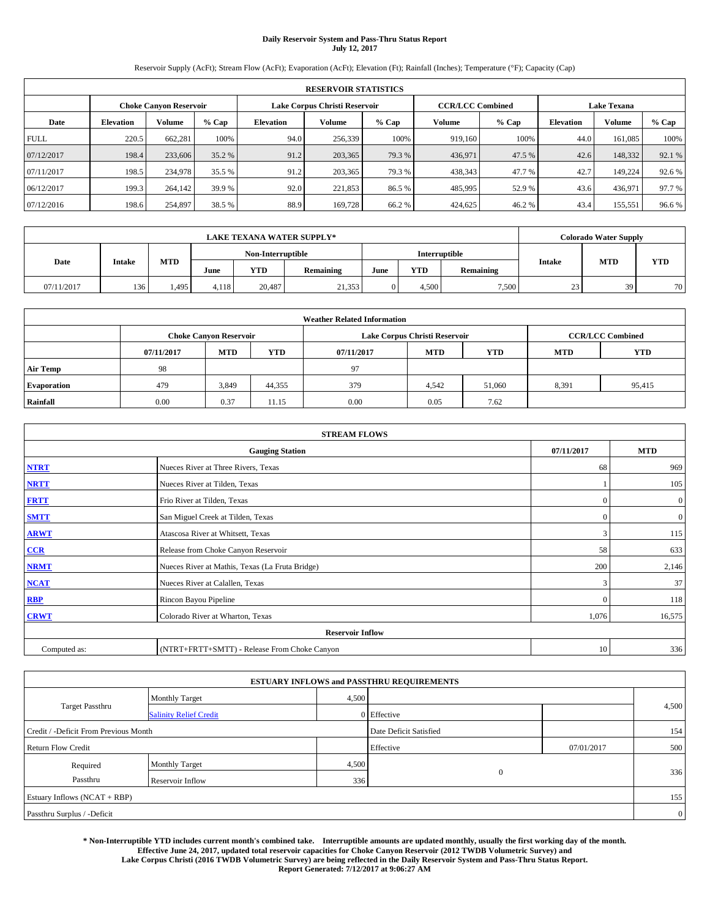# **Daily Reservoir System and Pass-Thru Status Report July 12, 2017**

Reservoir Supply (AcFt); Stream Flow (AcFt); Evaporation (AcFt); Elevation (Ft); Rainfall (Inches); Temperature (°F); Capacity (Cap)

| <b>RESERVOIR STATISTICS</b> |                  |                               |        |                  |                               |        |                         |         |                    |               |        |
|-----------------------------|------------------|-------------------------------|--------|------------------|-------------------------------|--------|-------------------------|---------|--------------------|---------------|--------|
|                             |                  | <b>Choke Canvon Reservoir</b> |        |                  | Lake Corpus Christi Reservoir |        | <b>CCR/LCC Combined</b> |         | <b>Lake Texana</b> |               |        |
| Date                        | <b>Elevation</b> | <b>Volume</b>                 | % Cap  | <b>Elevation</b> | Volume                        | % Cap  | Volume                  | $%$ Cap | <b>Elevation</b>   | <b>Volume</b> | % Cap  |
| <b>FULL</b>                 | 220.5            | 662.281                       | 100%   | 94.0             | 256,339                       | 100%   | 919.160                 | 100%    | 44.0               | 161,085       | 100%   |
| 07/12/2017                  | 198.4            | 233,606                       | 35.2 % | 91.2             | 203,365                       | 79.3 % | 436,971                 | 47.5 %  | 42.6               | 148,332       | 92.1 % |
| 07/11/2017                  | 198.5            | 234,978                       | 35.5 % | 91.2             | 203,365                       | 79.3 % | 438,343                 | 47.7 %  | 42.7               | 149.224       | 92.6 % |
| 06/12/2017                  | 199.3            | 264,142                       | 39.9 % | 92.0             | 221,853                       | 86.5 % | 485,995                 | 52.9 %  | 43.6               | 436,971       | 97.7 % |
| 07/12/2016                  | 198.6            | 254.897                       | 38.5 % | 88.9             | 169,728                       | 66.2%  | 424,625                 | 46.2 %  | 43.4               | 155,551       | 96.6%  |

| <b>LAKE TEXANA WATER SUPPLY*</b> |               |       |                   |        |                  |               |            |           | <b>Colorado Water Supply</b> |            |            |
|----------------------------------|---------------|-------|-------------------|--------|------------------|---------------|------------|-----------|------------------------------|------------|------------|
|                                  |               |       | Non-Interruptible |        |                  | Interruptible |            |           |                              |            |            |
| Date                             | <b>Intake</b> | MTD   | June              | YTD    | <b>Remaining</b> | June          | <b>YTD</b> | Remaining | <b>Intake</b>                | <b>MTD</b> | <b>YTD</b> |
| 07/11/2017                       | 136           | 4.495 | 4.118             | 20.487 | 21,353           |               | 4.500      | 7.500     | 23                           | 39         | 70         |

| <b>Weather Related Information</b> |            |                               |            |            |                               |                         |            |            |  |  |  |
|------------------------------------|------------|-------------------------------|------------|------------|-------------------------------|-------------------------|------------|------------|--|--|--|
|                                    |            | <b>Choke Canyon Reservoir</b> |            |            | Lake Corpus Christi Reservoir | <b>CCR/LCC Combined</b> |            |            |  |  |  |
|                                    | 07/11/2017 | <b>MTD</b>                    | <b>YTD</b> | 07/11/2017 | <b>MTD</b>                    | <b>YTD</b>              | <b>MTD</b> | <b>YTD</b> |  |  |  |
| <b>Air Temp</b>                    | 98         |                               |            | 97         |                               |                         |            |            |  |  |  |
| <b>Evaporation</b>                 | 479        | 3,849                         | 44,355     | 379        | 4,542                         | 51,060                  | 8,391      | 95,415     |  |  |  |
| Rainfall                           | 0.00       | 0.37                          | 11.15      | 0.00       | 0.05                          | 7.62                    |            |            |  |  |  |

| <b>STREAM FLOWS</b> |                                                 |              |                  |  |  |  |  |  |  |
|---------------------|-------------------------------------------------|--------------|------------------|--|--|--|--|--|--|
|                     | <b>Gauging Station</b>                          |              |                  |  |  |  |  |  |  |
| <b>NTRT</b>         | Nueces River at Three Rivers, Texas             | 68           | 969              |  |  |  |  |  |  |
| <b>NRTT</b>         | Nueces River at Tilden, Texas                   |              | 105              |  |  |  |  |  |  |
| <b>FRTT</b>         | Frio River at Tilden, Texas                     | $\mathbf{0}$ | $\boldsymbol{0}$ |  |  |  |  |  |  |
| <b>SMTT</b>         | San Miguel Creek at Tilden, Texas               | $\mathbf{0}$ | $\overline{0}$   |  |  |  |  |  |  |
| <b>ARWT</b>         | Atascosa River at Whitsett, Texas               |              |                  |  |  |  |  |  |  |
| CCR                 | Release from Choke Canyon Reservoir             | 58           | 633              |  |  |  |  |  |  |
| <b>NRMT</b>         | Nueces River at Mathis, Texas (La Fruta Bridge) | 200          | 2,146            |  |  |  |  |  |  |
| <b>NCAT</b>         | Nueces River at Calallen, Texas                 | 3            | 37               |  |  |  |  |  |  |
| RBP                 | Rincon Bayou Pipeline                           | $\Omega$     | 118              |  |  |  |  |  |  |
| <b>CRWT</b>         | Colorado River at Wharton, Texas                | 1,076        | 16,575           |  |  |  |  |  |  |
|                     | <b>Reservoir Inflow</b>                         |              |                  |  |  |  |  |  |  |
| Computed as:        | (NTRT+FRTT+SMTT) - Release From Choke Canyon    | 10           | 336              |  |  |  |  |  |  |

|                                       |                               |       | <b>ESTUARY INFLOWS and PASSTHRU REQUIREMENTS</b> |            |                |
|---------------------------------------|-------------------------------|-------|--------------------------------------------------|------------|----------------|
|                                       | <b>Monthly Target</b>         | 4,500 |                                                  |            |                |
| Target Passthru                       | <b>Salinity Relief Credit</b> |       | $0$ Effective                                    |            | 4,500          |
| Credit / -Deficit From Previous Month |                               |       | Date Deficit Satisfied                           |            | 154            |
| <b>Return Flow Credit</b>             |                               |       | Effective                                        | 07/01/2017 | 500            |
| Required                              | <b>Monthly Target</b>         | 4,500 |                                                  |            |                |
| Passthru                              | Reservoir Inflow              | 336   | $\overline{0}$                                   |            | 336            |
| Estuary Inflows (NCAT + RBP)          |                               |       |                                                  |            | 155            |
| Passthru Surplus / -Deficit           |                               |       |                                                  |            | $\overline{0}$ |

**\* Non-Interruptible YTD includes current month's combined take. Interruptible amounts are updated monthly, usually the first working day of the month. Effective June 24, 2017, updated total reservoir capacities for Choke Canyon Reservoir (2012 TWDB Volumetric Survey) and Lake Corpus Christi (2016 TWDB Volumetric Survey) are being reflected in the Daily Reservoir System and Pass-Thru Status Report.** 

**Report Generated: 7/12/2017 at 9:06:27 AM**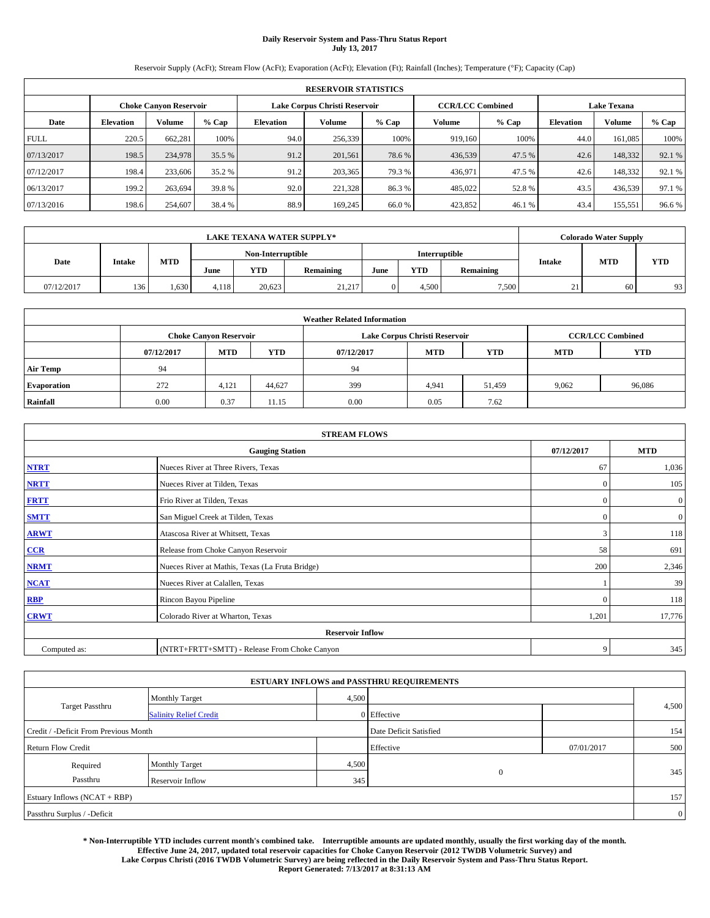# **Daily Reservoir System and Pass-Thru Status Report July 13, 2017**

Reservoir Supply (AcFt); Stream Flow (AcFt); Evaporation (AcFt); Elevation (Ft); Rainfall (Inches); Temperature (°F); Capacity (Cap)

|             | <b>RESERVOIR STATISTICS</b>   |               |        |                               |         |                                                |                         |        |               |                    |        |
|-------------|-------------------------------|---------------|--------|-------------------------------|---------|------------------------------------------------|-------------------------|--------|---------------|--------------------|--------|
|             | <b>Choke Canvon Reservoir</b> |               |        | Lake Corpus Christi Reservoir |         |                                                | <b>CCR/LCC Combined</b> |        |               | <b>Lake Texana</b> |        |
| Date        | <b>Elevation</b>              | <b>Volume</b> | % Cap  | <b>Elevation</b>              | Volume  | % Cap<br>$%$ Cap<br>Volume<br><b>Elevation</b> |                         |        | <b>Volume</b> | % Cap              |        |
| <b>FULL</b> | 220.5                         | 662.281       | 100%   | 94.0                          | 256,339 | 100%                                           | 919.160                 | 100%   | 44.0          | 161,085            | 100%   |
| 07/13/2017  | 198.5                         | 234,978       | 35.5 % | 91.2                          | 201,561 | 78.6 %                                         | 436,539                 | 47.5 % | 42.6          | 148,332            | 92.1 % |
| 07/12/2017  | 198.4                         | 233,606       | 35.2 % | 91.2                          | 203,365 | 79.3 %                                         | 436.971                 | 47.5 % | 42.6          | 148.332            | 92.1 % |
| 06/13/2017  | 199.2                         | 263.694       | 39.8%  | 92.0                          | 221,328 | 86.3%                                          | 485,022                 | 52.8%  | 43.5          | 436,539            | 97.1 % |
| 07/13/2016  | 198.6                         | 254,607       | 38.4 % | 88.9                          | 169,245 | 66.0%                                          | 423,852                 | 46.1 % | 43.4          | 155,551            | 96.6%  |

|            | <b>LAKE TEXANA WATER SUPPLY*</b> |            |                   |            |           |      |            |               |                    |            | <b>Colorado Water Supply</b> |  |  |
|------------|----------------------------------|------------|-------------------|------------|-----------|------|------------|---------------|--------------------|------------|------------------------------|--|--|
|            |                                  |            | Non-Interruptible |            |           |      |            | Interruptible |                    |            |                              |  |  |
| Date       | <b>Intake</b>                    | <b>MTD</b> | June              | <b>YTD</b> | Remaining | June | <b>YTD</b> | Remaining     | Intake             | <b>MTD</b> | <b>YTD</b>                   |  |  |
| 07/12/2017 | 136                              | 1.630      | 4.118             | 20.623     | 21,217    |      | 4.500      | 7,500         | $^{\circ}$ 1<br>41 | 60         | 93                           |  |  |

| <b>Weather Related Information</b> |            |                                                                                  |        |      |                               |                         |       |        |  |  |
|------------------------------------|------------|----------------------------------------------------------------------------------|--------|------|-------------------------------|-------------------------|-------|--------|--|--|
|                                    |            | <b>Choke Canyon Reservoir</b>                                                    |        |      | Lake Corpus Christi Reservoir | <b>CCR/LCC Combined</b> |       |        |  |  |
|                                    | 07/12/2017 | <b>MTD</b><br><b>YTD</b><br><b>MTD</b><br><b>YTD</b><br><b>MTD</b><br>07/12/2017 |        |      |                               |                         |       |        |  |  |
| <b>Air Temp</b>                    | 94         |                                                                                  |        | 94   |                               |                         |       |        |  |  |
| <b>Evaporation</b>                 | 272        | 4.121                                                                            | 44,627 | 399  | 4,941                         | 51,459                  | 9,062 | 96,086 |  |  |
| Rainfall                           | 0.00       | 0.37                                                                             | 11.15  | 0.00 | 0.05                          | 7.62                    |       |        |  |  |

| <b>STREAM FLOWS</b> |                                                 |              |                  |  |  |  |  |  |  |  |
|---------------------|-------------------------------------------------|--------------|------------------|--|--|--|--|--|--|--|
|                     | <b>Gauging Station</b>                          | 07/12/2017   | <b>MTD</b>       |  |  |  |  |  |  |  |
| <b>NTRT</b>         | Nueces River at Three Rivers, Texas             | 67           | 1,036            |  |  |  |  |  |  |  |
| <b>NRTT</b>         | Nueces River at Tilden, Texas                   | $\mathbf{0}$ | 105              |  |  |  |  |  |  |  |
| <b>FRTT</b>         | Frio River at Tilden, Texas                     | $\mathbf{0}$ | $\boldsymbol{0}$ |  |  |  |  |  |  |  |
| <b>SMTT</b>         | San Miguel Creek at Tilden, Texas               | $\mathbf{0}$ | $\overline{0}$   |  |  |  |  |  |  |  |
| <b>ARWT</b>         | Atascosa River at Whitsett, Texas               | 3            | 118              |  |  |  |  |  |  |  |
| CCR                 | Release from Choke Canyon Reservoir             | 58           | 691              |  |  |  |  |  |  |  |
| <b>NRMT</b>         | Nueces River at Mathis, Texas (La Fruta Bridge) | 200          | 2,346            |  |  |  |  |  |  |  |
| <b>NCAT</b>         | Nueces River at Calallen, Texas                 |              | 39               |  |  |  |  |  |  |  |
| RBP                 | Rincon Bayou Pipeline                           | $\Omega$     | 118              |  |  |  |  |  |  |  |
| <b>CRWT</b>         | Colorado River at Wharton, Texas                | 1,201        | 17,776           |  |  |  |  |  |  |  |
|                     | <b>Reservoir Inflow</b>                         |              |                  |  |  |  |  |  |  |  |
| Computed as:        | (NTRT+FRTT+SMTT) - Release From Choke Canyon    | 9            | 345              |  |  |  |  |  |  |  |

|                                       |                               |       | <b>ESTUARY INFLOWS and PASSTHRU REQUIREMENTS</b> |            |                |
|---------------------------------------|-------------------------------|-------|--------------------------------------------------|------------|----------------|
|                                       | <b>Monthly Target</b>         | 4,500 |                                                  |            |                |
| <b>Target Passthru</b>                | <b>Salinity Relief Credit</b> |       | $0$ Effective                                    |            | 4,500          |
| Credit / -Deficit From Previous Month |                               |       | Date Deficit Satisfied                           |            | 154            |
| <b>Return Flow Credit</b>             |                               |       | Effective                                        | 07/01/2017 | 500            |
| Required                              | <b>Monthly Target</b>         | 4,500 |                                                  |            |                |
| Passthru                              | Reservoir Inflow              | 345   | $\overline{0}$                                   |            | 345            |
| Estuary Inflows (NCAT + RBP)          |                               |       |                                                  |            | 157            |
| Passthru Surplus / -Deficit           |                               |       |                                                  |            | $\overline{0}$ |

**\* Non-Interruptible YTD includes current month's combined take. Interruptible amounts are updated monthly, usually the first working day of the month. Effective June 24, 2017, updated total reservoir capacities for Choke Canyon Reservoir (2012 TWDB Volumetric Survey) and Lake Corpus Christi (2016 TWDB Volumetric Survey) are being reflected in the Daily Reservoir System and Pass-Thru Status Report. Report Generated: 7/13/2017 at 8:31:13 AM**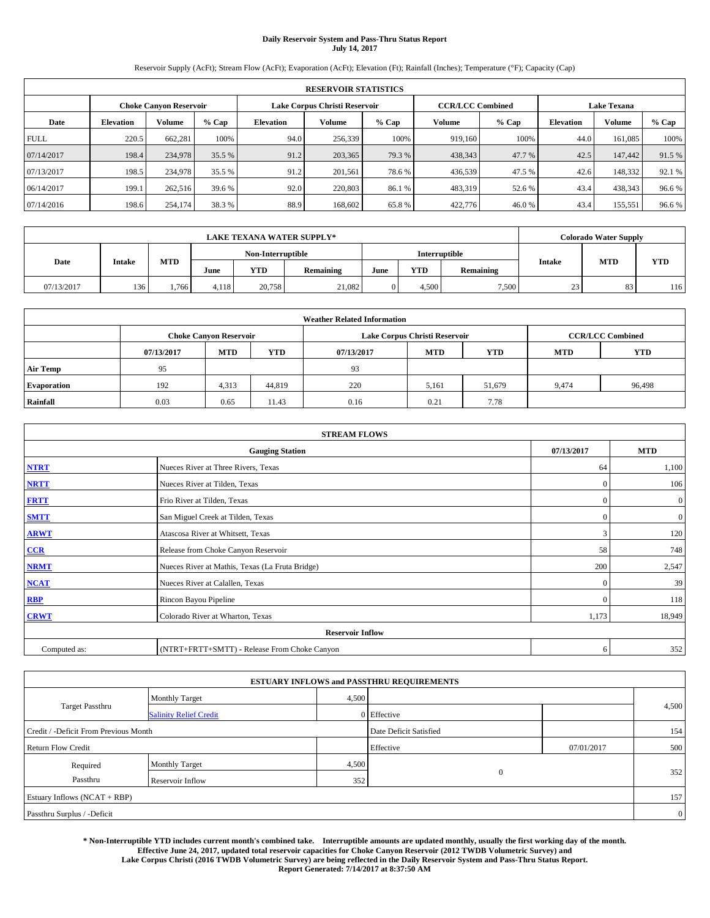# **Daily Reservoir System and Pass-Thru Status Report July 14, 2017**

Reservoir Supply (AcFt); Stream Flow (AcFt); Evaporation (AcFt); Elevation (Ft); Rainfall (Inches); Temperature (°F); Capacity (Cap)

|             | <b>RESERVOIR STATISTICS</b>   |               |        |                               |         |         |                         |         |                    |         |        |
|-------------|-------------------------------|---------------|--------|-------------------------------|---------|---------|-------------------------|---------|--------------------|---------|--------|
|             | <b>Choke Canvon Reservoir</b> |               |        | Lake Corpus Christi Reservoir |         |         | <b>CCR/LCC Combined</b> |         | <b>Lake Texana</b> |         |        |
| Date        | <b>Elevation</b>              | <b>Volume</b> | % Cap  | <b>Elevation</b>              | Volume  | $%$ Cap | Volume                  | $%$ Cap | <b>Elevation</b>   | Volume  | % Cap  |
| <b>FULL</b> | 220.5                         | 662.281       | 100%   | 94.0                          | 256,339 | 100%    | 919,160                 | 100%    | 44.0               | 161.085 | 100%   |
| 07/14/2017  | 198.4                         | 234,978       | 35.5 % | 91.2                          | 203,365 | 79.3 %  | 438,343                 | 47.7 %  | 42.5               | 147,442 | 91.5 % |
| 07/13/2017  | 198.5                         | 234,978       | 35.5 % | 91.2                          | 201.561 | 78.6 %  | 436,539                 | 47.5 %  | 42.6               | 148.332 | 92.1 % |
| 06/14/2017  | 199.1                         | 262,516       | 39.6 % | 92.0                          | 220,803 | 86.1 %  | 483,319                 | 52.6 %  | 43.4               | 438,343 | 96.6%  |
| 07/14/2016  | 198.6                         | 254,174       | 38.3%  | 88.9                          | 168,602 | 65.8%   | 422,776                 | 46.0%   | 43.4               | 155,551 | 96.6%  |

|            | <b>LAKE TEXANA WATER SUPPLY*</b> |            |       |                   |           |               |                                                 |            |    |    | <b>Colorado Water Supply</b> |  |  |
|------------|----------------------------------|------------|-------|-------------------|-----------|---------------|-------------------------------------------------|------------|----|----|------------------------------|--|--|
|            |                                  |            |       | Non-Interruptible |           | Interruptible |                                                 |            |    |    |                              |  |  |
| Date       | <b>Intake</b>                    | <b>MTD</b> | June  | <b>YTD</b>        | Remaining | June          | <b>MTD</b><br>Intake<br><b>YTD</b><br>Remaining | <b>YTD</b> |    |    |                              |  |  |
| 07/13/2017 | 136                              | 766        | 4.118 | 20.758            | 21,082    |               | 4.500                                           | 7,500      | 23 | 83 | 116                          |  |  |

| <b>Weather Related Information</b> |            |                                                                                  |        |      |                               |                         |       |        |  |  |
|------------------------------------|------------|----------------------------------------------------------------------------------|--------|------|-------------------------------|-------------------------|-------|--------|--|--|
|                                    |            | <b>Choke Canyon Reservoir</b>                                                    |        |      | Lake Corpus Christi Reservoir | <b>CCR/LCC Combined</b> |       |        |  |  |
|                                    | 07/13/2017 | <b>YTD</b><br><b>MTD</b><br><b>MTD</b><br><b>YTD</b><br>07/13/2017<br><b>MTD</b> |        |      |                               |                         |       |        |  |  |
| <b>Air Temp</b>                    | 95         |                                                                                  |        | 93   |                               |                         |       |        |  |  |
| <b>Evaporation</b>                 | 192        | 4,313                                                                            | 44.819 | 220  | 5,161                         | 51,679                  | 9,474 | 96,498 |  |  |
| Rainfall                           | 0.03       | 0.65                                                                             | 11.43  | 0.16 | 0.21                          | 7.78                    |       |        |  |  |

| <b>STREAM FLOWS</b> |                                                 |              |                  |  |  |  |  |  |  |  |
|---------------------|-------------------------------------------------|--------------|------------------|--|--|--|--|--|--|--|
|                     | <b>Gauging Station</b>                          | 07/13/2017   | <b>MTD</b>       |  |  |  |  |  |  |  |
| <b>NTRT</b>         | Nueces River at Three Rivers, Texas             | 64           | 1,100            |  |  |  |  |  |  |  |
| <b>NRTT</b>         | Nueces River at Tilden, Texas                   | $\mathbf{0}$ | 106              |  |  |  |  |  |  |  |
| <b>FRTT</b>         | Frio River at Tilden, Texas                     | $\mathbf{0}$ | $\boldsymbol{0}$ |  |  |  |  |  |  |  |
| <b>SMTT</b>         | San Miguel Creek at Tilden, Texas               | $\mathbf{0}$ | $\overline{0}$   |  |  |  |  |  |  |  |
| <b>ARWT</b>         | Atascosa River at Whitsett, Texas               | 3            | 120              |  |  |  |  |  |  |  |
| CCR                 | Release from Choke Canyon Reservoir             | 58           | 748              |  |  |  |  |  |  |  |
| <b>NRMT</b>         | Nueces River at Mathis, Texas (La Fruta Bridge) | 200          | 2,547            |  |  |  |  |  |  |  |
| <b>NCAT</b>         | Nueces River at Calallen, Texas                 | $\mathbf{0}$ | 39               |  |  |  |  |  |  |  |
| RBP                 | Rincon Bayou Pipeline                           | $\Omega$     | 118              |  |  |  |  |  |  |  |
| <b>CRWT</b>         | Colorado River at Wharton, Texas                | 1,173        | 18,949           |  |  |  |  |  |  |  |
|                     | <b>Reservoir Inflow</b>                         |              |                  |  |  |  |  |  |  |  |
| Computed as:        | (NTRT+FRTT+SMTT) - Release From Choke Canyon    | 6            | 352              |  |  |  |  |  |  |  |

|                                       |                               |       | <b>ESTUARY INFLOWS and PASSTHRU REQUIREMENTS</b> |            |                |
|---------------------------------------|-------------------------------|-------|--------------------------------------------------|------------|----------------|
|                                       | <b>Monthly Target</b>         | 4,500 |                                                  |            |                |
| Target Passthru                       | <b>Salinity Relief Credit</b> |       | $0$ Effective                                    |            | 4,500          |
| Credit / -Deficit From Previous Month |                               |       | Date Deficit Satisfied                           |            | 154            |
| <b>Return Flow Credit</b>             |                               |       | Effective                                        | 07/01/2017 | 500            |
| Required                              | <b>Monthly Target</b>         | 4,500 |                                                  |            |                |
| Passthru                              | Reservoir Inflow              | 352   | $\overline{0}$                                   |            | 352            |
| Estuary Inflows (NCAT + RBP)          |                               |       |                                                  |            | 157            |
| Passthru Surplus / -Deficit           |                               |       |                                                  |            | $\overline{0}$ |

**\* Non-Interruptible YTD includes current month's combined take. Interruptible amounts are updated monthly, usually the first working day of the month. Effective June 24, 2017, updated total reservoir capacities for Choke Canyon Reservoir (2012 TWDB Volumetric Survey) and Lake Corpus Christi (2016 TWDB Volumetric Survey) are being reflected in the Daily Reservoir System and Pass-Thru Status Report. Report Generated: 7/14/2017 at 8:37:50 AM**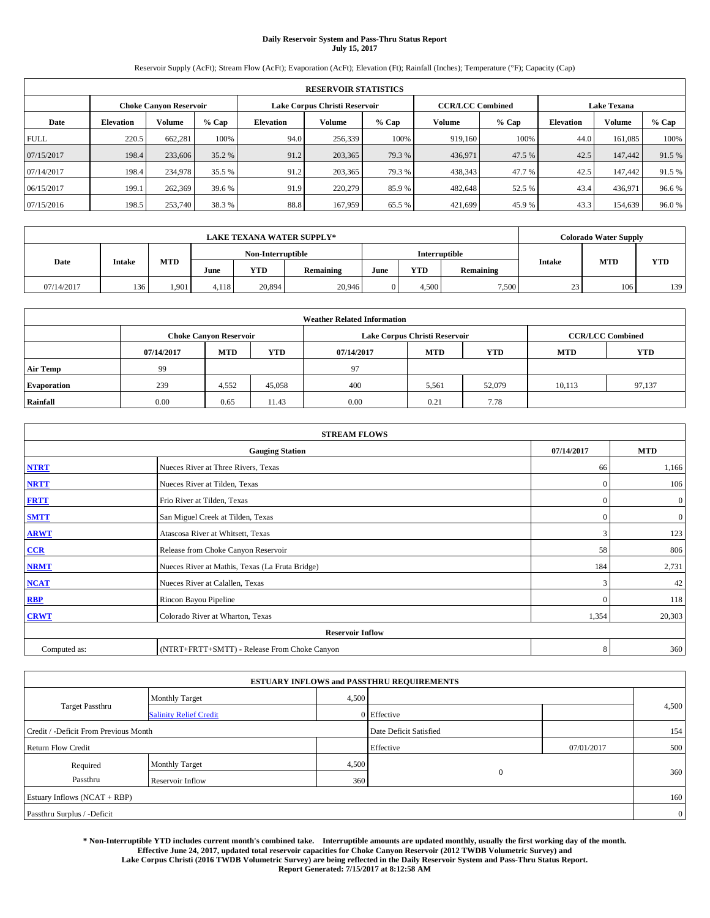# **Daily Reservoir System and Pass-Thru Status Report July 15, 2017**

Reservoir Supply (AcFt); Stream Flow (AcFt); Evaporation (AcFt); Elevation (Ft); Rainfall (Inches); Temperature (°F); Capacity (Cap)

|             | <b>RESERVOIR STATISTICS</b>   |               |        |                               |         |        |                         |                             |                    |               |        |
|-------------|-------------------------------|---------------|--------|-------------------------------|---------|--------|-------------------------|-----------------------------|--------------------|---------------|--------|
|             | <b>Choke Canvon Reservoir</b> |               |        | Lake Corpus Christi Reservoir |         |        | <b>CCR/LCC Combined</b> |                             | <b>Lake Texana</b> |               |        |
| Date        | <b>Elevation</b>              | <b>Volume</b> | % Cap  | <b>Elevation</b>              | Volume  | % Cap  | Volume                  | $%$ Cap<br><b>Elevation</b> |                    | <b>Volume</b> | % Cap  |
| <b>FULL</b> | 220.5                         | 662.281       | 100%   | 94.0                          | 256,339 | 100%   | 919.160                 | 100%                        | 44.0               | 161,085       | 100%   |
| 07/15/2017  | 198.4                         | 233,606       | 35.2 % | 91.2                          | 203,365 | 79.3 % | 436,971                 | 47.5 %                      | 42.5               | 147,442       | 91.5%  |
| 07/14/2017  | 198.4                         | 234,978       | 35.5 % | 91.2                          | 203,365 | 79.3 % | 438,343                 | 47.7 %                      | 42.5               | 147,442       | 91.5 % |
| 06/15/2017  | 199.1                         | 262,369       | 39.6 % | 91.9                          | 220,279 | 85.9%  | 482.648                 | 52.5 %                      | 43.4               | 436,971       | 96.6%  |
| 07/15/2016  | 198.5                         | 253,740       | 38.3%  | 88.8                          | 167,959 | 65.5 % | 421,699                 | 45.9%                       | 43.3               | 154,639       | 96.0%  |

|            | <b>LAKE TEXANA WATER SUPPLY*</b> |            |       |                   |           |      |                      |           |               |            | <b>Colorado Water Supply</b> |  |  |
|------------|----------------------------------|------------|-------|-------------------|-----------|------|----------------------|-----------|---------------|------------|------------------------------|--|--|
|            |                                  |            |       | Non-Interruptible |           |      | <b>Interruptible</b> |           |               |            |                              |  |  |
| Date       | <b>Intake</b>                    | <b>MTD</b> | June  | <b>YTD</b>        | Remaining | June | <b>YTD</b>           | Remaining | <b>Intake</b> | <b>MTD</b> | <b>YTD</b>                   |  |  |
| 07/14/2017 | 136                              | 1.901      | 4,118 | 20,894            | 20,946    |      | 4,500                | 7,500     | 23            | 106        | 139                          |  |  |

| <b>Weather Related Information</b> |            |                               |            |            |                               |                         |            |            |  |
|------------------------------------|------------|-------------------------------|------------|------------|-------------------------------|-------------------------|------------|------------|--|
|                                    |            | <b>Choke Canyon Reservoir</b> |            |            | Lake Corpus Christi Reservoir | <b>CCR/LCC Combined</b> |            |            |  |
|                                    | 07/14/2017 | <b>MTD</b>                    | <b>YTD</b> | 07/14/2017 | <b>MTD</b>                    | <b>YTD</b>              | <b>MTD</b> | <b>YTD</b> |  |
| <b>Air Temp</b>                    | 99         |                               |            | 97         |                               |                         |            |            |  |
| <b>Evaporation</b>                 | 239        | 4,552                         | 45,058     | 400        | 5,561                         | 52,079                  | 10,113     | 97,137     |  |
| Rainfall                           | 0.00       | 0.65                          | 11.43      | 0.00       | 0.21                          | 7.78                    |            |            |  |

| <b>STREAM FLOWS</b> |                                                 |              |                |  |  |  |  |  |  |
|---------------------|-------------------------------------------------|--------------|----------------|--|--|--|--|--|--|
|                     | 07/14/2017                                      | <b>MTD</b>   |                |  |  |  |  |  |  |
| <b>NTRT</b>         | Nueces River at Three Rivers, Texas             | 66           | 1,166          |  |  |  |  |  |  |
| <b>NRTT</b>         | Nueces River at Tilden, Texas                   | $\Omega$     | 106            |  |  |  |  |  |  |
| <b>FRTT</b>         | Frio River at Tilden, Texas                     | $\mathbf{0}$ | $\mathbf{0}$   |  |  |  |  |  |  |
| <b>SMTT</b>         | San Miguel Creek at Tilden, Texas               | $\mathbf{0}$ | $\overline{0}$ |  |  |  |  |  |  |
| <b>ARWT</b>         | Atascosa River at Whitsett, Texas               | 3            | 123            |  |  |  |  |  |  |
| CCR                 | Release from Choke Canyon Reservoir             | 58           | 806            |  |  |  |  |  |  |
| <b>NRMT</b>         | Nueces River at Mathis, Texas (La Fruta Bridge) | 184          | 2,731          |  |  |  |  |  |  |
| <b>NCAT</b>         | Nueces River at Calallen, Texas                 | 3            | 42             |  |  |  |  |  |  |
| RBP                 | Rincon Bayou Pipeline                           | $\mathbf{0}$ | 118            |  |  |  |  |  |  |
| <b>CRWT</b>         | Colorado River at Wharton, Texas                | 1,354        | 20,303         |  |  |  |  |  |  |
|                     | <b>Reservoir Inflow</b>                         |              |                |  |  |  |  |  |  |
| Computed as:        | (NTRT+FRTT+SMTT) - Release From Choke Canyon    | 8            | 360            |  |  |  |  |  |  |

|                                       |                               |       | <b>ESTUARY INFLOWS and PASSTHRU REQUIREMENTS</b> |            |                |
|---------------------------------------|-------------------------------|-------|--------------------------------------------------|------------|----------------|
|                                       | <b>Monthly Target</b>         | 4,500 |                                                  |            |                |
| <b>Target Passthru</b>                | <b>Salinity Relief Credit</b> |       | 0 Effective                                      |            | 4,500          |
| Credit / -Deficit From Previous Month |                               |       | Date Deficit Satisfied                           |            | 154            |
| <b>Return Flow Credit</b>             |                               |       | Effective                                        | 07/01/2017 | 500            |
| Required                              | Monthly Target                | 4,500 |                                                  |            |                |
| Passthru                              | Reservoir Inflow              | 360   | $\mathbf{0}$                                     |            | 360            |
| Estuary Inflows (NCAT + RBP)          |                               |       |                                                  |            | 160            |
| Passthru Surplus / -Deficit           |                               |       |                                                  |            | $\overline{0}$ |

**\* Non-Interruptible YTD includes current month's combined take. Interruptible amounts are updated monthly, usually the first working day of the month. Effective June 24, 2017, updated total reservoir capacities for Choke Canyon Reservoir (2012 TWDB Volumetric Survey) and Lake Corpus Christi (2016 TWDB Volumetric Survey) are being reflected in the Daily Reservoir System and Pass-Thru Status Report. Report Generated: 7/15/2017 at 8:12:58 AM**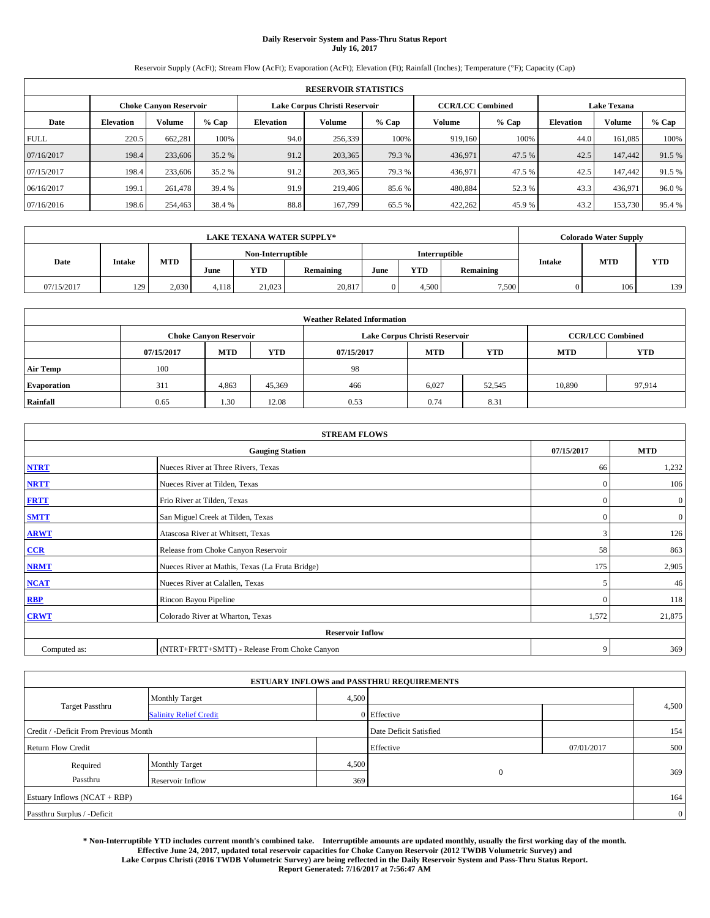# **Daily Reservoir System and Pass-Thru Status Report July 16, 2017**

Reservoir Supply (AcFt); Stream Flow (AcFt); Evaporation (AcFt); Elevation (Ft); Rainfall (Inches); Temperature (°F); Capacity (Cap)

| <b>RESERVOIR STATISTICS</b> |                  |                               |        |           |                               |        |                         |         |                    |               |        |
|-----------------------------|------------------|-------------------------------|--------|-----------|-------------------------------|--------|-------------------------|---------|--------------------|---------------|--------|
|                             |                  | <b>Choke Canyon Reservoir</b> |        |           | Lake Corpus Christi Reservoir |        | <b>CCR/LCC Combined</b> |         | <b>Lake Texana</b> |               |        |
| Date                        | <b>Elevation</b> | <b>Volume</b>                 | % Cap  | Elevation | Volume                        | % Cap  | Volume                  | $%$ Cap | <b>Elevation</b>   | <b>Volume</b> | % Cap  |
| <b>FULL</b>                 | 220.5            | 662.281                       | 100%   | 94.0      | 256,339                       | 100%   | 919,160                 | 100%    | 44.0               | 161,085       | 100%   |
| 07/16/2017                  | 198.4            | 233,606                       | 35.2 % | 91.2      | 203,365                       | 79.3 % | 436,971                 | 47.5 %  | 42.5               | 147,442       | 91.5%  |
| 07/15/2017                  | 198.4            | 233,606                       | 35.2 % | 91.2      | 203,365                       | 79.3 % | 436.971                 | 47.5 %  | 42.5               | 147,442       | 91.5 % |
| 06/16/2017                  | 199.1            | 261.478                       | 39.4 % | 91.9      | 219,406                       | 85.6 % | 480,884                 | 52.3 %  | 43.3               | 436,971       | 96.0%  |
| 07/16/2016                  | 198.6            | 254,463                       | 38.4 % | 88.8      | 167,799                       | 65.5 % | 422.262                 | 45.9%   | 43.2               | 153,730       | 95.4 % |

| <b>LAKE TEXANA WATER SUPPLY*</b> |               |            |                   |        |           |      |            |                            |  | Colorado Water Supply |            |
|----------------------------------|---------------|------------|-------------------|--------|-----------|------|------------|----------------------------|--|-----------------------|------------|
|                                  |               |            | Non-Interruptible |        |           |      |            | Interruptible              |  |                       |            |
| Date                             | <b>Intake</b> | <b>MTD</b> | June              | YTD    | Remaining | June | <b>YTD</b> | <b>Intake</b><br>Remaining |  | <b>MTD</b>            | <b>YTD</b> |
| 07/15/2017                       | 129           | 2.030      | 4.118             | 21,023 | 20,817    |      | 4.500      | 7,500                      |  | 106                   | 139        |

| <b>Weather Related Information</b> |            |                               |            |            |                               |                         |            |            |  |
|------------------------------------|------------|-------------------------------|------------|------------|-------------------------------|-------------------------|------------|------------|--|
|                                    |            | <b>Choke Canyon Reservoir</b> |            |            | Lake Corpus Christi Reservoir | <b>CCR/LCC Combined</b> |            |            |  |
|                                    | 07/15/2017 | <b>MTD</b>                    | <b>YTD</b> | 07/15/2017 | <b>MTD</b>                    | <b>YTD</b>              | <b>MTD</b> | <b>YTD</b> |  |
| <b>Air Temp</b>                    | 100        |                               |            | 98         |                               |                         |            |            |  |
| <b>Evaporation</b>                 | 311        | 4,863                         | 45,369     | 466        | 6,027                         | 52,545                  | 10,890     | 97,914     |  |
| Rainfall                           | 0.65       | 1.30                          | 12.08      | 0.53       | 0.74                          | 8.31                    |            |            |  |

| <b>STREAM FLOWS</b> |                                                 |              |                |  |  |  |  |  |  |
|---------------------|-------------------------------------------------|--------------|----------------|--|--|--|--|--|--|
|                     | 07/15/2017                                      | <b>MTD</b>   |                |  |  |  |  |  |  |
| <b>NTRT</b>         | Nueces River at Three Rivers, Texas             | 66           | 1,232          |  |  |  |  |  |  |
| <b>NRTT</b>         | Nueces River at Tilden, Texas                   | $\mathbf{0}$ | 106            |  |  |  |  |  |  |
| <b>FRTT</b>         | Frio River at Tilden, Texas                     | $\mathbf{0}$ | $\mathbf{0}$   |  |  |  |  |  |  |
| <b>SMTT</b>         | San Miguel Creek at Tilden, Texas               | $\mathbf{0}$ | $\overline{0}$ |  |  |  |  |  |  |
| <b>ARWT</b>         | Atascosa River at Whitsett, Texas               | 3            | 126            |  |  |  |  |  |  |
| $CCR$               | Release from Choke Canyon Reservoir             | 58           | 863            |  |  |  |  |  |  |
| <b>NRMT</b>         | Nueces River at Mathis, Texas (La Fruta Bridge) | 175          | 2,905          |  |  |  |  |  |  |
| <b>NCAT</b>         | Nueces River at Calallen, Texas                 | 5            | 46             |  |  |  |  |  |  |
| <b>RBP</b>          | Rincon Bayou Pipeline                           | $\mathbf{0}$ | 118            |  |  |  |  |  |  |
| <b>CRWT</b>         | Colorado River at Wharton, Texas                | 1,572        | 21,875         |  |  |  |  |  |  |
|                     | <b>Reservoir Inflow</b>                         |              |                |  |  |  |  |  |  |
| Computed as:        | (NTRT+FRTT+SMTT) - Release From Choke Canyon    | 9            | 369            |  |  |  |  |  |  |

|                                       |                               |       | <b>ESTUARY INFLOWS and PASSTHRU REQUIREMENTS</b> |            |                |  |  |  |
|---------------------------------------|-------------------------------|-------|--------------------------------------------------|------------|----------------|--|--|--|
|                                       | <b>Monthly Target</b>         | 4,500 |                                                  |            |                |  |  |  |
| <b>Target Passthru</b>                | <b>Salinity Relief Credit</b> |       | 0 Effective                                      |            | 4,500          |  |  |  |
| Credit / -Deficit From Previous Month |                               |       | Date Deficit Satisfied                           |            | 154            |  |  |  |
| <b>Return Flow Credit</b>             |                               |       | Effective                                        | 07/01/2017 | 500            |  |  |  |
| Required                              | <b>Monthly Target</b>         | 4,500 |                                                  |            |                |  |  |  |
| Passthru                              | Reservoir Inflow              | 369   | $\mathbf{0}$                                     |            | 369            |  |  |  |
| Estuary Inflows (NCAT + RBP)          |                               |       |                                                  |            |                |  |  |  |
| Passthru Surplus / -Deficit           |                               |       |                                                  |            | $\overline{0}$ |  |  |  |

**\* Non-Interruptible YTD includes current month's combined take. Interruptible amounts are updated monthly, usually the first working day of the month. Effective June 24, 2017, updated total reservoir capacities for Choke Canyon Reservoir (2012 TWDB Volumetric Survey) and Lake Corpus Christi (2016 TWDB Volumetric Survey) are being reflected in the Daily Reservoir System and Pass-Thru Status Report. Report Generated: 7/16/2017 at 7:56:47 AM**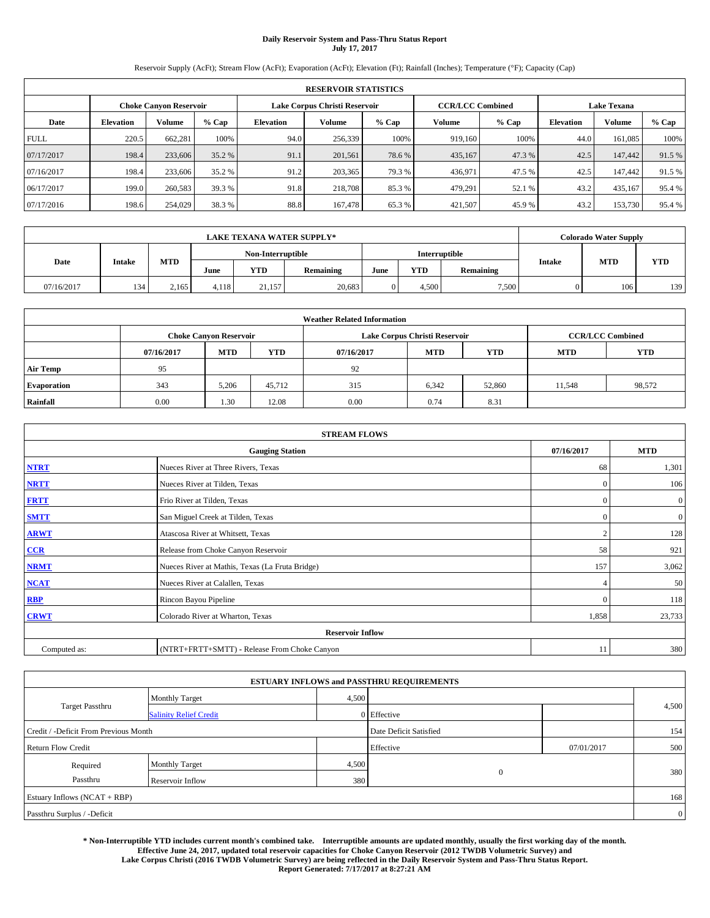# **Daily Reservoir System and Pass-Thru Status Report July 17, 2017**

Reservoir Supply (AcFt); Stream Flow (AcFt); Evaporation (AcFt); Elevation (Ft); Rainfall (Inches); Temperature (°F); Capacity (Cap)

| <b>RESERVOIR STATISTICS</b> |                  |                               |        |                  |                               |        |                         |         |                    |               |        |
|-----------------------------|------------------|-------------------------------|--------|------------------|-------------------------------|--------|-------------------------|---------|--------------------|---------------|--------|
|                             |                  | <b>Choke Canvon Reservoir</b> |        |                  | Lake Corpus Christi Reservoir |        | <b>CCR/LCC Combined</b> |         | <b>Lake Texana</b> |               |        |
| Date                        | <b>Elevation</b> | <b>Volume</b>                 | % Cap  | <b>Elevation</b> | Volume                        | % Cap  | Volume                  | $%$ Cap | <b>Elevation</b>   | <b>Volume</b> | % Cap  |
| <b>FULL</b>                 | 220.5            | 662.281                       | 100%   | 94.0             | 256,339                       | 100%   | 919.160                 | 100%    | 44.0               | 161,085       | 100%   |
| 07/17/2017                  | 198.4            | 233,606                       | 35.2 % | 91.1             | 201,561                       | 78.6%  | 435,167                 | 47.3 %  | 42.5               | 147,442       | 91.5%  |
| 07/16/2017                  | 198.4            | 233,606                       | 35.2 % | 91.2             | 203,365                       | 79.3 % | 436,971                 | 47.5 %  | 42.5               | 147.442       | 91.5 % |
| 06/17/2017                  | 199.0            | 260,583                       | 39.3 % | 91.8             | 218,708                       | 85.3 % | 479,291                 | 52.1 %  | 43.2               | 435,167       | 95.4 % |
| 07/17/2016                  | 198.6            | 254,029                       | 38.3%  | 88.8             | 167,478                       | 65.3 % | 421,507                 | 45.9%   | 43.2               | 153,730       | 95.4 % |

| <b>LAKE TEXANA WATER SUPPLY*</b> |               |       |                                                |                   |            |           |               |               |            | Colorado Water Supply |     |
|----------------------------------|---------------|-------|------------------------------------------------|-------------------|------------|-----------|---------------|---------------|------------|-----------------------|-----|
|                                  |               |       |                                                | Non-Interruptible |            |           |               | Interruptible |            |                       |     |
| Date                             | <b>Intake</b> |       | <b>MTD</b><br>YTD<br>Remaining<br>June<br>June |                   | <b>YTD</b> | Remaining | <b>Intake</b> | <b>MTD</b>    | <b>YTD</b> |                       |     |
| 07/16/2017                       | 134           | 2.165 | 4.118                                          | 21.157            | 20,683     |           | 4.500         | 7,500         |            | 106                   | 139 |

| <b>Weather Related Information</b> |            |                               |            |            |                               |                         |            |            |  |
|------------------------------------|------------|-------------------------------|------------|------------|-------------------------------|-------------------------|------------|------------|--|
|                                    |            | <b>Choke Canyon Reservoir</b> |            |            | Lake Corpus Christi Reservoir | <b>CCR/LCC Combined</b> |            |            |  |
|                                    | 07/16/2017 | <b>MTD</b>                    | <b>YTD</b> | 07/16/2017 | <b>MTD</b>                    | <b>YTD</b>              | <b>MTD</b> | <b>YTD</b> |  |
| <b>Air Temp</b>                    | 95         |                               |            | 92         |                               |                         |            |            |  |
| <b>Evaporation</b>                 | 343        | 5,206                         | 45,712     | 315        | 6,342                         | 52,860                  | 11,548     | 98,572     |  |
| Rainfall                           | 0.00       | 1.30                          | 12.08      | 0.00       | 0.74                          | 8.31                    |            |            |  |

| <b>STREAM FLOWS</b> |                                                 |                |                  |  |  |  |  |  |  |
|---------------------|-------------------------------------------------|----------------|------------------|--|--|--|--|--|--|
|                     | 07/16/2017                                      | <b>MTD</b>     |                  |  |  |  |  |  |  |
| <b>NTRT</b>         | Nueces River at Three Rivers, Texas             | 68             | 1,301            |  |  |  |  |  |  |
| <b>NRTT</b>         | Nueces River at Tilden, Texas                   | $\mathbf{0}$   | 106              |  |  |  |  |  |  |
| <b>FRTT</b>         | Frio River at Tilden, Texas                     | $\mathbf{0}$   | $\boldsymbol{0}$ |  |  |  |  |  |  |
| <b>SMTT</b>         | San Miguel Creek at Tilden, Texas               | $\mathbf{0}$   | $\overline{0}$   |  |  |  |  |  |  |
| <b>ARWT</b>         | Atascosa River at Whitsett, Texas               | $\overline{2}$ | 128              |  |  |  |  |  |  |
| CCR                 | Release from Choke Canyon Reservoir             | 58             | 921              |  |  |  |  |  |  |
| <b>NRMT</b>         | Nueces River at Mathis, Texas (La Fruta Bridge) | 157            | 3,062            |  |  |  |  |  |  |
| <b>NCAT</b>         | Nueces River at Calallen, Texas                 |                | 50               |  |  |  |  |  |  |
| RBP                 | Rincon Bayou Pipeline                           | $\Omega$       | 118              |  |  |  |  |  |  |
| <b>CRWT</b>         | Colorado River at Wharton, Texas                | 1,858          | 23,733           |  |  |  |  |  |  |
|                     | <b>Reservoir Inflow</b>                         |                |                  |  |  |  |  |  |  |
| Computed as:        | (NTRT+FRTT+SMTT) - Release From Choke Canyon    | 11             | 380              |  |  |  |  |  |  |

|                                       |                               |       | <b>ESTUARY INFLOWS and PASSTHRU REQUIREMENTS</b> |            |                |
|---------------------------------------|-------------------------------|-------|--------------------------------------------------|------------|----------------|
|                                       | <b>Monthly Target</b>         | 4,500 |                                                  |            |                |
| Target Passthru                       | <b>Salinity Relief Credit</b> |       | $0$ Effective                                    |            | 4,500          |
| Credit / -Deficit From Previous Month |                               |       | Date Deficit Satisfied                           |            | 154            |
| <b>Return Flow Credit</b>             |                               |       | Effective                                        | 07/01/2017 | 500            |
| Required                              | <b>Monthly Target</b>         | 4,500 |                                                  |            |                |
| Passthru                              | Reservoir Inflow              | 380   | $\overline{0}$                                   |            | 380            |
| Estuary Inflows (NCAT + RBP)          |                               |       |                                                  |            | 168            |
| Passthru Surplus / -Deficit           |                               |       |                                                  |            | $\overline{0}$ |

**\* Non-Interruptible YTD includes current month's combined take. Interruptible amounts are updated monthly, usually the first working day of the month. Effective June 24, 2017, updated total reservoir capacities for Choke Canyon Reservoir (2012 TWDB Volumetric Survey) and Lake Corpus Christi (2016 TWDB Volumetric Survey) are being reflected in the Daily Reservoir System and Pass-Thru Status Report. Report Generated: 7/17/2017 at 8:27:21 AM**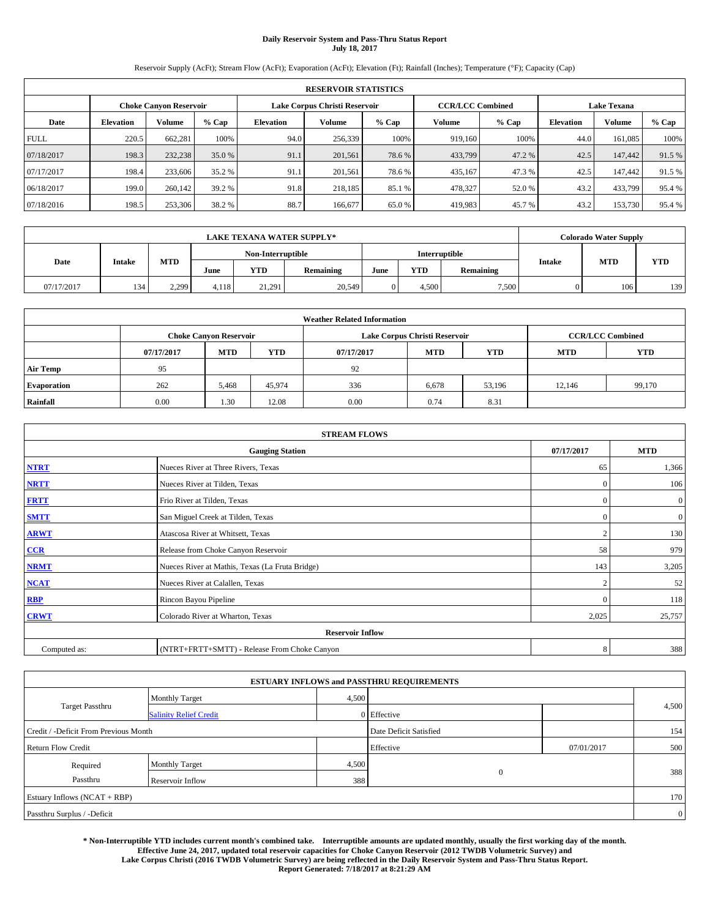# **Daily Reservoir System and Pass-Thru Status Report July 18, 2017**

Reservoir Supply (AcFt); Stream Flow (AcFt); Evaporation (AcFt); Elevation (Ft); Rainfall (Inches); Temperature (°F); Capacity (Cap)

| <b>RESERVOIR STATISTICS</b> |                  |                               |        |           |                               |         |                         |         |                  |                                                                                       |        |
|-----------------------------|------------------|-------------------------------|--------|-----------|-------------------------------|---------|-------------------------|---------|------------------|---------------------------------------------------------------------------------------|--------|
|                             |                  | <b>Choke Canvon Reservoir</b> |        |           | Lake Corpus Christi Reservoir |         | <b>CCR/LCC Combined</b> |         |                  | <b>Lake Texana</b><br>Volume<br>44.0<br>161.085<br>42.5<br>147,442<br>42.5<br>147.442 |        |
| Date                        | <b>Elevation</b> | <b>Volume</b>                 | % Cap  | Elevation | Volume                        | $%$ Cap | Volume                  | $%$ Cap | <b>Elevation</b> |                                                                                       | % Cap  |
| <b>FULL</b>                 | 220.5            | 662.281                       | 100%   | 94.0      | 256,339                       | 100%    | 919,160                 | 100%    |                  |                                                                                       | 100%   |
| 07/18/2017                  | 198.3            | 232,238                       | 35.0 % | 91.1      | 201.561                       | 78.6%   | 433,799                 | 47.2 %  |                  |                                                                                       | 91.5 % |
| 07/17/2017                  | 198.4            | 233,606                       | 35.2 % | 91.1      | 201.561                       | 78.6 %  | 435,167                 | 47.3 %  |                  |                                                                                       | 91.5 % |
| 06/18/2017                  | 199.0            | 260,142                       | 39.2 % | 91.8      | 218,185                       | 85.1 %  | 478,327                 | 52.0 %  | 43.2             | 433,799                                                                               | 95.4%  |
| 07/18/2016                  | 198.5            | 253,306                       | 38.2 % | 88.7      | 166,677                       | 65.0%   | 419,983                 | 45.7 %  | 43.2             | 153,730                                                                               | 95.4 % |

|            | <b>LAKE TEXANA WATER SUPPLY*</b> |            |                                    |            |           |      |            |           | <b>Colorado Water Supply</b> |            |            |
|------------|----------------------------------|------------|------------------------------------|------------|-----------|------|------------|-----------|------------------------------|------------|------------|
| Date       |                                  |            | Interruptible<br>Non-Interruptible |            |           |      |            |           |                              |            |            |
|            | <b>Intake</b>                    | <b>MTD</b> | June                               | <b>YTD</b> | Remaining | June | <b>YTD</b> | Remaining | <b>Intake</b>                | <b>MTD</b> | <b>YTD</b> |
| 07/17/2017 | 134                              | 2.299      | 4.118                              | 21,291     | 20,549    |      | 4.500      | 7,500     |                              | 106        | 139        |

| <b>Weather Related Information</b> |            |                               |            |      |                               |        |        |                         |  |  |
|------------------------------------|------------|-------------------------------|------------|------|-------------------------------|--------|--------|-------------------------|--|--|
|                                    |            | <b>Choke Canyon Reservoir</b> |            |      | Lake Corpus Christi Reservoir |        |        | <b>CCR/LCC Combined</b> |  |  |
|                                    | 07/17/2017 | <b>MTD</b>                    | <b>YTD</b> |      |                               |        |        |                         |  |  |
| <b>Air Temp</b>                    | 95         |                               |            | 92   |                               |        |        |                         |  |  |
| <b>Evaporation</b>                 | 262        | 5,468                         | 45,974     | 336  | 6,678                         | 53,196 | 12.146 | 99,170                  |  |  |
| Rainfall                           | 0.00       | 1.30                          | 12.08      | 0.00 | 0.74                          | 8.31   |        |                         |  |  |

| <b>STREAM FLOWS</b> |                                                 |                |                  |  |  |  |  |  |  |
|---------------------|-------------------------------------------------|----------------|------------------|--|--|--|--|--|--|
|                     | <b>Gauging Station</b>                          | 07/17/2017     | <b>MTD</b>       |  |  |  |  |  |  |
| <b>NTRT</b>         | Nueces River at Three Rivers, Texas             | 65             | 1,366            |  |  |  |  |  |  |
| <b>NRTT</b>         | Nueces River at Tilden, Texas                   | $\Omega$       | 106              |  |  |  |  |  |  |
| <b>FRTT</b>         | Frio River at Tilden, Texas                     | $\mathbf{0}$   | $\boldsymbol{0}$ |  |  |  |  |  |  |
| <b>SMTT</b>         | San Miguel Creek at Tilden, Texas               | $\mathbf{0}$   | $\overline{0}$   |  |  |  |  |  |  |
| <b>ARWT</b>         | Atascosa River at Whitsett, Texas               | $\overline{2}$ | 130              |  |  |  |  |  |  |
| $CCR$               | Release from Choke Canyon Reservoir             | 58             | 979              |  |  |  |  |  |  |
| <b>NRMT</b>         | Nueces River at Mathis, Texas (La Fruta Bridge) | 143            | 3,205            |  |  |  |  |  |  |
| <b>NCAT</b>         | Nueces River at Calallen, Texas                 | $\mathcal{L}$  | 52               |  |  |  |  |  |  |
| RBP                 | Rincon Bayou Pipeline                           | $\Omega$       | 118              |  |  |  |  |  |  |
| <b>CRWT</b>         | Colorado River at Wharton, Texas                | 2,025          | 25,757           |  |  |  |  |  |  |
|                     | <b>Reservoir Inflow</b>                         |                |                  |  |  |  |  |  |  |
| Computed as:        | (NTRT+FRTT+SMTT) - Release From Choke Canyon    | 8              | 388              |  |  |  |  |  |  |

|                                       |                               |       | <b>ESTUARY INFLOWS and PASSTHRU REQUIREMENTS</b> |            |                |
|---------------------------------------|-------------------------------|-------|--------------------------------------------------|------------|----------------|
|                                       | <b>Monthly Target</b>         | 4,500 |                                                  |            |                |
| Target Passthru                       | <b>Salinity Relief Credit</b> |       | $0$ Effective                                    |            | 4,500          |
| Credit / -Deficit From Previous Month |                               |       | Date Deficit Satisfied                           |            | 154            |
| <b>Return Flow Credit</b>             |                               |       | Effective                                        | 07/01/2017 | 500            |
| Required                              | <b>Monthly Target</b>         | 4,500 |                                                  |            |                |
| Passthru                              | Reservoir Inflow              | 388   | $\theta$                                         |            | 388            |
| Estuary Inflows (NCAT + RBP)          |                               |       |                                                  |            | 170            |
| Passthru Surplus / -Deficit           |                               |       |                                                  |            | $\overline{0}$ |

**\* Non-Interruptible YTD includes current month's combined take. Interruptible amounts are updated monthly, usually the first working day of the month. Effective June 24, 2017, updated total reservoir capacities for Choke Canyon Reservoir (2012 TWDB Volumetric Survey) and Lake Corpus Christi (2016 TWDB Volumetric Survey) are being reflected in the Daily Reservoir System and Pass-Thru Status Report. Report Generated: 7/18/2017 at 8:21:29 AM**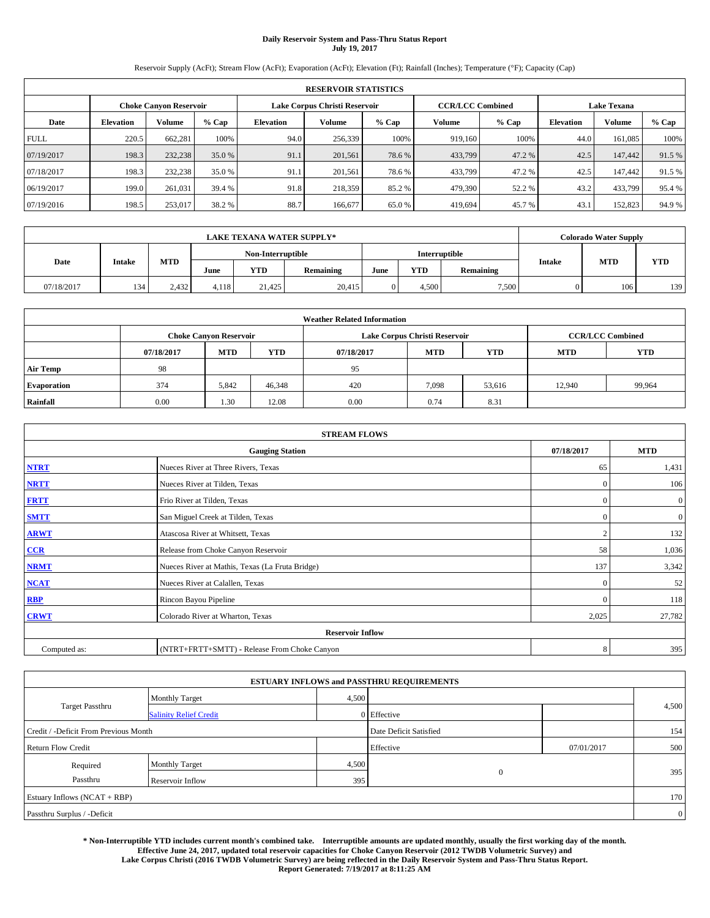# **Daily Reservoir System and Pass-Thru Status Report July 19, 2017**

Reservoir Supply (AcFt); Stream Flow (AcFt); Evaporation (AcFt); Elevation (Ft); Rainfall (Inches); Temperature (°F); Capacity (Cap)

| <b>RESERVOIR STATISTICS</b> |                  |                               |        |           |                               |         |         |                                                                                                                                                                                                                        |      |         |        |
|-----------------------------|------------------|-------------------------------|--------|-----------|-------------------------------|---------|---------|------------------------------------------------------------------------------------------------------------------------------------------------------------------------------------------------------------------------|------|---------|--------|
|                             |                  | <b>Choke Canvon Reservoir</b> |        |           | Lake Corpus Christi Reservoir |         |         | <b>Lake Texana</b><br><b>CCR/LCC Combined</b><br>Volume<br>$%$ Cap<br>Volume<br><b>Elevation</b><br>100%<br>44.0<br>919,160<br>161.085<br>433,799<br>47.2 %<br>42.5<br>147,442<br>433,799<br>47.2 %<br>42.5<br>147.442 |      |         |        |
| Date                        | <b>Elevation</b> | <b>Volume</b>                 | % Cap  | Elevation | Volume                        | $%$ Cap |         |                                                                                                                                                                                                                        |      |         | % Cap  |
| <b>FULL</b>                 | 220.5            | 662.281                       | 100%   | 94.0      | 256,339                       | 100%    |         |                                                                                                                                                                                                                        |      |         | 100%   |
| 07/19/2017                  | 198.3            | 232,238                       | 35.0 % | 91.1      | 201.561                       | 78.6%   |         |                                                                                                                                                                                                                        |      |         | 91.5 % |
| 07/18/2017                  | 198.3            | 232,238                       | 35.0 % | 91.1      | 201.561                       | 78.6 %  |         |                                                                                                                                                                                                                        |      |         | 91.5 % |
| 06/19/2017                  | 199.0            | 261.031                       | 39.4 % | 91.8      | 218,359                       | 85.2 %  | 479,390 | 52.2 %                                                                                                                                                                                                                 | 43.2 | 433,799 | 95.4%  |
| 07/19/2016                  | 198.5            | 253,017                       | 38.2 % | 88.7      | 166,677                       | 65.0%   | 419.694 | 45.7 %                                                                                                                                                                                                                 | 43.1 | 152,823 | 94.9%  |

|            | <b>LAKE TEXANA WATER SUPPLY*</b> |            |       |            |                   |      |            |               | <b>Colorado Water Supply</b> |            |            |  |  |
|------------|----------------------------------|------------|-------|------------|-------------------|------|------------|---------------|------------------------------|------------|------------|--|--|
|            | <b>Intake</b>                    |            |       |            | Non-Interruptible |      |            | Interruptible |                              |            |            |  |  |
| Date       |                                  | <b>MTD</b> | June  | <b>YTD</b> | Remaining         | June | <b>YTD</b> | Remaining     | <b>Intake</b>                | <b>MTD</b> | <b>YTD</b> |  |  |
| 07/18/2017 | 134                              | 2.432      | 4.118 | 21,425     | 20,415            |      | 4.500      | 7,500         |                              | 106        | 139        |  |  |

| <b>Weather Related Information</b> |            |                               |            |      |                               |        |        |                         |  |  |  |
|------------------------------------|------------|-------------------------------|------------|------|-------------------------------|--------|--------|-------------------------|--|--|--|
|                                    |            | <b>Choke Canyon Reservoir</b> |            |      | Lake Corpus Christi Reservoir |        |        | <b>CCR/LCC Combined</b> |  |  |  |
|                                    | 07/18/2017 | <b>MTD</b>                    | <b>YTD</b> |      |                               |        |        |                         |  |  |  |
| <b>Air Temp</b>                    | 98         |                               |            | 95   |                               |        |        |                         |  |  |  |
| <b>Evaporation</b>                 | 374        | 5.842                         | 46,348     | 420  | 7,098                         | 53,616 | 12.940 | 99,964                  |  |  |  |
| Rainfall                           | 0.00       | 1.30                          | 12.08      | 0.00 | 0.74                          | 8.31   |        |                         |  |  |  |

| <b>STREAM FLOWS</b> |                                                 |                |                |  |  |  |  |  |  |
|---------------------|-------------------------------------------------|----------------|----------------|--|--|--|--|--|--|
|                     | <b>Gauging Station</b>                          | 07/18/2017     | <b>MTD</b>     |  |  |  |  |  |  |
| <b>NTRT</b>         | Nueces River at Three Rivers, Texas             | 65             | 1,431          |  |  |  |  |  |  |
| <b>NRTT</b>         | Nueces River at Tilden, Texas                   | $\mathbf{0}$   | 106            |  |  |  |  |  |  |
| <b>FRTT</b>         | Frio River at Tilden, Texas                     | $\mathbf{0}$   | $\mathbf{0}$   |  |  |  |  |  |  |
| <b>SMTT</b>         | San Miguel Creek at Tilden, Texas               | $\mathbf{0}$   | $\overline{0}$ |  |  |  |  |  |  |
| <b>ARWT</b>         | Atascosa River at Whitsett, Texas               | $\overline{2}$ | 132            |  |  |  |  |  |  |
| $CCR$               | Release from Choke Canyon Reservoir             | 58             | 1,036          |  |  |  |  |  |  |
| <b>NRMT</b>         | Nueces River at Mathis, Texas (La Fruta Bridge) | 137            | 3,342          |  |  |  |  |  |  |
| <b>NCAT</b>         | Nueces River at Calallen, Texas                 | $\Omega$       | 52             |  |  |  |  |  |  |
| <b>RBP</b>          | Rincon Bayou Pipeline                           | $\mathbf{0}$   | 118            |  |  |  |  |  |  |
| <b>CRWT</b>         | Colorado River at Wharton, Texas                | 2,025          | 27,782         |  |  |  |  |  |  |
|                     | <b>Reservoir Inflow</b>                         |                |                |  |  |  |  |  |  |
| Computed as:        | (NTRT+FRTT+SMTT) - Release From Choke Canyon    | 8              | 395            |  |  |  |  |  |  |

|                                       |                               |       | <b>ESTUARY INFLOWS and PASSTHRU REQUIREMENTS</b> |            |                |
|---------------------------------------|-------------------------------|-------|--------------------------------------------------|------------|----------------|
|                                       | <b>Monthly Target</b>         | 4,500 |                                                  |            |                |
| Target Passthru                       | <b>Salinity Relief Credit</b> |       | $0$ Effective                                    |            | 4,500          |
| Credit / -Deficit From Previous Month |                               |       | Date Deficit Satisfied                           |            | 154            |
| <b>Return Flow Credit</b>             |                               |       | Effective                                        | 07/01/2017 | 500            |
| Required                              | <b>Monthly Target</b>         | 4,500 |                                                  |            |                |
| Passthru                              | Reservoir Inflow              | 395   | $\theta$                                         |            | 395            |
| Estuary Inflows (NCAT + RBP)          |                               |       |                                                  |            | 170            |
| Passthru Surplus / -Deficit           |                               |       |                                                  |            | $\overline{0}$ |

**\* Non-Interruptible YTD includes current month's combined take. Interruptible amounts are updated monthly, usually the first working day of the month. Effective June 24, 2017, updated total reservoir capacities for Choke Canyon Reservoir (2012 TWDB Volumetric Survey) and Lake Corpus Christi (2016 TWDB Volumetric Survey) are being reflected in the Daily Reservoir System and Pass-Thru Status Report. Report Generated: 7/19/2017 at 8:11:25 AM**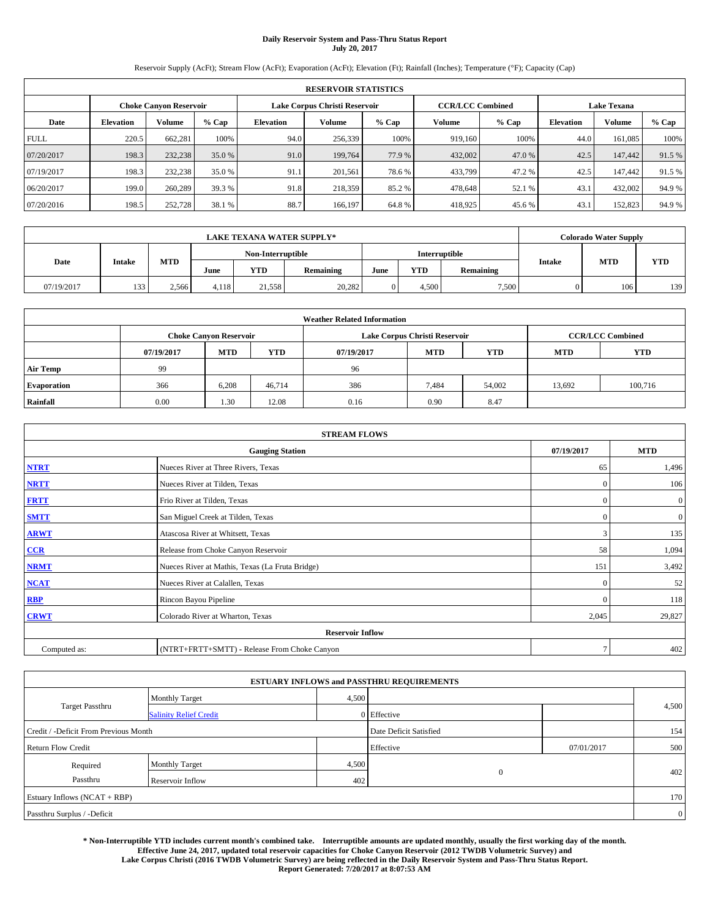# **Daily Reservoir System and Pass-Thru Status Report July 20, 2017**

Reservoir Supply (AcFt); Stream Flow (AcFt); Evaporation (AcFt); Elevation (Ft); Rainfall (Inches); Temperature (°F); Capacity (Cap)

| <b>RESERVOIR STATISTICS</b> |                  |                               |        |           |                               |         |                         |         |                  |                    |        |
|-----------------------------|------------------|-------------------------------|--------|-----------|-------------------------------|---------|-------------------------|---------|------------------|--------------------|--------|
|                             |                  | <b>Choke Canvon Reservoir</b> |        |           | Lake Corpus Christi Reservoir |         | <b>CCR/LCC Combined</b> |         |                  | <b>Lake Texana</b> |        |
| Date                        | <b>Elevation</b> | <b>Volume</b>                 | % Cap  | Elevation | Volume                        | $%$ Cap | Volume                  | $%$ Cap | <b>Elevation</b> | Volume             | % Cap  |
| <b>FULL</b>                 | 220.5            | 662.281                       | 100%   | 94.0      | 256,339                       | 100%    | 919,160                 | 100%    | 44.0             | 161.085            | 100%   |
| 07/20/2017                  | 198.3            | 232,238                       | 35.0 % | 91.0      | 199,764                       | 77.9 %  | 432,002                 | 47.0 %  | 42.5             | 147,442            | 91.5 % |
| 07/19/2017                  | 198.3            | 232,238                       | 35.0 % | 91.1      | 201.561                       | 78.6 %  | 433,799                 | 47.2 %  | 42.5             | 147.442            | 91.5 % |
| 06/20/2017                  | 199.0            | 260,289                       | 39.3 % | 91.8      | 218,359                       | 85.2 %  | 478,648                 | 52.1 %  | 43.1             | 432,002            | 94.9%  |
| 07/20/2016                  | 198.5            | 252,728                       | 38.1 % | 88.7      | 166,197                       | 64.8%   | 418,925                 | 45.6 %  | 43.1             | 152,823            | 94.9%  |

|            | <b>LAKE TEXANA WATER SUPPLY*</b> |            |       |                   |           |      |            |               |               | <b>Colorado Water Supply</b> |            |
|------------|----------------------------------|------------|-------|-------------------|-----------|------|------------|---------------|---------------|------------------------------|------------|
|            |                                  |            |       | Non-Interruptible |           |      |            | Interruptible |               | <b>MTD</b>                   |            |
| Date       | <b>Intake</b>                    | <b>MTD</b> | June  | <b>YTD</b>        | Remaining | June | <b>YTD</b> | Remaining     | <b>Intake</b> |                              | <b>YTD</b> |
| 07/19/2017 | 133                              | 2.566      | 4.118 | 21,558            | 20,282    |      | 4.500      | 7,500         |               | 106                          | 139        |

|                    | <b>Weather Related Information</b> |                               |            |            |                               |                         |            |            |  |  |  |  |
|--------------------|------------------------------------|-------------------------------|------------|------------|-------------------------------|-------------------------|------------|------------|--|--|--|--|
|                    |                                    | <b>Choke Canyon Reservoir</b> |            |            | Lake Corpus Christi Reservoir | <b>CCR/LCC Combined</b> |            |            |  |  |  |  |
|                    | 07/19/2017                         | <b>MTD</b>                    | <b>YTD</b> | 07/19/2017 | <b>MTD</b>                    | <b>YTD</b>              | <b>MTD</b> | <b>YTD</b> |  |  |  |  |
| <b>Air Temp</b>    | 99                                 |                               |            | 96         |                               |                         |            |            |  |  |  |  |
| <b>Evaporation</b> | 366                                | 6.208                         | 46.714     | 386        | 7,484                         | 54,002                  | 13,692     | 100,716    |  |  |  |  |
| Rainfall           | 0.00                               | 1.30                          | 12.08      | 0.16       | 0.90                          | 8.47                    |            |            |  |  |  |  |

| <b>STREAM FLOWS</b> |                                                 |              |                |  |  |  |  |  |
|---------------------|-------------------------------------------------|--------------|----------------|--|--|--|--|--|
|                     | <b>Gauging Station</b>                          | 07/19/2017   | <b>MTD</b>     |  |  |  |  |  |
| <b>NTRT</b>         | Nueces River at Three Rivers, Texas             | 65           | 1,496          |  |  |  |  |  |
| <b>NRTT</b>         | Nueces River at Tilden, Texas                   | $\mathbf{0}$ | 106            |  |  |  |  |  |
| <b>FRTT</b>         | Frio River at Tilden, Texas                     | $\mathbf{0}$ | $\mathbf{0}$   |  |  |  |  |  |
| <b>SMTT</b>         | San Miguel Creek at Tilden, Texas               | $\mathbf{0}$ | $\overline{0}$ |  |  |  |  |  |
| <b>ARWT</b>         | Atascosa River at Whitsett, Texas               | 3            | 135            |  |  |  |  |  |
| $CCR$               | Release from Choke Canyon Reservoir             | 58           | 1,094          |  |  |  |  |  |
| <b>NRMT</b>         | Nueces River at Mathis, Texas (La Fruta Bridge) | 151          | 3,492          |  |  |  |  |  |
| <b>NCAT</b>         | Nueces River at Calallen, Texas                 | $\Omega$     | 52             |  |  |  |  |  |
| <b>RBP</b>          | Rincon Bayou Pipeline                           | $\mathbf{0}$ | 118            |  |  |  |  |  |
| <b>CRWT</b>         | Colorado River at Wharton, Texas                | 2,045        | 29,827         |  |  |  |  |  |
|                     | <b>Reservoir Inflow</b>                         |              |                |  |  |  |  |  |
| Computed as:        | (NTRT+FRTT+SMTT) - Release From Choke Canyon    | $\tau$       | 402            |  |  |  |  |  |

|                                       |                               |       | <b>ESTUARY INFLOWS and PASSTHRU REQUIREMENTS</b> |            |                |
|---------------------------------------|-------------------------------|-------|--------------------------------------------------|------------|----------------|
|                                       | <b>Monthly Target</b>         | 4,500 |                                                  |            |                |
| Target Passthru                       | <b>Salinity Relief Credit</b> |       | $0$ Effective                                    |            | 4,500          |
| Credit / -Deficit From Previous Month |                               |       | Date Deficit Satisfied                           |            | 154            |
| <b>Return Flow Credit</b>             |                               |       | Effective                                        | 07/01/2017 | 500            |
| Required                              | <b>Monthly Target</b>         | 4,500 |                                                  |            |                |
| Passthru                              | Reservoir Inflow              | 402   | $\theta$                                         |            | 402            |
| Estuary Inflows (NCAT + RBP)          |                               |       |                                                  |            | 170            |
| Passthru Surplus / -Deficit           |                               |       |                                                  |            | $\overline{0}$ |

**\* Non-Interruptible YTD includes current month's combined take. Interruptible amounts are updated monthly, usually the first working day of the month. Effective June 24, 2017, updated total reservoir capacities for Choke Canyon Reservoir (2012 TWDB Volumetric Survey) and Lake Corpus Christi (2016 TWDB Volumetric Survey) are being reflected in the Daily Reservoir System and Pass-Thru Status Report. Report Generated: 7/20/2017 at 8:07:53 AM**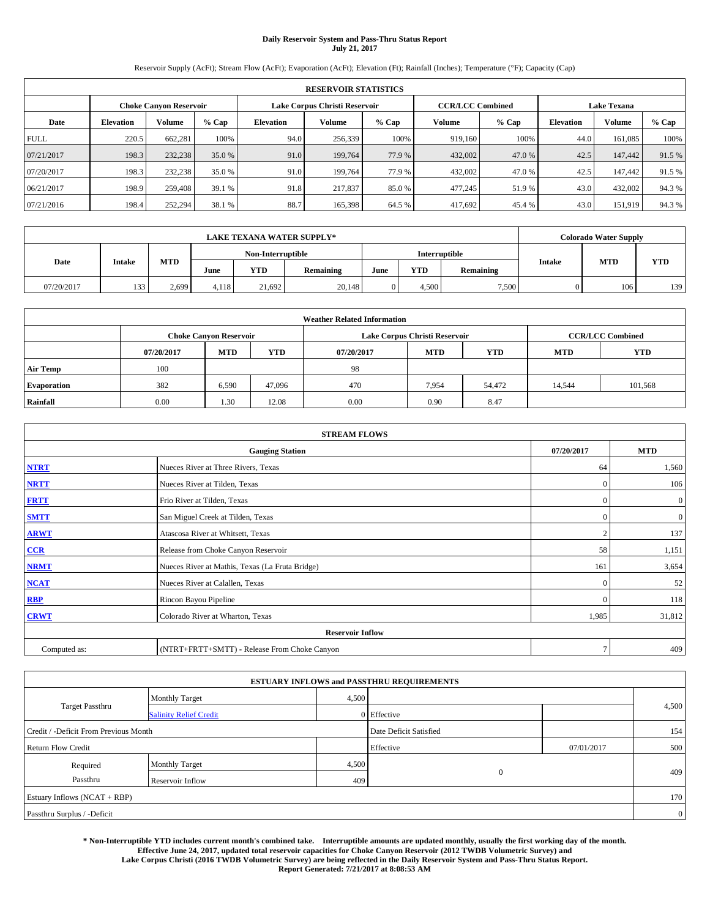# **Daily Reservoir System and Pass-Thru Status Report July 21, 2017**

Reservoir Supply (AcFt); Stream Flow (AcFt); Evaporation (AcFt); Elevation (Ft); Rainfall (Inches); Temperature (°F); Capacity (Cap)

|             | <b>RESERVOIR STATISTICS</b> |                               |        |           |                               |        |                         |         |                    |               |        |  |  |
|-------------|-----------------------------|-------------------------------|--------|-----------|-------------------------------|--------|-------------------------|---------|--------------------|---------------|--------|--|--|
|             |                             | <b>Choke Canvon Reservoir</b> |        |           | Lake Corpus Christi Reservoir |        | <b>CCR/LCC Combined</b> |         | <b>Lake Texana</b> |               |        |  |  |
| Date        | <b>Elevation</b>            | <b>Volume</b>                 | % Cap  | Elevation | Volume                        | % Cap  | Volume                  | $%$ Cap | <b>Elevation</b>   | <b>Volume</b> | % Cap  |  |  |
| <b>FULL</b> | 220.5                       | 662,281                       | 100%   | 94.0      | 256,339                       | 100%   | 919,160                 | 100%    | 44.0               | 161,085       | 100%   |  |  |
| 07/21/2017  | 198.3                       | 232,238                       | 35.0%  | 91.0      | 199,764                       | 77.9 % | 432,002                 | 47.0%   | 42.5               | 147,442       | 91.5%  |  |  |
| 07/20/2017  | 198.3                       | 232,238                       | 35.0 % | 91.0      | 199,764                       | 77.9 % | 432,002                 | 47.0%   | 42.5               | 147.442       | 91.5 % |  |  |
| 06/21/2017  | 198.9                       | 259,408                       | 39.1 % | 91.8      | 217,837                       | 85.0%  | 477,245                 | 51.9%   | 43.0               | 432,002       | 94.3%  |  |  |
| 07/21/2016  | 198.4                       | 252,294                       | 38.1 % | 88.7      | 165,398                       | 64.5 % | 417,692                 | 45.4 %  | 43.0               | 151,919       | 94.3%  |  |  |

|            | <b>LAKE TEXANA WATER SUPPLY*</b> |       |       |                   |                  |      |            |               |               | <b>Colorado Water Supply</b> |            |
|------------|----------------------------------|-------|-------|-------------------|------------------|------|------------|---------------|---------------|------------------------------|------------|
|            |                                  |       |       | Non-Interruptible |                  |      |            | Interruptible |               | <b>MTD</b>                   |            |
| Date       | <b>Intake</b>                    | MTD   | June  | YTD               | <b>Remaining</b> | June | <b>YTD</b> | Remaining     | <b>Intake</b> |                              | <b>YTD</b> |
| 07/20/2017 | 133                              | 2.699 | 4.118 | 21.692            | 20,148           |      | 4.500      | 7,500         |               | 106                          | 139        |

|                    | <b>Weather Related Information</b> |                               |            |            |                               |                         |            |            |  |  |  |  |
|--------------------|------------------------------------|-------------------------------|------------|------------|-------------------------------|-------------------------|------------|------------|--|--|--|--|
|                    |                                    | <b>Choke Canyon Reservoir</b> |            |            | Lake Corpus Christi Reservoir | <b>CCR/LCC Combined</b> |            |            |  |  |  |  |
|                    | 07/20/2017                         | <b>MTD</b>                    | <b>YTD</b> | 07/20/2017 | <b>MTD</b>                    | <b>YTD</b>              | <b>MTD</b> | <b>YTD</b> |  |  |  |  |
| <b>Air Temp</b>    | 100                                |                               |            | 98         |                               |                         |            |            |  |  |  |  |
| <b>Evaporation</b> | 382                                | 6,590                         | 47,096     | 470        | 7,954                         | 54,472                  | 14,544     | 101,568    |  |  |  |  |
| Rainfall           | 0.00                               | 1.30                          | 12.08      | 0.00       | 0.90                          | 8.47                    |            |            |  |  |  |  |

| <b>STREAM FLOWS</b> |                                                 |                |                  |  |  |  |  |  |
|---------------------|-------------------------------------------------|----------------|------------------|--|--|--|--|--|
|                     | <b>Gauging Station</b>                          | 07/20/2017     | <b>MTD</b>       |  |  |  |  |  |
| <b>NTRT</b>         | Nueces River at Three Rivers, Texas             | 64             | 1,560            |  |  |  |  |  |
| <b>NRTT</b>         | Nueces River at Tilden, Texas                   | $\Omega$       | 106              |  |  |  |  |  |
| <b>FRTT</b>         | Frio River at Tilden, Texas                     | $\mathbf{0}$   | $\boldsymbol{0}$ |  |  |  |  |  |
| <b>SMTT</b>         | San Miguel Creek at Tilden, Texas               | $\mathbf{0}$   | $\mathbf{0}$     |  |  |  |  |  |
| <b>ARWT</b>         | Atascosa River at Whitsett, Texas               | $\overline{2}$ | 137              |  |  |  |  |  |
| $CCR$               | Release from Choke Canyon Reservoir             | 58             | 1,151            |  |  |  |  |  |
| <b>NRMT</b>         | Nueces River at Mathis, Texas (La Fruta Bridge) | 161            | 3,654            |  |  |  |  |  |
| <b>NCAT</b>         | Nueces River at Calallen, Texas                 | $\mathbf{0}$   | 52               |  |  |  |  |  |
| RBP                 | Rincon Bayou Pipeline                           | $\Omega$       | 118              |  |  |  |  |  |
| <b>CRWT</b>         | Colorado River at Wharton, Texas                | 1,985          | 31,812           |  |  |  |  |  |
|                     | <b>Reservoir Inflow</b>                         |                |                  |  |  |  |  |  |
| Computed as:        | (NTRT+FRTT+SMTT) - Release From Choke Canyon    | $\tau$         | 409              |  |  |  |  |  |

|                                       |                               |       | <b>ESTUARY INFLOWS and PASSTHRU REQUIREMENTS</b> |            |                |
|---------------------------------------|-------------------------------|-------|--------------------------------------------------|------------|----------------|
|                                       | <b>Monthly Target</b>         | 4,500 |                                                  |            |                |
| Target Passthru                       | <b>Salinity Relief Credit</b> |       | 0 Effective                                      |            | 4,500          |
| Credit / -Deficit From Previous Month |                               |       | Date Deficit Satisfied                           |            | 154            |
| <b>Return Flow Credit</b>             |                               |       | Effective                                        | 07/01/2017 | 500            |
| Required                              | <b>Monthly Target</b>         | 4,500 |                                                  |            |                |
| Passthru                              | Reservoir Inflow              | 409   | $\theta$                                         |            | 409            |
| Estuary Inflows (NCAT + RBP)          |                               |       |                                                  |            | 170            |
| Passthru Surplus / -Deficit           |                               |       |                                                  |            | $\overline{0}$ |

**\* Non-Interruptible YTD includes current month's combined take. Interruptible amounts are updated monthly, usually the first working day of the month. Effective June 24, 2017, updated total reservoir capacities for Choke Canyon Reservoir (2012 TWDB Volumetric Survey) and Lake Corpus Christi (2016 TWDB Volumetric Survey) are being reflected in the Daily Reservoir System and Pass-Thru Status Report. Report Generated: 7/21/2017 at 8:08:53 AM**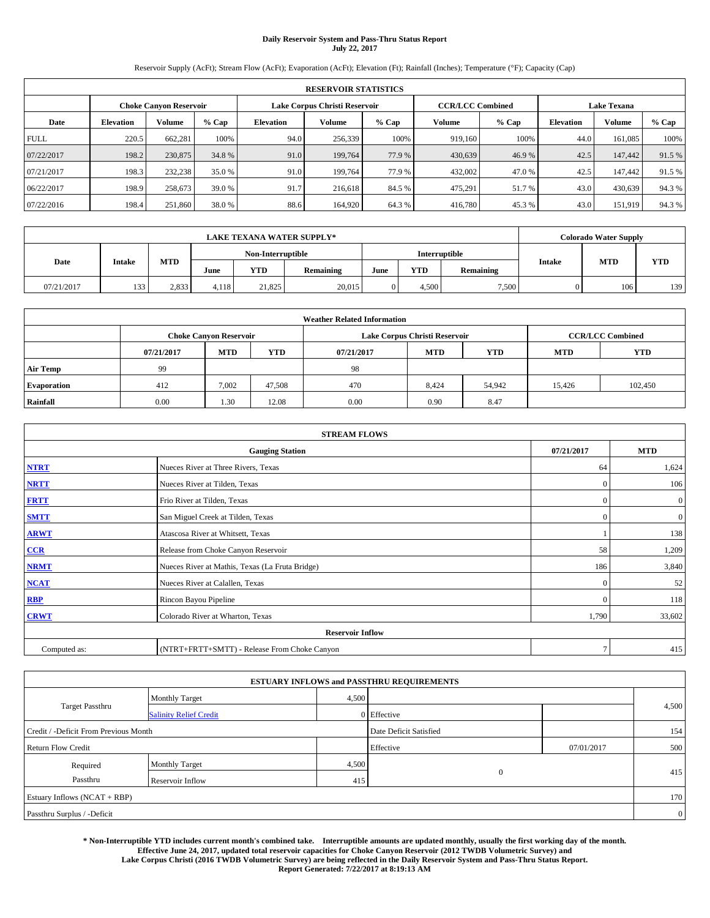# **Daily Reservoir System and Pass-Thru Status Report July 22, 2017**

Reservoir Supply (AcFt); Stream Flow (AcFt); Evaporation (AcFt); Elevation (Ft); Rainfall (Inches); Temperature (°F); Capacity (Cap)

|             | <b>RESERVOIR STATISTICS</b> |                               |        |                               |         |        |                         |         |                    |               |        |  |  |
|-------------|-----------------------------|-------------------------------|--------|-------------------------------|---------|--------|-------------------------|---------|--------------------|---------------|--------|--|--|
|             |                             | <b>Choke Canvon Reservoir</b> |        | Lake Corpus Christi Reservoir |         |        | <b>CCR/LCC Combined</b> |         | <b>Lake Texana</b> |               |        |  |  |
| Date        | <b>Elevation</b>            | <b>Volume</b>                 | % Cap  | <b>Elevation</b>              | Volume  | % Cap  | Volume                  | $%$ Cap | <b>Elevation</b>   | <b>Volume</b> | % Cap  |  |  |
| <b>FULL</b> | 220.5                       | 662.281                       | 100%   | 94.0                          | 256,339 | 100%   | 919.160                 | 100%    | 44.0               | 161,085       | 100%   |  |  |
| 07/22/2017  | 198.2                       | 230,875                       | 34.8%  | 91.0                          | 199,764 | 77.9 % | 430,639                 | 46.9%   | 42.5               | 147,442       | 91.5%  |  |  |
| 07/21/2017  | 198.3                       | 232,238                       | 35.0 % | 91.0                          | 199,764 | 77.9 % | 432,002                 | 47.0 %  | 42.5               | 147,442       | 91.5 % |  |  |
| 06/22/2017  | 198.9                       | 258.673                       | 39.0 % | 91.7                          | 216,618 | 84.5 % | 475.291                 | 51.7 %  | 43.0               | 430,639       | 94.3%  |  |  |
| 07/22/2016  | 198.4                       | 251,860                       | 38.0%  | 88.6                          | 164,920 | 64.3 % | 416,780                 | 45.3 %  | 43.0               | 151,919       | 94.3%  |  |  |

|            | <b>LAKE TEXANA WATER SUPPLY*</b> |            |       |                   |           |      |            |               |               | Colorado Water Supply |            |
|------------|----------------------------------|------------|-------|-------------------|-----------|------|------------|---------------|---------------|-----------------------|------------|
|            |                                  |            |       | Non-Interruptible |           |      |            | Interruptible |               | <b>MTD</b>            |            |
| Date       | <b>Intake</b>                    | <b>MTD</b> | June  | YTD               | Remaining | June | <b>YTD</b> | Remaining     | <b>Intake</b> |                       | <b>YTD</b> |
| 07/21/2017 | 133                              | 2.833      | 4.118 | 21,825            | 20,015    |      | 4.500      | 7,500         |               | 106                   | 139        |

|                    | <b>Weather Related Information</b> |                               |            |            |                               |                         |            |            |  |  |  |  |
|--------------------|------------------------------------|-------------------------------|------------|------------|-------------------------------|-------------------------|------------|------------|--|--|--|--|
|                    |                                    | <b>Choke Canyon Reservoir</b> |            |            | Lake Corpus Christi Reservoir | <b>CCR/LCC Combined</b> |            |            |  |  |  |  |
|                    | 07/21/2017                         | <b>MTD</b>                    | <b>YTD</b> | 07/21/2017 | <b>MTD</b>                    | <b>YTD</b>              | <b>MTD</b> | <b>YTD</b> |  |  |  |  |
| <b>Air Temp</b>    | 99                                 |                               |            | 98         |                               |                         |            |            |  |  |  |  |
| <b>Evaporation</b> | 412                                | 7.002                         | 47.508     | 470        | 8,424                         | 54,942                  | 15.426     | 102,450    |  |  |  |  |
| Rainfall           | 0.00                               | 1.30                          | 12.08      | 0.00       | 0.90                          | 8.47                    |            |            |  |  |  |  |

| <b>STREAM FLOWS</b> |                                                 |              |                  |  |  |  |  |  |  |  |
|---------------------|-------------------------------------------------|--------------|------------------|--|--|--|--|--|--|--|
|                     | <b>Gauging Station</b>                          |              |                  |  |  |  |  |  |  |  |
| <b>NTRT</b>         | Nueces River at Three Rivers, Texas             | 64           | 1,624            |  |  |  |  |  |  |  |
| <b>NRTT</b>         | Nueces River at Tilden, Texas                   | $\Omega$     | 106              |  |  |  |  |  |  |  |
| <b>FRTT</b>         | Frio River at Tilden, Texas                     | $\mathbf{0}$ | $\boldsymbol{0}$ |  |  |  |  |  |  |  |
| <b>SMTT</b>         | San Miguel Creek at Tilden, Texas               | $\mathbf{0}$ | $\mathbf{0}$     |  |  |  |  |  |  |  |
| <b>ARWT</b>         | Atascosa River at Whitsett, Texas               |              |                  |  |  |  |  |  |  |  |
| $CCR$               | Release from Choke Canyon Reservoir             |              |                  |  |  |  |  |  |  |  |
| <b>NRMT</b>         | Nueces River at Mathis, Texas (La Fruta Bridge) | 186          | 3,840            |  |  |  |  |  |  |  |
| <b>NCAT</b>         | Nueces River at Calallen, Texas                 | $\Omega$     | 52               |  |  |  |  |  |  |  |
| RBP                 | Rincon Bayou Pipeline                           | $\Omega$     | 118              |  |  |  |  |  |  |  |
| <b>CRWT</b>         | Colorado River at Wharton, Texas                | 1,790        | 33,602           |  |  |  |  |  |  |  |
|                     | <b>Reservoir Inflow</b>                         |              |                  |  |  |  |  |  |  |  |
| Computed as:        | (NTRT+FRTT+SMTT) - Release From Choke Canyon    |              |                  |  |  |  |  |  |  |  |

|                                       |                               |       | <b>ESTUARY INFLOWS and PASSTHRU REQUIREMENTS</b> |            |                |  |
|---------------------------------------|-------------------------------|-------|--------------------------------------------------|------------|----------------|--|
|                                       | <b>Monthly Target</b>         | 4,500 |                                                  |            |                |  |
| <b>Target Passthru</b>                | <b>Salinity Relief Credit</b> |       | $0$ Effective                                    |            | 4,500          |  |
| Credit / -Deficit From Previous Month |                               |       | Date Deficit Satisfied                           |            | 154            |  |
| <b>Return Flow Credit</b>             |                               |       | Effective                                        | 07/01/2017 | 500            |  |
| Required                              | <b>Monthly Target</b>         | 4,500 |                                                  |            |                |  |
| Passthru                              | Reservoir Inflow              | 415   | $\theta$                                         |            | 415            |  |
| Estuary Inflows (NCAT + RBP)          |                               |       |                                                  |            | 170            |  |
| Passthru Surplus / -Deficit           |                               |       |                                                  |            | $\overline{0}$ |  |

**\* Non-Interruptible YTD includes current month's combined take. Interruptible amounts are updated monthly, usually the first working day of the month. Effective June 24, 2017, updated total reservoir capacities for Choke Canyon Reservoir (2012 TWDB Volumetric Survey) and Lake Corpus Christi (2016 TWDB Volumetric Survey) are being reflected in the Daily Reservoir System and Pass-Thru Status Report. Report Generated: 7/22/2017 at 8:19:13 AM**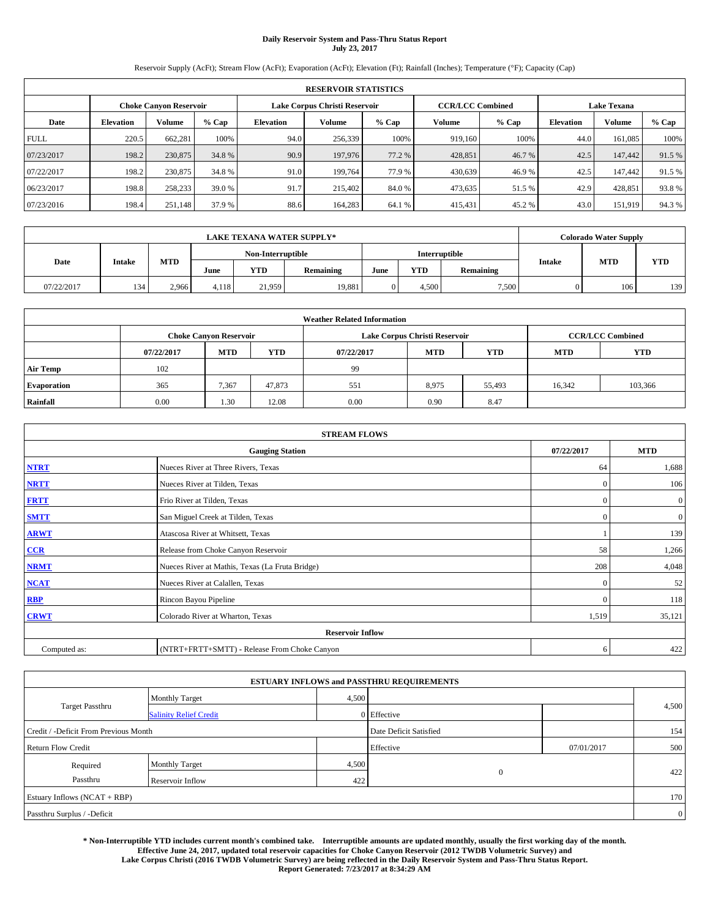# **Daily Reservoir System and Pass-Thru Status Report July 23, 2017**

Reservoir Supply (AcFt); Stream Flow (AcFt); Evaporation (AcFt); Elevation (Ft); Rainfall (Inches); Temperature (°F); Capacity (Cap)

| <b>RESERVOIR STATISTICS</b> |                  |                               |        |                  |                               |        |                         |         |                  |                    |        |
|-----------------------------|------------------|-------------------------------|--------|------------------|-------------------------------|--------|-------------------------|---------|------------------|--------------------|--------|
|                             |                  | <b>Choke Canvon Reservoir</b> |        |                  | Lake Corpus Christi Reservoir |        | <b>CCR/LCC Combined</b> |         |                  | <b>Lake Texana</b> |        |
| Date                        | <b>Elevation</b> | <b>Volume</b>                 | % Cap  | <b>Elevation</b> | Volume                        | % Cap  | Volume                  | $%$ Cap | <b>Elevation</b> | <b>Volume</b>      | % Cap  |
| <b>FULL</b>                 | 220.5            | 662.281                       | 100%   | 94.0             | 256,339                       | 100%   | 919.160                 | 100%    | 44.0             | 161,085            | 100%   |
| 07/23/2017                  | 198.2            | 230,875                       | 34.8%  | 90.9             | 197,976                       | 77.2 % | 428,851                 | 46.7 %  | 42.5             | 147,442            | 91.5%  |
| 07/22/2017                  | 198.2            | 230,875                       | 34.8%  | 91.0             | 199,764                       | 77.9 % | 430.639                 | 46.9%   | 42.5             | 147,442            | 91.5 % |
| 06/23/2017                  | 198.8            | 258,233                       | 39.0 % | 91.7             | 215,402                       | 84.0%  | 473,635                 | 51.5 %  | 42.9             | 428.851            | 93.8%  |
| 07/23/2016                  | 198.4            | 251,148                       | 37.9 % | 88.6             | 164.283                       | 64.1 % | 415,431                 | 45.2 %  | 43.0             | 151,919            | 94.3%  |

| <b>LAKE TEXANA WATER SUPPLY*</b> |               |            |                   |        |               |      |            |           | <b>Colorado Water Supply</b> |            |            |
|----------------------------------|---------------|------------|-------------------|--------|---------------|------|------------|-----------|------------------------------|------------|------------|
|                                  |               |            | Non-Interruptible |        | Interruptible |      |            |           |                              |            |            |
| Date                             | <b>Intake</b> | <b>MTD</b> | June              | YTD    | Remaining     | June | <b>YTD</b> | Remaining | <b>Intake</b>                | <b>MTD</b> | <b>YTD</b> |
| 07/22/2017                       | 134           | 2.966      | 4.118             | 21.959 | 19,881        |      | 4.500      | 7,500     |                              | 106        | 139        |

| <b>Weather Related Information</b> |            |                               |            |            |                               |                         |            |            |  |  |
|------------------------------------|------------|-------------------------------|------------|------------|-------------------------------|-------------------------|------------|------------|--|--|
|                                    |            | <b>Choke Canyon Reservoir</b> |            |            | Lake Corpus Christi Reservoir | <b>CCR/LCC Combined</b> |            |            |  |  |
|                                    | 07/22/2017 | <b>MTD</b>                    | <b>YTD</b> | 07/22/2017 | <b>MTD</b>                    | <b>YTD</b>              | <b>MTD</b> | <b>YTD</b> |  |  |
| <b>Air Temp</b>                    | 102        |                               |            | 99         |                               |                         |            |            |  |  |
| <b>Evaporation</b>                 | 365        | 7,367                         | 47.873     | 551        | 8,975                         | 55,493                  | 16,342     | 103,366    |  |  |
| Rainfall                           | 0.00       | 1.30                          | 12.08      | 0.00       | 0.90                          | 8.47                    |            |            |  |  |

| <b>STREAM FLOWS</b> |                                                 |              |                  |  |  |  |  |  |  |
|---------------------|-------------------------------------------------|--------------|------------------|--|--|--|--|--|--|
|                     | <b>Gauging Station</b>                          |              |                  |  |  |  |  |  |  |
| <b>NTRT</b>         | Nueces River at Three Rivers, Texas             |              |                  |  |  |  |  |  |  |
| <b>NRTT</b>         | Nueces River at Tilden, Texas                   | $\mathbf{0}$ | 106              |  |  |  |  |  |  |
| <b>FRTT</b>         | Frio River at Tilden, Texas                     | $\mathbf{0}$ | $\boldsymbol{0}$ |  |  |  |  |  |  |
| <b>SMTT</b>         | San Miguel Creek at Tilden, Texas               | $\mathbf{0}$ | $\overline{0}$   |  |  |  |  |  |  |
| <b>ARWT</b>         | Atascosa River at Whitsett, Texas               |              |                  |  |  |  |  |  |  |
| $CCR$               | Release from Choke Canyon Reservoir             | 58           | 1,266            |  |  |  |  |  |  |
| <b>NRMT</b>         | Nueces River at Mathis, Texas (La Fruta Bridge) | 208          | 4,048            |  |  |  |  |  |  |
| <b>NCAT</b>         | Nueces River at Calallen, Texas                 | $\mathbf{0}$ | 52               |  |  |  |  |  |  |
| RBP                 | Rincon Bayou Pipeline                           | $\Omega$     | 118              |  |  |  |  |  |  |
| <b>CRWT</b>         | Colorado River at Wharton, Texas                | 1,519        | 35,121           |  |  |  |  |  |  |
|                     | <b>Reservoir Inflow</b>                         |              |                  |  |  |  |  |  |  |
| Computed as:        | (NTRT+FRTT+SMTT) - Release From Choke Canyon    | 6            | 422              |  |  |  |  |  |  |

| <b>ESTUARY INFLOWS and PASSTHRU REQUIREMENTS</b> |                               |       |                        |            |                |  |  |  |  |  |
|--------------------------------------------------|-------------------------------|-------|------------------------|------------|----------------|--|--|--|--|--|
|                                                  | <b>Monthly Target</b>         | 4,500 |                        |            |                |  |  |  |  |  |
| <b>Target Passthru</b>                           | <b>Salinity Relief Credit</b> |       | 0 Effective            |            | 4,500          |  |  |  |  |  |
| Credit / -Deficit From Previous Month            |                               |       | Date Deficit Satisfied |            | 154            |  |  |  |  |  |
| <b>Return Flow Credit</b>                        |                               |       | Effective              | 07/01/2017 | 500            |  |  |  |  |  |
| Required                                         | <b>Monthly Target</b>         | 4,500 |                        |            |                |  |  |  |  |  |
| Passthru                                         | Reservoir Inflow              | 422   | $\mathbf{0}$           |            | 422            |  |  |  |  |  |
| Estuary Inflows (NCAT + RBP)                     |                               |       |                        |            | 170            |  |  |  |  |  |
| Passthru Surplus / -Deficit                      |                               |       |                        |            | $\overline{0}$ |  |  |  |  |  |

**\* Non-Interruptible YTD includes current month's combined take. Interruptible amounts are updated monthly, usually the first working day of the month. Effective June 24, 2017, updated total reservoir capacities for Choke Canyon Reservoir (2012 TWDB Volumetric Survey) and Lake Corpus Christi (2016 TWDB Volumetric Survey) are being reflected in the Daily Reservoir System and Pass-Thru Status Report. Report Generated: 7/23/2017 at 8:34:29 AM**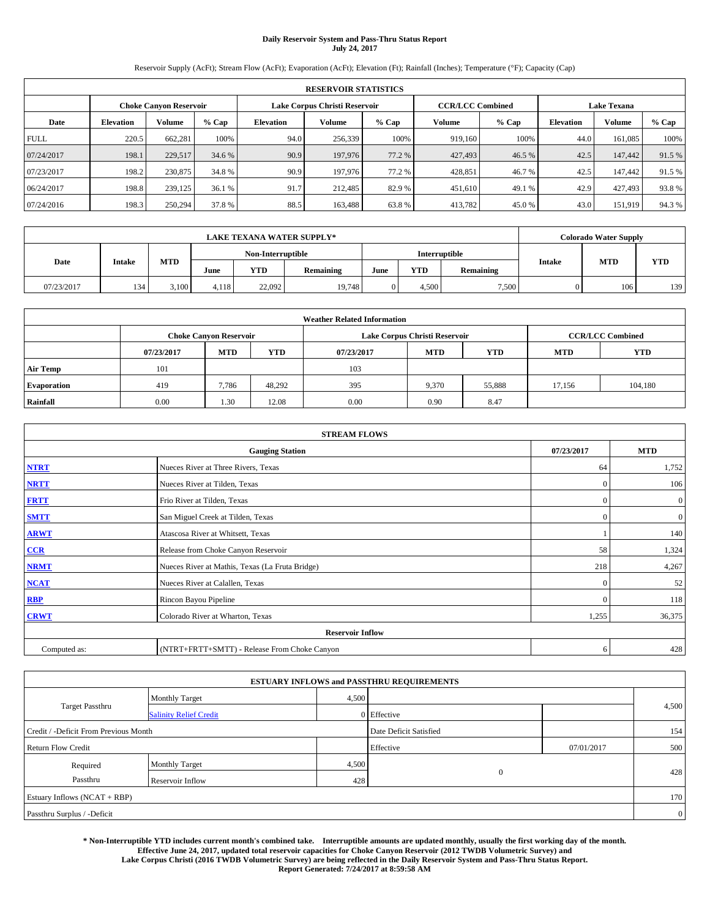# **Daily Reservoir System and Pass-Thru Status Report July 24, 2017**

Reservoir Supply (AcFt); Stream Flow (AcFt); Evaporation (AcFt); Elevation (Ft); Rainfall (Inches); Temperature (°F); Capacity (Cap)

| <b>RESERVOIR STATISTICS</b> |                  |                               |        |                  |                               |        |                         |         |                  |                    |        |
|-----------------------------|------------------|-------------------------------|--------|------------------|-------------------------------|--------|-------------------------|---------|------------------|--------------------|--------|
|                             |                  | <b>Choke Canvon Reservoir</b> |        |                  | Lake Corpus Christi Reservoir |        | <b>CCR/LCC Combined</b> |         |                  | <b>Lake Texana</b> |        |
| Date                        | <b>Elevation</b> | <b>Volume</b>                 | % Cap  | <b>Elevation</b> | Volume                        | % Cap  | Volume                  | $%$ Cap | <b>Elevation</b> | <b>Volume</b>      | % Cap  |
| <b>FULL</b>                 | 220.5            | 662.281                       | 100%   | 94.0             | 256,339                       | 100%   | 919.160                 | 100%    | 44.0             | 161,085            | 100%   |
| 07/24/2017                  | 198.1            | 229,517                       | 34.6 % | 90.9             | 197,976                       | 77.2 % | 427,493                 | 46.5 %  | 42.5             | 147,442            | 91.5%  |
| 07/23/2017                  | 198.2            | 230,875                       | 34.8%  | 90.9             | 197,976                       | 77.2 % | 428.851                 | 46.7 %  | 42.5             | 147,442            | 91.5 % |
| 06/24/2017                  | 198.8            | 239,125                       | 36.1 % | 91.7             | 212,485                       | 82.9 % | 451,610                 | 49.1 %  | 42.9             | 427.493            | 93.8%  |
| 07/24/2016                  | 198.3            | 250.294                       | 37.8 % | 88.5             | 163.488                       | 63.8%  | 413,782                 | 45.0%   | 43.0             | 151,919            | 94.3%  |

| <b>LAKE TEXANA WATER SUPPLY*</b> |               |            |       |                   |           |      |            | Colorado Water Supply |               |            |            |
|----------------------------------|---------------|------------|-------|-------------------|-----------|------|------------|-----------------------|---------------|------------|------------|
|                                  |               |            |       | Non-Interruptible |           |      |            | Interruptible         |               |            |            |
| Date                             | <b>Intake</b> | <b>MTD</b> | June  | YTD               | Remaining | June | <b>YTD</b> | Remaining             | <b>Intake</b> | <b>MTD</b> | <b>YTD</b> |
| 07/23/2017                       | 134           | 3.100      | 4.118 | 22,092            | 19,748    |      | 4.500      | 7,500                 |               | 106        | 139        |

| <b>Weather Related Information</b> |            |                               |            |            |                               |                         |            |            |  |  |
|------------------------------------|------------|-------------------------------|------------|------------|-------------------------------|-------------------------|------------|------------|--|--|
|                                    |            | <b>Choke Canyon Reservoir</b> |            |            | Lake Corpus Christi Reservoir | <b>CCR/LCC Combined</b> |            |            |  |  |
|                                    | 07/23/2017 | <b>MTD</b>                    | <b>YTD</b> | 07/23/2017 | <b>MTD</b>                    | <b>YTD</b>              | <b>MTD</b> | <b>YTD</b> |  |  |
| <b>Air Temp</b>                    | 101        |                               |            | 103        |                               |                         |            |            |  |  |
| <b>Evaporation</b>                 | 419        | 7,786                         | 48.292     | 395        | 9,370                         | 55,888                  | 17.156     | 104,180    |  |  |
| Rainfall                           | 0.00       | 1.30                          | 12.08      | 0.00       | 0.90                          | 8.47                    |            |            |  |  |

| <b>STREAM FLOWS</b> |                                                 |              |                  |  |  |  |  |  |  |
|---------------------|-------------------------------------------------|--------------|------------------|--|--|--|--|--|--|
|                     | <b>Gauging Station</b>                          |              |                  |  |  |  |  |  |  |
| <b>NTRT</b>         | Nueces River at Three Rivers, Texas             |              |                  |  |  |  |  |  |  |
| <b>NRTT</b>         | Nueces River at Tilden, Texas                   | $\mathbf{0}$ | 106              |  |  |  |  |  |  |
| <b>FRTT</b>         | Frio River at Tilden, Texas                     | $\mathbf{0}$ | $\boldsymbol{0}$ |  |  |  |  |  |  |
| <b>SMTT</b>         | San Miguel Creek at Tilden, Texas               | $\mathbf{0}$ | $\overline{0}$   |  |  |  |  |  |  |
| <b>ARWT</b>         | Atascosa River at Whitsett, Texas               |              |                  |  |  |  |  |  |  |
| $CCR$               | Release from Choke Canyon Reservoir             | 58           | 1,324            |  |  |  |  |  |  |
| <b>NRMT</b>         | Nueces River at Mathis, Texas (La Fruta Bridge) | 218          | 4,267            |  |  |  |  |  |  |
| <b>NCAT</b>         | Nueces River at Calallen, Texas                 | $\mathbf{0}$ | 52               |  |  |  |  |  |  |
| RBP                 | Rincon Bayou Pipeline                           | $\Omega$     | 118              |  |  |  |  |  |  |
| <b>CRWT</b>         | Colorado River at Wharton, Texas                | 1,255        | 36,375           |  |  |  |  |  |  |
|                     | <b>Reservoir Inflow</b>                         |              |                  |  |  |  |  |  |  |
| Computed as:        | 6                                               | 428          |                  |  |  |  |  |  |  |

|                                       |                               |       | <b>ESTUARY INFLOWS and PASSTHRU REQUIREMENTS</b> |            |                |
|---------------------------------------|-------------------------------|-------|--------------------------------------------------|------------|----------------|
|                                       | <b>Monthly Target</b>         | 4,500 |                                                  |            |                |
| Target Passthru                       | <b>Salinity Relief Credit</b> |       | $0$ Effective                                    |            | 4,500          |
| Credit / -Deficit From Previous Month |                               |       | Date Deficit Satisfied                           |            | 154            |
| <b>Return Flow Credit</b>             |                               |       | Effective                                        | 07/01/2017 | 500            |
| Required                              | <b>Monthly Target</b>         | 4,500 |                                                  |            |                |
| Passthru                              | Reservoir Inflow              | 428   | $\theta$                                         |            | 428            |
| Estuary Inflows (NCAT + RBP)          |                               |       |                                                  |            | 170            |
| Passthru Surplus / -Deficit           |                               |       |                                                  |            | $\overline{0}$ |

**\* Non-Interruptible YTD includes current month's combined take. Interruptible amounts are updated monthly, usually the first working day of the month. Effective June 24, 2017, updated total reservoir capacities for Choke Canyon Reservoir (2012 TWDB Volumetric Survey) and Lake Corpus Christi (2016 TWDB Volumetric Survey) are being reflected in the Daily Reservoir System and Pass-Thru Status Report. Report Generated: 7/24/2017 at 8:59:58 AM**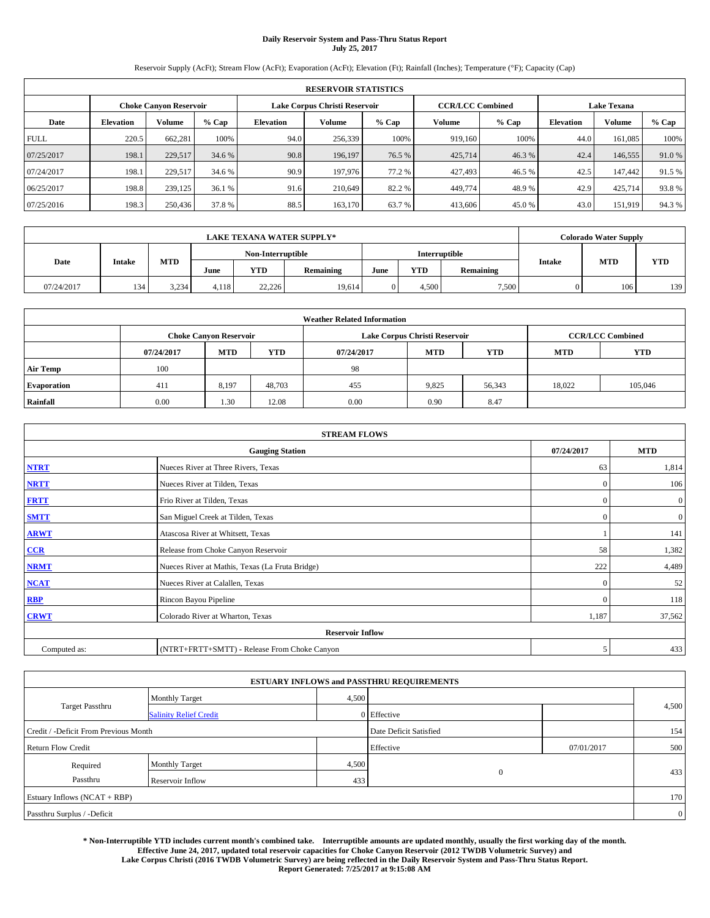# **Daily Reservoir System and Pass-Thru Status Report July 25, 2017**

Reservoir Supply (AcFt); Stream Flow (AcFt); Evaporation (AcFt); Elevation (Ft); Rainfall (Inches); Temperature (°F); Capacity (Cap)

|             | <b>RESERVOIR STATISTICS</b>   |               |        |           |                               |        |                         |         |                  |                    |        |  |
|-------------|-------------------------------|---------------|--------|-----------|-------------------------------|--------|-------------------------|---------|------------------|--------------------|--------|--|
|             | <b>Choke Canyon Reservoir</b> |               |        |           | Lake Corpus Christi Reservoir |        | <b>CCR/LCC Combined</b> |         |                  | <b>Lake Texana</b> |        |  |
| Date        | <b>Elevation</b>              | <b>Volume</b> | % Cap  | Elevation | Volume                        | % Cap  | Volume                  | $%$ Cap | <b>Elevation</b> | <b>Volume</b>      | % Cap  |  |
| <b>FULL</b> | 220.5                         | 662.281       | 100%   | 94.0      | 256,339                       | 100%   | 919,160                 | 100%    | 44.0             | 161,085            | 100%   |  |
| 07/25/2017  | 198.1                         | 229,517       | 34.6 % | 90.8      | 196.197                       | 76.5 % | 425,714                 | 46.3%   | 42.4             | 146,555            | 91.0%  |  |
| 07/24/2017  | 198.1                         | 229.517       | 34.6 % | 90.9      | 197,976                       | 77.2 % | 427,493                 | 46.5 %  | 42.5             | 147,442            | 91.5 % |  |
| 06/25/2017  | 198.8                         | 239,125       | 36.1 % | 91.6      | 210,649                       | 82.2 % | 449,774                 | 48.9%   | 42.9             | 425,714            | 93.8%  |  |
| 07/25/2016  | 198.3                         | 250,436       | 37.8%  | 88.5      | 163,170                       | 63.7 % | 413,606                 | 45.0%   | 43.0             | 151,919            | 94.3%  |  |

|            | <b>LAKE TEXANA WATER SUPPLY*</b> |            |       |                   |           |      |            |               |               | Colorado Water Supply |            |  |
|------------|----------------------------------|------------|-------|-------------------|-----------|------|------------|---------------|---------------|-----------------------|------------|--|
|            |                                  |            |       | Non-Interruptible |           |      |            | Interruptible |               |                       |            |  |
| Date       | <b>Intake</b>                    | <b>MTD</b> | June  | YTD               | Remaining | June | <b>YTD</b> | Remaining     | <b>Intake</b> | <b>MTD</b>            | <b>YTD</b> |  |
| 07/24/2017 | 134                              | 3.234      | 4.118 | 22,226            | 19.614    |      | 4.500      | 7,500         |               | 106                   | 139        |  |

| <b>Weather Related Information</b> |                               |            |            |            |                               |                         |            |            |  |  |
|------------------------------------|-------------------------------|------------|------------|------------|-------------------------------|-------------------------|------------|------------|--|--|
|                                    | <b>Choke Canyon Reservoir</b> |            |            |            | Lake Corpus Christi Reservoir | <b>CCR/LCC Combined</b> |            |            |  |  |
|                                    | 07/24/2017                    | <b>MTD</b> | <b>YTD</b> | 07/24/2017 | <b>MTD</b>                    | <b>YTD</b>              | <b>MTD</b> | <b>YTD</b> |  |  |
| <b>Air Temp</b>                    | 100                           |            |            | 98         |                               |                         |            |            |  |  |
| <b>Evaporation</b>                 | 411                           | 8,197      | 48.703     | 455        | 9,825                         | 56,343                  | 18.022     | 105,046    |  |  |
| Rainfall                           | 0.00                          | 1.30       | 12.08      | 0.00       | 0.90                          | 8.47                    |            |            |  |  |

| <b>STREAM FLOWS</b> |                                                 |              |                |  |  |  |  |  |  |
|---------------------|-------------------------------------------------|--------------|----------------|--|--|--|--|--|--|
|                     | <b>Gauging Station</b>                          | 07/24/2017   | <b>MTD</b>     |  |  |  |  |  |  |
| <b>NTRT</b>         | Nueces River at Three Rivers, Texas             | 63           | 1,814          |  |  |  |  |  |  |
| <b>NRTT</b>         | Nueces River at Tilden, Texas                   | $\mathbf{0}$ | 106            |  |  |  |  |  |  |
| <b>FRTT</b>         | Frio River at Tilden, Texas                     | $\mathbf{0}$ | $\mathbf{0}$   |  |  |  |  |  |  |
| <b>SMTT</b>         | San Miguel Creek at Tilden, Texas               | $\mathbf{0}$ | $\overline{0}$ |  |  |  |  |  |  |
| <b>ARWT</b>         | Atascosa River at Whitsett, Texas               |              | 141            |  |  |  |  |  |  |
| $CCR$               | Release from Choke Canyon Reservoir             | 58           | 1,382          |  |  |  |  |  |  |
| <b>NRMT</b>         | Nueces River at Mathis, Texas (La Fruta Bridge) | 222          | 4,489          |  |  |  |  |  |  |
| <b>NCAT</b>         | Nueces River at Calallen, Texas                 | $\Omega$     | 52             |  |  |  |  |  |  |
| RBP                 | Rincon Bayou Pipeline                           | $\mathbf{0}$ | 118            |  |  |  |  |  |  |
| <b>CRWT</b>         | Colorado River at Wharton, Texas                | 1,187        | 37,562         |  |  |  |  |  |  |
|                     | <b>Reservoir Inflow</b>                         |              |                |  |  |  |  |  |  |
| Computed as:        | (NTRT+FRTT+SMTT) - Release From Choke Canyon    |              |                |  |  |  |  |  |  |

| <b>ESTUARY INFLOWS and PASSTHRU REQUIREMENTS</b> |                               |       |                        |            |                |  |  |  |  |  |
|--------------------------------------------------|-------------------------------|-------|------------------------|------------|----------------|--|--|--|--|--|
|                                                  | <b>Monthly Target</b>         | 4,500 |                        |            |                |  |  |  |  |  |
| <b>Target Passthru</b>                           | <b>Salinity Relief Credit</b> |       | 0 Effective            |            | 4,500          |  |  |  |  |  |
| Credit / -Deficit From Previous Month            |                               |       | Date Deficit Satisfied |            | 154            |  |  |  |  |  |
| <b>Return Flow Credit</b>                        |                               |       | Effective              | 07/01/2017 | 500            |  |  |  |  |  |
| Required                                         | <b>Monthly Target</b>         | 4,500 |                        |            |                |  |  |  |  |  |
| Passthru<br>Reservoir Inflow                     |                               |       | $\mathbf{0}$<br>433    |            | 433            |  |  |  |  |  |
| Estuary Inflows (NCAT + RBP)                     |                               |       |                        |            | 170            |  |  |  |  |  |
| Passthru Surplus / -Deficit                      |                               |       |                        |            | $\overline{0}$ |  |  |  |  |  |

**\* Non-Interruptible YTD includes current month's combined take. Interruptible amounts are updated monthly, usually the first working day of the month. Effective June 24, 2017, updated total reservoir capacities for Choke Canyon Reservoir (2012 TWDB Volumetric Survey) and Lake Corpus Christi (2016 TWDB Volumetric Survey) are being reflected in the Daily Reservoir System and Pass-Thru Status Report. Report Generated: 7/25/2017 at 9:15:08 AM**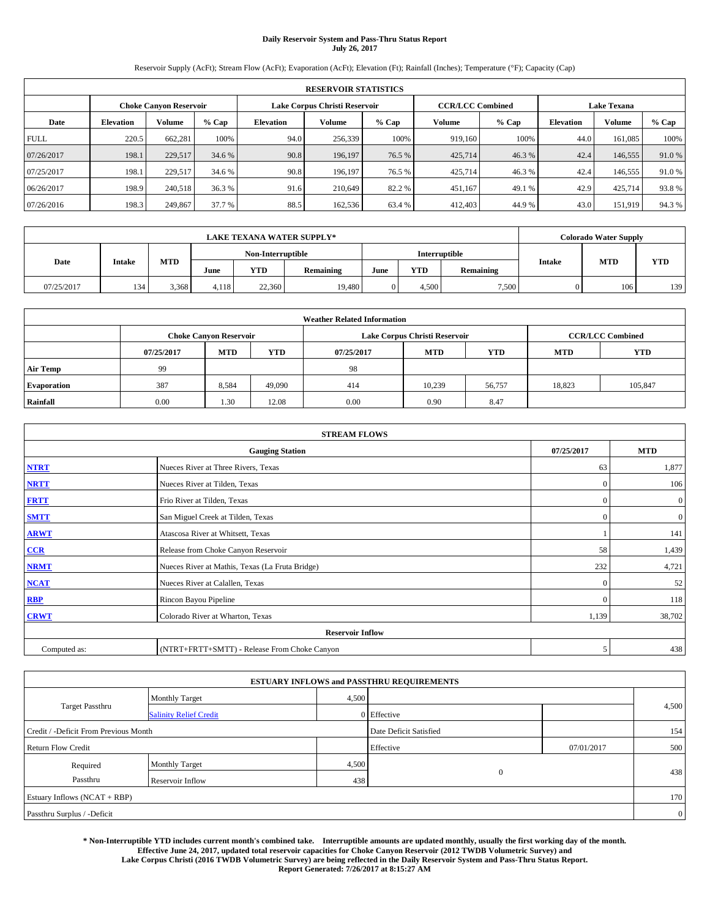# **Daily Reservoir System and Pass-Thru Status Report July 26, 2017**

Reservoir Supply (AcFt); Stream Flow (AcFt); Evaporation (AcFt); Elevation (Ft); Rainfall (Inches); Temperature (°F); Capacity (Cap)

|             | <b>RESERVOIR STATISTICS</b>   |               |        |                               |         |         |                         |         |                    |         |       |
|-------------|-------------------------------|---------------|--------|-------------------------------|---------|---------|-------------------------|---------|--------------------|---------|-------|
|             | <b>Choke Canvon Reservoir</b> |               |        | Lake Corpus Christi Reservoir |         |         | <b>CCR/LCC Combined</b> |         | <b>Lake Texana</b> |         |       |
| Date        | <b>Elevation</b>              | <b>Volume</b> | % Cap  | <b>Elevation</b>              | Volume  | $%$ Cap | Volume                  | $%$ Cap | <b>Elevation</b>   | Volume  | % Cap |
| <b>FULL</b> | 220.5                         | 662.281       | 100%   | 94.0                          | 256,339 | 100%    | 919,160                 | 100%    | 44.0               | 161.085 | 100%  |
| 07/26/2017  | 198.1                         | 229,517       | 34.6 % | 90.8                          | 196,197 | 76.5 %  | 425,714                 | 46.3 %  | 42.4               | 146,555 | 91.0% |
| 07/25/2017  | 198.1                         | 229.517       | 34.6 % | 90.8                          | 196,197 | 76.5 %  | 425,714                 | 46.3 %  | 42.4               | 146,555 | 91.0% |
| 06/26/2017  | 198.9                         | 240.518       | 36.3%  | 91.6                          | 210,649 | 82.2 %  | 451,167                 | 49.1 %  | 42.9               | 425,714 | 93.8% |
| 07/26/2016  | 198.3                         | 249,867       | 37.7 % | 88.5                          | 162,536 | 63.4 %  | 412,403                 | 44.9 %  | 43.0               | 151,919 | 94.3% |

|            | <b>LAKE TEXANA WATER SUPPLY*</b> |            |       |                   |           |                      |            |           |               | <b>Colorado Water Supply</b> |            |  |
|------------|----------------------------------|------------|-------|-------------------|-----------|----------------------|------------|-----------|---------------|------------------------------|------------|--|
|            |                                  |            |       | Non-Interruptible |           | <b>Interruptible</b> |            |           |               |                              |            |  |
| Date       | <b>Intake</b>                    | <b>MTD</b> | June  | <b>YTD</b>        | Remaining | June                 | <b>YTD</b> | Remaining | <b>Intake</b> | <b>MTD</b>                   | <b>YTD</b> |  |
| 07/25/2017 | 134                              | 3.368      | 4.118 | 22,360            | 19,480    |                      | 4.500      | 7,500     |               | 106                          | 139        |  |

| <b>Weather Related Information</b> |                               |                                                                           |        |                               |                         |        |        |            |  |  |
|------------------------------------|-------------------------------|---------------------------------------------------------------------------|--------|-------------------------------|-------------------------|--------|--------|------------|--|--|
|                                    | <b>Choke Canyon Reservoir</b> |                                                                           |        | Lake Corpus Christi Reservoir | <b>CCR/LCC Combined</b> |        |        |            |  |  |
|                                    | 07/25/2017                    | <b>YTD</b><br><b>MTD</b><br>YTD<br><b>MTD</b><br><b>MTD</b><br>07/25/2017 |        |                               |                         |        |        | <b>YTD</b> |  |  |
| <b>Air Temp</b>                    | 99                            |                                                                           |        | 98                            |                         |        |        |            |  |  |
| <b>Evaporation</b>                 | 387                           | 8.584                                                                     | 49,090 | 414                           | 10,239                  | 56,757 | 18,823 | 105,847    |  |  |
| Rainfall                           | 0.00                          | 1.30                                                                      | 12.08  | 0.00                          | 0.90                    | 8.47   |        |            |  |  |

| <b>STREAM FLOWS</b> |                                                 |              |                  |  |  |  |  |  |  |
|---------------------|-------------------------------------------------|--------------|------------------|--|--|--|--|--|--|
|                     | <b>Gauging Station</b>                          | 07/25/2017   | <b>MTD</b>       |  |  |  |  |  |  |
| <b>NTRT</b>         | Nueces River at Three Rivers, Texas             | 63           | 1,877            |  |  |  |  |  |  |
| <b>NRTT</b>         | Nueces River at Tilden, Texas                   | $\mathbf{0}$ | 106              |  |  |  |  |  |  |
| <b>FRTT</b>         | Frio River at Tilden, Texas                     | $\mathbf{0}$ | $\boldsymbol{0}$ |  |  |  |  |  |  |
| <b>SMTT</b>         | San Miguel Creek at Tilden, Texas               | $\mathbf{0}$ | $\overline{0}$   |  |  |  |  |  |  |
| <b>ARWT</b>         | Atascosa River at Whitsett, Texas               |              | 141              |  |  |  |  |  |  |
| $CCR$               | Release from Choke Canyon Reservoir             | 58           | 1,439            |  |  |  |  |  |  |
| <b>NRMT</b>         | Nueces River at Mathis, Texas (La Fruta Bridge) | 232          | 4,721            |  |  |  |  |  |  |
| <b>NCAT</b>         | Nueces River at Calallen, Texas                 | $\mathbf{0}$ | 52               |  |  |  |  |  |  |
| RBP                 | Rincon Bayou Pipeline                           | $\Omega$     | 118              |  |  |  |  |  |  |
| <b>CRWT</b>         | Colorado River at Wharton, Texas                | 1,139        | 38,702           |  |  |  |  |  |  |
|                     | <b>Reservoir Inflow</b>                         |              |                  |  |  |  |  |  |  |
| Computed as:        | (NTRT+FRTT+SMTT) - Release From Choke Canyon    | 5            | 438              |  |  |  |  |  |  |

| <b>ESTUARY INFLOWS and PASSTHRU REQUIREMENTS</b> |                               |                        |              |            |                |  |  |  |  |  |
|--------------------------------------------------|-------------------------------|------------------------|--------------|------------|----------------|--|--|--|--|--|
|                                                  | <b>Monthly Target</b>         | 4,500                  |              |            |                |  |  |  |  |  |
| <b>Target Passthru</b>                           | <b>Salinity Relief Credit</b> |                        | 0 Effective  |            | 4,500          |  |  |  |  |  |
| Credit / -Deficit From Previous Month            |                               | Date Deficit Satisfied |              | 154        |                |  |  |  |  |  |
| <b>Return Flow Credit</b>                        |                               |                        | Effective    | 07/01/2017 | 500            |  |  |  |  |  |
| Required                                         | Monthly Target                | 4,500                  |              |            |                |  |  |  |  |  |
| Passthru                                         | Reservoir Inflow              | 438                    | $\mathbf{0}$ |            | 438            |  |  |  |  |  |
| Estuary Inflows (NCAT + RBP)                     |                               |                        |              |            | 170            |  |  |  |  |  |
| Passthru Surplus / -Deficit                      |                               |                        |              |            | $\overline{0}$ |  |  |  |  |  |

**\* Non-Interruptible YTD includes current month's combined take. Interruptible amounts are updated monthly, usually the first working day of the month. Effective June 24, 2017, updated total reservoir capacities for Choke Canyon Reservoir (2012 TWDB Volumetric Survey) and Lake Corpus Christi (2016 TWDB Volumetric Survey) are being reflected in the Daily Reservoir System and Pass-Thru Status Report. Report Generated: 7/26/2017 at 8:15:27 AM**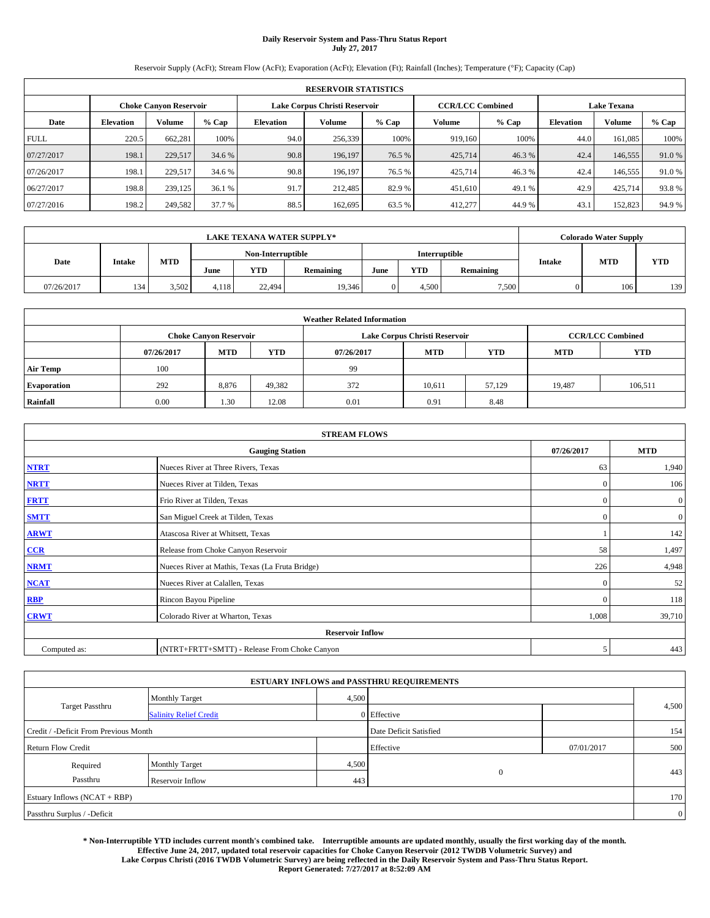# **Daily Reservoir System and Pass-Thru Status Report July 27, 2017**

Reservoir Supply (AcFt); Stream Flow (AcFt); Evaporation (AcFt); Elevation (Ft); Rainfall (Inches); Temperature (°F); Capacity (Cap)

|             | <b>RESERVOIR STATISTICS</b>   |               |        |                               |         |         |         |                         |                  |         |                    |  |
|-------------|-------------------------------|---------------|--------|-------------------------------|---------|---------|---------|-------------------------|------------------|---------|--------------------|--|
|             | <b>Choke Canvon Reservoir</b> |               |        | Lake Corpus Christi Reservoir |         |         |         | <b>CCR/LCC Combined</b> |                  |         | <b>Lake Texana</b> |  |
| Date        | <b>Elevation</b>              | <b>Volume</b> | % Cap  | <b>Elevation</b>              | Volume  | $%$ Cap | Volume  | $%$ Cap                 | <b>Elevation</b> | Volume  | % Cap              |  |
| <b>FULL</b> | 220.5                         | 662.281       | 100%   | 94.0                          | 256,339 | 100%    | 919,160 | 100%                    | 44.0             | 161.085 | 100%               |  |
| 07/27/2017  | 198.1                         | 229,517       | 34.6 % | 90.8                          | 196,197 | 76.5 %  | 425,714 | 46.3 %                  | 42.4             | 146,555 | 91.0%              |  |
| 07/26/2017  | 198.1                         | 229.517       | 34.6 % | 90.8                          | 196,197 | 76.5 %  | 425,714 | 46.3 %                  | 42.4             | 146,555 | 91.0%              |  |
| 06/27/2017  | 198.8                         | 239,125       | 36.1 % | 91.7                          | 212,485 | 82.9 %  | 451.610 | 49.1 %                  | 42.9             | 425,714 | 93.8%              |  |
| 07/27/2016  | 198.2                         | 249,582       | 37.7 % | 88.5                          | 162,695 | 63.5 %  | 412,277 | 44.9 %                  | 43.1             | 152,823 | 94.9%              |  |

|            | <b>LAKE TEXANA WATER SUPPLY*</b> |            |                                    |            |           |      |            |           |               | <b>Colorado Water Supply</b> |            |  |
|------------|----------------------------------|------------|------------------------------------|------------|-----------|------|------------|-----------|---------------|------------------------------|------------|--|
|            |                                  |            | Interruptible<br>Non-Interruptible |            |           |      |            |           |               |                              |            |  |
| Date       | <b>Intake</b>                    | <b>MTD</b> | June                               | <b>YTD</b> | Remaining | June | <b>YTD</b> | Remaining | <b>Intake</b> | <b>MTD</b>                   | <b>YTD</b> |  |
| 07/26/2017 | 134                              | 3.502      | 4.118                              | 22,494     | 19,346    |      | 4.500      | 7,500     |               | 106                          | 139        |  |

| <b>Weather Related Information</b> |            |                                                                           |        |      |                               |                         |        |         |  |
|------------------------------------|------------|---------------------------------------------------------------------------|--------|------|-------------------------------|-------------------------|--------|---------|--|
|                                    |            | <b>Choke Canyon Reservoir</b>                                             |        |      | Lake Corpus Christi Reservoir | <b>CCR/LCC Combined</b> |        |         |  |
|                                    | 07/26/2017 | <b>YTD</b><br><b>MTD</b><br><b>MTD</b><br>YTD<br><b>MTD</b><br>07/26/2017 |        |      |                               |                         |        |         |  |
| <b>Air Temp</b>                    | 100        |                                                                           |        | 99   |                               |                         |        |         |  |
| <b>Evaporation</b>                 | 292        | 8,876                                                                     | 49,382 | 372  | 10.611                        | 57.129                  | 19.487 | 106,511 |  |
| Rainfall                           | 0.00       | 1.30                                                                      | 12.08  | 0.01 | 0.91                          | 8.48                    |        |         |  |

| <b>STREAM FLOWS</b> |                                                 |              |                  |  |  |  |  |  |
|---------------------|-------------------------------------------------|--------------|------------------|--|--|--|--|--|
|                     | 07/26/2017                                      | <b>MTD</b>   |                  |  |  |  |  |  |
| <b>NTRT</b>         | Nueces River at Three Rivers, Texas             | 63           | 1,940            |  |  |  |  |  |
| <b>NRTT</b>         | Nueces River at Tilden, Texas                   | $\mathbf{0}$ | 106              |  |  |  |  |  |
| <b>FRTT</b>         | Frio River at Tilden, Texas                     | $\mathbf{0}$ | $\boldsymbol{0}$ |  |  |  |  |  |
| <b>SMTT</b>         | San Miguel Creek at Tilden, Texas               | $\mathbf{0}$ | $\mathbf{0}$     |  |  |  |  |  |
| <b>ARWT</b>         | Atascosa River at Whitsett, Texas               |              | 142              |  |  |  |  |  |
| $CCR$               | Release from Choke Canyon Reservoir             | 58           | 1,497            |  |  |  |  |  |
| <b>NRMT</b>         | Nueces River at Mathis, Texas (La Fruta Bridge) | 226          | 4,948            |  |  |  |  |  |
| <b>NCAT</b>         | Nueces River at Calallen, Texas                 | $\mathbf{0}$ | 52               |  |  |  |  |  |
| RBP                 | Rincon Bayou Pipeline                           | $\Omega$     | 118              |  |  |  |  |  |
| <b>CRWT</b>         | Colorado River at Wharton, Texas                | 1,008        | 39,710           |  |  |  |  |  |
|                     | <b>Reservoir Inflow</b>                         |              |                  |  |  |  |  |  |
| Computed as:        | (NTRT+FRTT+SMTT) - Release From Choke Canyon    | 5            | 443              |  |  |  |  |  |

|                                       |                               |       | <b>ESTUARY INFLOWS and PASSTHRU REQUIREMENTS</b> |            |                |
|---------------------------------------|-------------------------------|-------|--------------------------------------------------|------------|----------------|
|                                       | <b>Monthly Target</b>         | 4,500 |                                                  |            |                |
| Target Passthru                       | <b>Salinity Relief Credit</b> |       | $0$ Effective                                    |            | 4,500          |
| Credit / -Deficit From Previous Month |                               |       | Date Deficit Satisfied                           |            | 154            |
| <b>Return Flow Credit</b>             |                               |       | Effective                                        | 07/01/2017 | 500            |
| Required                              | <b>Monthly Target</b>         | 4,500 |                                                  |            |                |
| Passthru                              | Reservoir Inflow              | 443   | $\theta$                                         |            | 443            |
| Estuary Inflows (NCAT + RBP)          |                               |       |                                                  |            | 170            |
| Passthru Surplus / -Deficit           |                               |       |                                                  |            | $\overline{0}$ |

**\* Non-Interruptible YTD includes current month's combined take. Interruptible amounts are updated monthly, usually the first working day of the month. Effective June 24, 2017, updated total reservoir capacities for Choke Canyon Reservoir (2012 TWDB Volumetric Survey) and Lake Corpus Christi (2016 TWDB Volumetric Survey) are being reflected in the Daily Reservoir System and Pass-Thru Status Report. Report Generated: 7/27/2017 at 8:52:09 AM**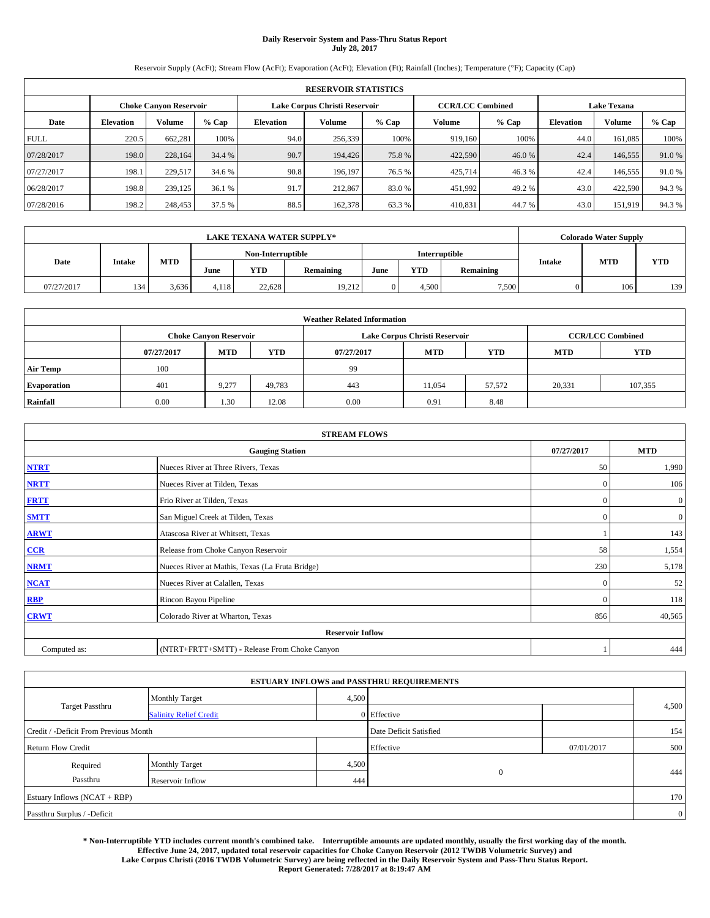# **Daily Reservoir System and Pass-Thru Status Report July 28, 2017**

Reservoir Supply (AcFt); Stream Flow (AcFt); Evaporation (AcFt); Elevation (Ft); Rainfall (Inches); Temperature (°F); Capacity (Cap)

| <b>RESERVOIR STATISTICS</b> |                  |                               |        |           |                               |         |                         |         |                    |         |       |
|-----------------------------|------------------|-------------------------------|--------|-----------|-------------------------------|---------|-------------------------|---------|--------------------|---------|-------|
|                             |                  | <b>Choke Canvon Reservoir</b> |        |           | Lake Corpus Christi Reservoir |         | <b>CCR/LCC Combined</b> |         | <b>Lake Texana</b> |         |       |
| Date                        | <b>Elevation</b> | <b>Volume</b>                 | % Cap  | Elevation | Volume                        | $%$ Cap | Volume                  | $%$ Cap | <b>Elevation</b>   | Volume  | % Cap |
| <b>FULL</b>                 | 220.5            | 662.281                       | 100%   | 94.0      | 256,339                       | 100%    | 919.160                 | 100%    | 44.0               | 161.085 | 100%  |
| 07/28/2017                  | 198.0            | 228,164                       | 34.4 % | 90.7      | 194,426                       | 75.8%   | 422,590                 | 46.0%   | 42.4               | 146,555 | 91.0% |
| 07/27/2017                  | 198.1            | 229.517                       | 34.6 % | 90.8      | 196.197                       | 76.5 %  | 425,714                 | 46.3%   | 42.4               | 146,555 | 91.0% |
| 06/28/2017                  | 198.8            | 239,125                       | 36.1 % | 91.7      | 212,867                       | 83.0%   | 451,992                 | 49.2 %  | 43.0               | 422,590 | 94.3% |
| 07/28/2016                  | 198.2            | 248,453                       | 37.5 % | 88.5      | 162,378                       | 63.3%   | 410,831                 | 44.7 %  | 43.0               | 151,919 | 94.3% |

| <b>LAKE TEXANA WATER SUPPLY*</b> |               |            |       |                                               |        |  |           |               |            | <b>Colorado Water Supply</b> |     |
|----------------------------------|---------------|------------|-------|-----------------------------------------------|--------|--|-----------|---------------|------------|------------------------------|-----|
|                                  |               |            |       | Non-Interruptible                             |        |  |           | Interruptible |            |                              |     |
| Date                             | <b>Intake</b> | <b>MTD</b> | June  | <b>YTD</b><br><b>YTD</b><br>Remaining<br>June |        |  | Remaining | <b>Intake</b> | <b>MTD</b> | <b>YTD</b>                   |     |
| 07/27/2017                       | 134           | 3.636      | 4.118 | 22.628                                        | 19,212 |  | 4.500     | 7,500         |            | 106                          | 139 |

| <b>Weather Related Information</b> |            |                               |            |                                               |                               |                         |        |         |  |  |
|------------------------------------|------------|-------------------------------|------------|-----------------------------------------------|-------------------------------|-------------------------|--------|---------|--|--|
|                                    |            | <b>Choke Canyon Reservoir</b> |            |                                               | Lake Corpus Christi Reservoir | <b>CCR/LCC Combined</b> |        |         |  |  |
|                                    | 07/27/2017 | <b>MTD</b>                    | <b>YTD</b> | YTD<br><b>MTD</b><br><b>MTD</b><br>07/27/2017 |                               |                         |        |         |  |  |
| <b>Air Temp</b>                    | 100        |                               |            | 99                                            |                               |                         |        |         |  |  |
| <b>Evaporation</b>                 | 401        | 9,277                         | 49,783     | 443                                           | 11,054                        | 57,572                  | 20,331 | 107,355 |  |  |
| Rainfall                           | 0.00       | 1.30                          | 12.08      | 0.00                                          | 0.91                          | 8.48                    |        |         |  |  |

| <b>STREAM FLOWS</b>     |                                                 |              |                  |  |  |  |  |  |
|-------------------------|-------------------------------------------------|--------------|------------------|--|--|--|--|--|
|                         | 07/27/2017                                      | <b>MTD</b>   |                  |  |  |  |  |  |
| <b>NTRT</b>             | Nueces River at Three Rivers, Texas             | 50           | 1,990            |  |  |  |  |  |
| <b>NRTT</b>             | Nueces River at Tilden, Texas                   | $\Omega$     | 106              |  |  |  |  |  |
| <b>FRTT</b>             | Frio River at Tilden, Texas                     | $\mathbf{0}$ | $\boldsymbol{0}$ |  |  |  |  |  |
| <b>SMTT</b>             | San Miguel Creek at Tilden, Texas               | $\mathbf{0}$ | $\mathbf{0}$     |  |  |  |  |  |
| <b>ARWT</b>             | Atascosa River at Whitsett, Texas               |              | 143              |  |  |  |  |  |
| $CCR$                   | Release from Choke Canyon Reservoir             | 58           | 1,554            |  |  |  |  |  |
| <b>NRMT</b>             | Nueces River at Mathis, Texas (La Fruta Bridge) | 230          | 5,178            |  |  |  |  |  |
| <b>NCAT</b>             | Nueces River at Calallen, Texas                 | $\Omega$     | 52               |  |  |  |  |  |
| RBP                     | Rincon Bayou Pipeline                           | $\Omega$     | 118              |  |  |  |  |  |
| <b>CRWT</b>             | Colorado River at Wharton, Texas                | 856          | 40,565           |  |  |  |  |  |
| <b>Reservoir Inflow</b> |                                                 |              |                  |  |  |  |  |  |
| Computed as:            | (NTRT+FRTT+SMTT) - Release From Choke Canyon    |              | 444              |  |  |  |  |  |

|                                       |                               |       | <b>ESTUARY INFLOWS and PASSTHRU REQUIREMENTS</b> |            |                |
|---------------------------------------|-------------------------------|-------|--------------------------------------------------|------------|----------------|
|                                       | <b>Monthly Target</b>         | 4,500 |                                                  |            |                |
| Target Passthru                       | <b>Salinity Relief Credit</b> |       | $0$ Effective                                    |            | 4,500          |
| Credit / -Deficit From Previous Month |                               |       | Date Deficit Satisfied                           |            | 154            |
| <b>Return Flow Credit</b>             |                               |       | Effective                                        | 07/01/2017 | 500            |
| Required                              | <b>Monthly Target</b>         | 4,500 |                                                  |            |                |
| Passthru                              | Reservoir Inflow              | 444   | $\theta$                                         |            | 444            |
| Estuary Inflows (NCAT + RBP)          |                               |       |                                                  |            | 170            |
| Passthru Surplus / -Deficit           |                               |       |                                                  |            | $\overline{0}$ |

**\* Non-Interruptible YTD includes current month's combined take. Interruptible amounts are updated monthly, usually the first working day of the month. Effective June 24, 2017, updated total reservoir capacities for Choke Canyon Reservoir (2012 TWDB Volumetric Survey) and Lake Corpus Christi (2016 TWDB Volumetric Survey) are being reflected in the Daily Reservoir System and Pass-Thru Status Report. Report Generated: 7/28/2017 at 8:19:47 AM**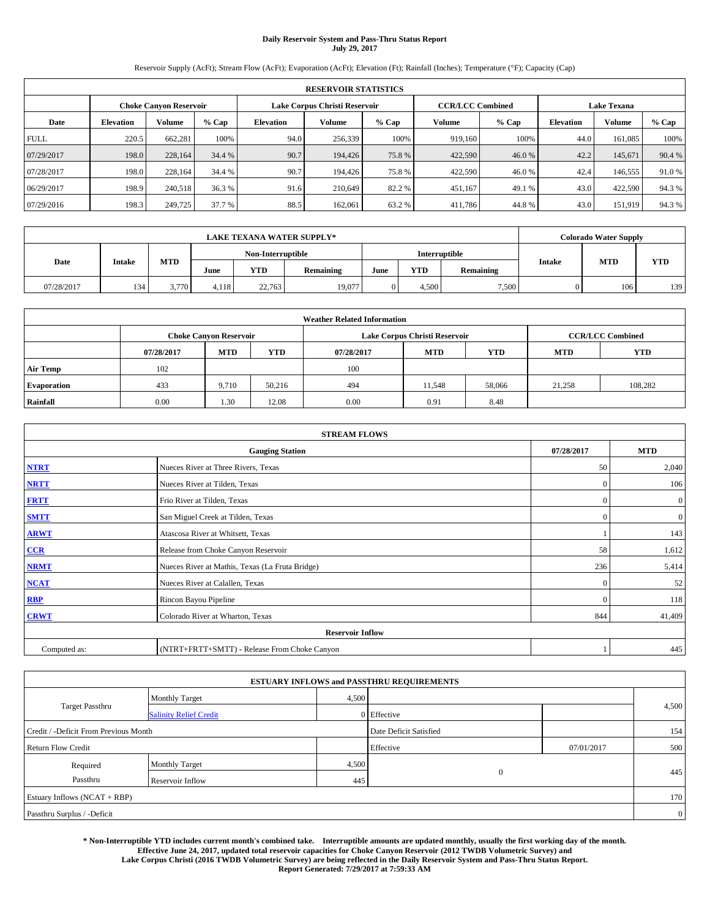# **Daily Reservoir System and Pass-Thru Status Report July 29, 2017**

Reservoir Supply (AcFt); Stream Flow (AcFt); Evaporation (AcFt); Elevation (Ft); Rainfall (Inches); Temperature (°F); Capacity (Cap)

| <b>RESERVOIR STATISTICS</b> |                  |                               |        |           |                               |         |                         |         |                    |         |       |
|-----------------------------|------------------|-------------------------------|--------|-----------|-------------------------------|---------|-------------------------|---------|--------------------|---------|-------|
|                             |                  | <b>Choke Canvon Reservoir</b> |        |           | Lake Corpus Christi Reservoir |         | <b>CCR/LCC Combined</b> |         | <b>Lake Texana</b> |         |       |
| Date                        | <b>Elevation</b> | <b>Volume</b>                 | % Cap  | Elevation | Volume                        | $%$ Cap | Volume                  | $%$ Cap | <b>Elevation</b>   | Volume  | % Cap |
| <b>FULL</b>                 | 220.5            | 662.281                       | 100%   | 94.0      | 256,339                       | 100%    | 919.160                 | 100%    | 44.0               | 161.085 | 100%  |
| 07/29/2017                  | 198.0            | 228,164                       | 34.4 % | 90.7      | 194,426                       | 75.8%   | 422,590                 | 46.0%   | 42.2               | 145,671 | 90.4% |
| 07/28/2017                  | 198.0            | 228.164                       | 34.4 % | 90.7      | 194,426                       | 75.8%   | 422,590                 | 46.0%   | 42.4               | 146,555 | 91.0% |
| 06/29/2017                  | 198.9            | 240.518                       | 36.3 % | 91.6      | 210,649                       | 82.2%   | 451,167                 | 49.1 %  | 43.0               | 422,590 | 94.3% |
| 07/29/2016                  | 198.3            | 249,725                       | 37.7 % | 88.5      | 162,061                       | 63.2 %  | 411,786                 | 44.8%   | 43.0               | 151,919 | 94.3% |

| <b>LAKE TEXANA WATER SUPPLY*</b> |               |            |       |                   |           |      |            |               |                             | <b>Colorado Water Supply</b> |            |
|----------------------------------|---------------|------------|-------|-------------------|-----------|------|------------|---------------|-----------------------------|------------------------------|------------|
|                                  |               |            |       | Non-Interruptible |           |      |            | Interruptible |                             |                              |            |
| Date                             | <b>Intake</b> | <b>MTD</b> | June  | <b>YTD</b>        | Remaining | June | <b>YTD</b> | Remaining     | <b>MTD</b><br><b>Intake</b> |                              | <b>YTD</b> |
| 07/28/2017                       | 134           | 3.770      | 4.118 | 22.763            | 19,077    |      | 4.500      | 7,500         |                             | 106                          | 139        |

| <b>Weather Related Information</b> |            |                               |            |            |                               |                         |        |         |  |
|------------------------------------|------------|-------------------------------|------------|------------|-------------------------------|-------------------------|--------|---------|--|
|                                    |            | <b>Choke Canyon Reservoir</b> |            |            | Lake Corpus Christi Reservoir | <b>CCR/LCC Combined</b> |        |         |  |
|                                    | 07/28/2017 | <b>MTD</b>                    | <b>YTD</b> | 07/28/2017 | <b>YTD</b>                    |                         |        |         |  |
| <b>Air Temp</b>                    | 102        |                               |            | 100        |                               |                         |        |         |  |
| <b>Evaporation</b>                 | 433        | 9.710                         | 50,216     | 494        | 11,548                        | 58,066                  | 21,258 | 108,282 |  |
| Rainfall                           | 0.00       | 1.30                          | 12.08      | 0.00       | 0.91                          | 8.48                    |        |         |  |

| <b>STREAM FLOWS</b> |                                                 |              |                  |  |  |  |  |  |
|---------------------|-------------------------------------------------|--------------|------------------|--|--|--|--|--|
|                     | 07/28/2017                                      | <b>MTD</b>   |                  |  |  |  |  |  |
| <b>NTRT</b>         | Nueces River at Three Rivers, Texas             | 50           | 2,040            |  |  |  |  |  |
| <b>NRTT</b>         | Nueces River at Tilden, Texas                   | $\mathbf{0}$ | 106              |  |  |  |  |  |
| <b>FRTT</b>         | Frio River at Tilden, Texas                     | $\mathbf{0}$ | $\boldsymbol{0}$ |  |  |  |  |  |
| <b>SMTT</b>         | San Miguel Creek at Tilden, Texas               | $\mathbf{0}$ | $\overline{0}$   |  |  |  |  |  |
| <b>ARWT</b>         | Atascosa River at Whitsett, Texas               |              | 143              |  |  |  |  |  |
| $CCR$               | Release from Choke Canyon Reservoir             | 58           | 1,612            |  |  |  |  |  |
| <b>NRMT</b>         | Nueces River at Mathis, Texas (La Fruta Bridge) | 236          | 5,414            |  |  |  |  |  |
| <b>NCAT</b>         | Nueces River at Calallen, Texas                 | $\mathbf{0}$ | 52               |  |  |  |  |  |
| RBP                 | Rincon Bayou Pipeline                           | $\Omega$     | 118              |  |  |  |  |  |
| <b>CRWT</b>         | Colorado River at Wharton, Texas                | 844          | 41,409           |  |  |  |  |  |
|                     | <b>Reservoir Inflow</b>                         |              |                  |  |  |  |  |  |
| Computed as:        | (NTRT+FRTT+SMTT) - Release From Choke Canyon    |              | 445              |  |  |  |  |  |

| <b>ESTUARY INFLOWS and PASSTHRU REQUIREMENTS</b> |                               |                        |                |     |       |  |  |  |  |  |
|--------------------------------------------------|-------------------------------|------------------------|----------------|-----|-------|--|--|--|--|--|
|                                                  | <b>Monthly Target</b>         | 4,500                  |                |     |       |  |  |  |  |  |
| <b>Target Passthru</b>                           | <b>Salinity Relief Credit</b> |                        | 0 Effective    |     | 4,500 |  |  |  |  |  |
| Credit / -Deficit From Previous Month            |                               | Date Deficit Satisfied |                | 154 |       |  |  |  |  |  |
| <b>Return Flow Credit</b>                        |                               | Effective              | 07/01/2017     | 500 |       |  |  |  |  |  |
| Required                                         | Monthly Target                | 4,500                  | $\overline{0}$ |     |       |  |  |  |  |  |
| Passthru                                         | Reservoir Inflow              | 445                    |                |     | 445   |  |  |  |  |  |
| Estuary Inflows (NCAT + RBP)                     |                               |                        |                |     |       |  |  |  |  |  |
| Passthru Surplus / -Deficit                      |                               |                        |                |     |       |  |  |  |  |  |

**\* Non-Interruptible YTD includes current month's combined take. Interruptible amounts are updated monthly, usually the first working day of the month. Effective June 24, 2017, updated total reservoir capacities for Choke Canyon Reservoir (2012 TWDB Volumetric Survey) and Lake Corpus Christi (2016 TWDB Volumetric Survey) are being reflected in the Daily Reservoir System and Pass-Thru Status Report. Report Generated: 7/29/2017 at 7:59:33 AM**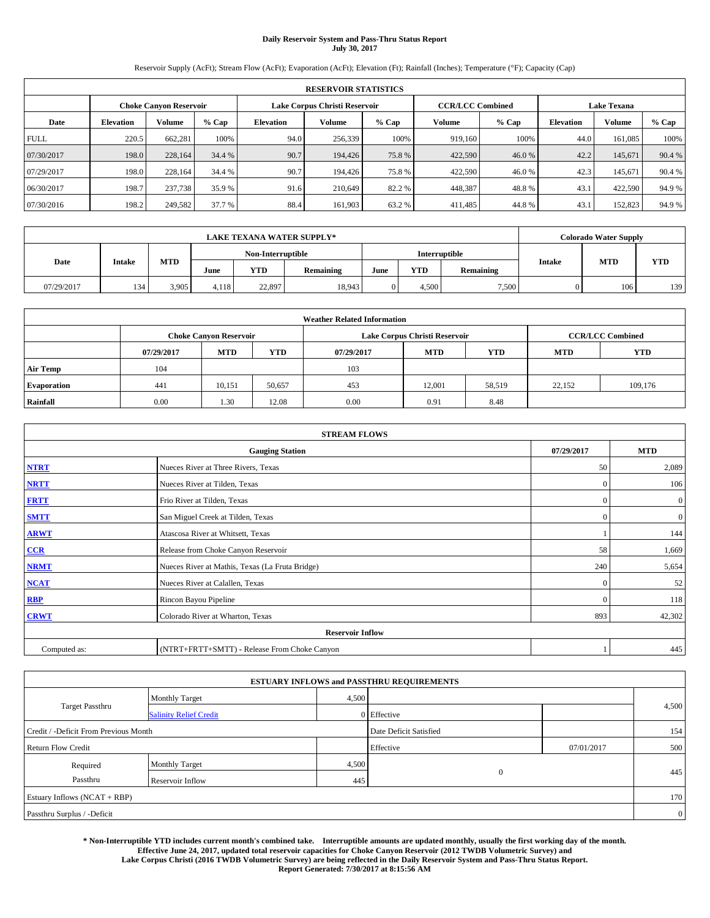# **Daily Reservoir System and Pass-Thru Status Report July 30, 2017**

Reservoir Supply (AcFt); Stream Flow (AcFt); Evaporation (AcFt); Elevation (Ft); Rainfall (Inches); Temperature (°F); Capacity (Cap)

|             | <b>RESERVOIR STATISTICS</b> |                               |        |                               |         |         |                         |         |                    |         |        |  |
|-------------|-----------------------------|-------------------------------|--------|-------------------------------|---------|---------|-------------------------|---------|--------------------|---------|--------|--|
|             |                             | <b>Choke Canvon Reservoir</b> |        | Lake Corpus Christi Reservoir |         |         | <b>CCR/LCC Combined</b> |         | <b>Lake Texana</b> |         |        |  |
| Date        | <b>Elevation</b>            | <b>Volume</b>                 | % Cap  | <b>Elevation</b>              | Volume  | $%$ Cap | Volume                  | $%$ Cap | <b>Elevation</b>   | Volume  | % Cap  |  |
| <b>FULL</b> | 220.5                       | 662.281                       | 100%   | 94.0                          | 256,339 | 100%    | 919,160                 | 100%    | 44.0               | 161.085 | 100%   |  |
| 07/30/2017  | 198.0                       | 228,164                       | 34.4 % | 90.7                          | 194,426 | 75.8%   | 422,590                 | 46.0 %  | 42.2               | 145,671 | 90.4 % |  |
| 07/29/2017  | 198.0                       | 228.164                       | 34.4 % | 90.7                          | 194,426 | 75.8%   | 422,590                 | 46.0%   | 42.3               | 145.671 | 90.4%  |  |
| 06/30/2017  | 198.7                       | 237,738                       | 35.9 % | 91.6                          | 210,649 | 82.2 %  | 448,387                 | 48.8%   | 43.1               | 422,590 | 94.9%  |  |
| 07/30/2016  | 198.2                       | 249,582                       | 37.7 % | 88.4                          | 161.903 | 63.2 %  | 411,485                 | 44.8%   | 43.1               | 152,823 | 94.9%  |  |

| <b>LAKE TEXANA WATER SUPPLY*</b> |               |            |                   |            |           |               |            |           | <b>Colorado Water Supply</b> |            |            |
|----------------------------------|---------------|------------|-------------------|------------|-----------|---------------|------------|-----------|------------------------------|------------|------------|
|                                  |               |            | Non-Interruptible |            |           | Interruptible |            |           |                              |            |            |
| Date                             | <b>Intake</b> | <b>MTD</b> | June              | <b>YTD</b> | Remaining | June          | <b>YTD</b> | Remaining | Intake                       | <b>MTD</b> | <b>YTD</b> |
| 07/29/2017                       | 134           | 3.905      | 4.118             | 22,897     | 18,943    |               | 4.500      | 7,500     |                              | 106        | 139        |

| <b>Weather Related Information</b> |            |                               |            |            |                               |                         |            |            |  |  |
|------------------------------------|------------|-------------------------------|------------|------------|-------------------------------|-------------------------|------------|------------|--|--|
|                                    |            | <b>Choke Canyon Reservoir</b> |            |            | Lake Corpus Christi Reservoir | <b>CCR/LCC Combined</b> |            |            |  |  |
|                                    | 07/29/2017 | <b>MTD</b>                    | <b>YTD</b> | 07/29/2017 | <b>MTD</b>                    | YTD                     | <b>MTD</b> | <b>YTD</b> |  |  |
| <b>Air Temp</b>                    | 104        |                               |            | 103        |                               |                         |            |            |  |  |
| <b>Evaporation</b>                 | 441        | 10,151                        | 50,657     | 453        | 12,001                        | 58,519                  | 22.152     | 109,176    |  |  |
| Rainfall                           | 0.00       | 1.30                          | 12.08      | 0.00       | 0.91                          | 8.48                    |            |            |  |  |

| <b>STREAM FLOWS</b> |                                                 |              |                  |  |  |  |  |  |  |
|---------------------|-------------------------------------------------|--------------|------------------|--|--|--|--|--|--|
|                     | 07/29/2017                                      | <b>MTD</b>   |                  |  |  |  |  |  |  |
| <b>NTRT</b>         | Nueces River at Three Rivers, Texas             | 50           | 2,089            |  |  |  |  |  |  |
| <b>NRTT</b>         | Nueces River at Tilden, Texas                   | $\mathbf{0}$ | 106              |  |  |  |  |  |  |
| <b>FRTT</b>         | Frio River at Tilden, Texas                     | $\mathbf{0}$ | $\boldsymbol{0}$ |  |  |  |  |  |  |
| <b>SMTT</b>         | San Miguel Creek at Tilden, Texas               | $\mathbf{0}$ | $\overline{0}$   |  |  |  |  |  |  |
| <b>ARWT</b>         | Atascosa River at Whitsett, Texas               |              |                  |  |  |  |  |  |  |
| $CCR$               | Release from Choke Canyon Reservoir             |              |                  |  |  |  |  |  |  |
| <b>NRMT</b>         | Nueces River at Mathis, Texas (La Fruta Bridge) | 240          | 5,654            |  |  |  |  |  |  |
| <b>NCAT</b>         | Nueces River at Calallen, Texas                 | $\mathbf{0}$ | 52               |  |  |  |  |  |  |
| RBP                 | Rincon Bayou Pipeline                           | $\Omega$     | 118              |  |  |  |  |  |  |
| <b>CRWT</b>         | Colorado River at Wharton, Texas                | 893          | 42,302           |  |  |  |  |  |  |
|                     | <b>Reservoir Inflow</b>                         |              |                  |  |  |  |  |  |  |
| Computed as:        | (NTRT+FRTT+SMTT) - Release From Choke Canyon    |              |                  |  |  |  |  |  |  |

|                                       |                               |       | <b>ESTUARY INFLOWS and PASSTHRU REQUIREMENTS</b> |            |                |  |
|---------------------------------------|-------------------------------|-------|--------------------------------------------------|------------|----------------|--|
|                                       | <b>Monthly Target</b>         | 4,500 |                                                  |            |                |  |
| Target Passthru                       | <b>Salinity Relief Credit</b> |       | $0$ Effective                                    |            | 4,500          |  |
| Credit / -Deficit From Previous Month |                               |       | Date Deficit Satisfied                           |            | 154            |  |
| <b>Return Flow Credit</b>             |                               |       | Effective                                        | 07/01/2017 | 500            |  |
| Required                              | <b>Monthly Target</b>         | 4,500 |                                                  |            |                |  |
| Passthru                              | Reservoir Inflow              | 445   | $\theta$                                         |            | 445            |  |
| Estuary Inflows (NCAT + RBP)          |                               |       |                                                  |            | 170            |  |
| Passthru Surplus / -Deficit           |                               |       |                                                  |            | $\overline{0}$ |  |

**\* Non-Interruptible YTD includes current month's combined take. Interruptible amounts are updated monthly, usually the first working day of the month. Effective June 24, 2017, updated total reservoir capacities for Choke Canyon Reservoir (2012 TWDB Volumetric Survey) and Lake Corpus Christi (2016 TWDB Volumetric Survey) are being reflected in the Daily Reservoir System and Pass-Thru Status Report. Report Generated: 7/30/2017 at 8:15:56 AM**